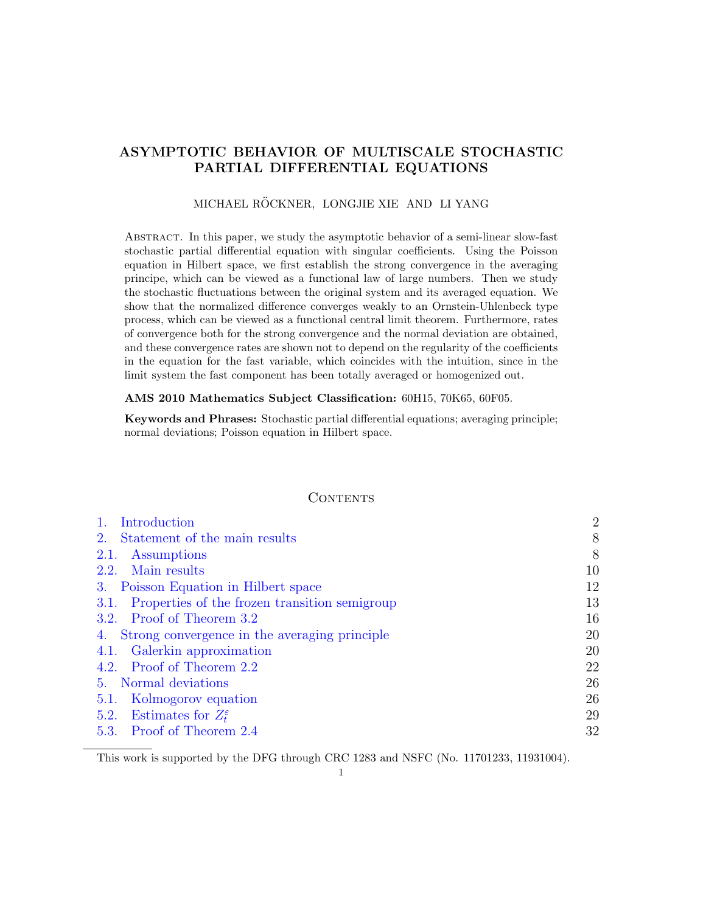# ASYMPTOTIC BEHAVIOR OF MULTISCALE STOCHASTIC PARTIAL DIFFERENTIAL EQUATIONS

## MICHAEL RÖCKNER, LONGJIE XIE AND LI YANG

Abstract. In this paper, we study the asymptotic behavior of a semi-linear slow-fast stochastic partial differential equation with singular coefficients. Using the Poisson equation in Hilbert space, we first establish the strong convergence in the averaging principe, which can be viewed as a functional law of large numbers. Then we study the stochastic fluctuations between the original system and its averaged equation. We show that the normalized difference converges weakly to an Ornstein-Uhlenbeck type process, which can be viewed as a functional central limit theorem. Furthermore, rates of convergence both for the strong convergence and the normal deviation are obtained, and these convergence rates are shown not to depend on the regularity of the coefficients in the equation for the fast variable, which coincides with the intuition, since in the limit system the fast component has been totally averaged or homogenized out.

## AMS 2010 Mathematics Subject Classification: 60H15, 70K65, 60F05.

Keywords and Phrases: Stochastic partial differential equations; averaging principle; normal deviations; Poisson equation in Hilbert space.

## **CONTENTS**

| Introduction                                          | $\overline{2}$ |
|-------------------------------------------------------|----------------|
| Statement of the main results<br>2.                   | 8              |
| Assumptions<br>2.1.                                   | 8              |
| 2.2. Main results                                     | 10             |
| 3. Poisson Equation in Hilbert space                  | 12             |
| Properties of the frozen transition semigroup<br>3.1. | 13             |
| 3.2. Proof of Theorem 3.2                             | 16             |
| 4. Strong convergence in the averaging principle      | 20             |
| 4.1. Galerkin approximation                           | 20             |
| 4.2. Proof of Theorem 2.2                             | 22             |
| 5. Normal deviations                                  | 26             |
| 5.1. Kolmogorov equation                              | 26             |
| 5.2. Estimates for $Z_t^{\varepsilon}$                | 29             |
| 5.3. Proof of Theorem 2.4                             | 32             |

This work is supported by the DFG through CRC 1283 and NSFC (No. 11701233, 11931004).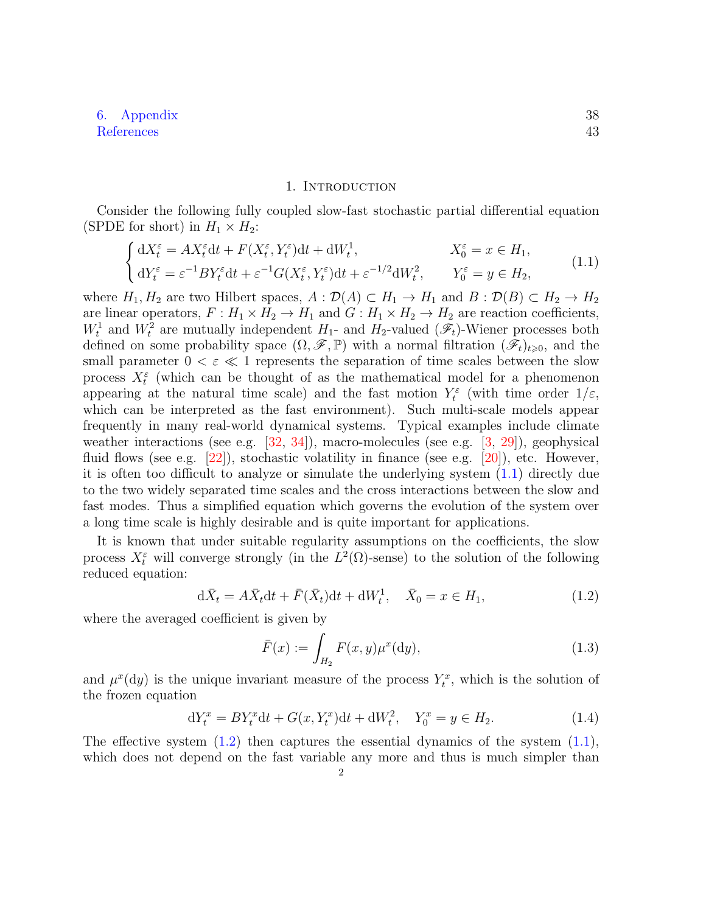# [6. Appendix](#page-37-0) 38 [References](#page-42-0) 43

#### 1. INTRODUCTION

<span id="page-1-0"></span>Consider the following fully coupled slow-fast stochastic partial differential equation (SPDE for short) in  $H_1 \times H_2$ :

<span id="page-1-1"></span>
$$
\begin{cases} dX_t^{\varepsilon} = AX_t^{\varepsilon}dt + F(X_t^{\varepsilon}, Y_t^{\varepsilon})dt + dW_t^1, & X_0^{\varepsilon} = x \in H_1, \\ dY_t^{\varepsilon} = \varepsilon^{-1}BY_t^{\varepsilon}dt + \varepsilon^{-1}G(X_t^{\varepsilon}, Y_t^{\varepsilon})dt + \varepsilon^{-1/2}dW_t^2, & Y_0^{\varepsilon} = y \in H_2, \end{cases}
$$
(1.1)

where  $H_1, H_2$  are two Hilbert spaces,  $A : \mathcal{D}(A) \subset H_1 \to H_1$  and  $B : \mathcal{D}(B) \subset H_2 \to H_2$ are linear operators,  $F: H_1 \times H_2 \to H_1$  and  $G: H_1 \times H_2 \to H_2$  are reaction coefficients,  $W_t^1$  and  $W_t^2$  are mutually independent  $H_1$ - and  $H_2$ -valued  $(\mathscr{F}_t)$ -Wiener processes both defined on some probability space  $(\Omega, \mathscr{F}, \mathbb{P})$  with a normal filtration  $(\tilde{\mathscr{F}}_t)_{t\geqslant0}$ , and the small parameter  $0 < \varepsilon \ll 1$  represents the separation of time scales between the slow process  $X_t^{\varepsilon}$  (which can be thought of as the mathematical model for a phenomenon appearing at the natural time scale) and the fast motion  $Y_t^{\varepsilon}$  (with time order  $1/\varepsilon$ , which can be interpreted as the fast environment). Such multi-scale models appear frequently in many real-world dynamical systems. Typical examples include climate weather interactions (see e.g.  $[32, 34]$  $[32, 34]$  $[32, 34]$ ), macro-molecules (see e.g.  $[3, 29]$  $[3, 29]$  $[3, 29]$ ), geophysical fluid flows (see e.g.  $[22]$ ), stochastic volatility in finance (see e.g.  $[20]$ ), etc. However, it is often too difficult to analyze or simulate the underlying system [\(1.1\)](#page-1-1) directly due to the two widely separated time scales and the cross interactions between the slow and fast modes. Thus a simplified equation which governs the evolution of the system over a long time scale is highly desirable and is quite important for applications.

It is known that under suitable regularity assumptions on the coefficients, the slow process  $X_t^{\varepsilon}$  will converge strongly (in the  $L^2(\Omega)$ -sense) to the solution of the following reduced equation:

$$
d\bar{X}_t = A\bar{X}_t dt + \bar{F}(\bar{X}_t) dt + dW_t^1, \quad \bar{X}_0 = x \in H_1,
$$
\n(1.2)

where the averaged coefficient is given by

<span id="page-1-4"></span><span id="page-1-3"></span><span id="page-1-2"></span>
$$
\bar{F}(x) := \int_{H_2} F(x, y) \mu^x(\mathrm{d}y),\tag{1.3}
$$

and  $\mu^x(dy)$  is the unique invariant measure of the process  $Y_t^x$ , which is the solution of the frozen equation

$$
dY_t^x = BY_t^x dt + G(x, Y_t^x) dt + dW_t^2, \quad Y_0^x = y \in H_2.
$$
\n(1.4)

The effective system  $(1.2)$  then captures the essential dynamics of the system  $(1.1)$ , which does not depend on the fast variable any more and thus is much simpler than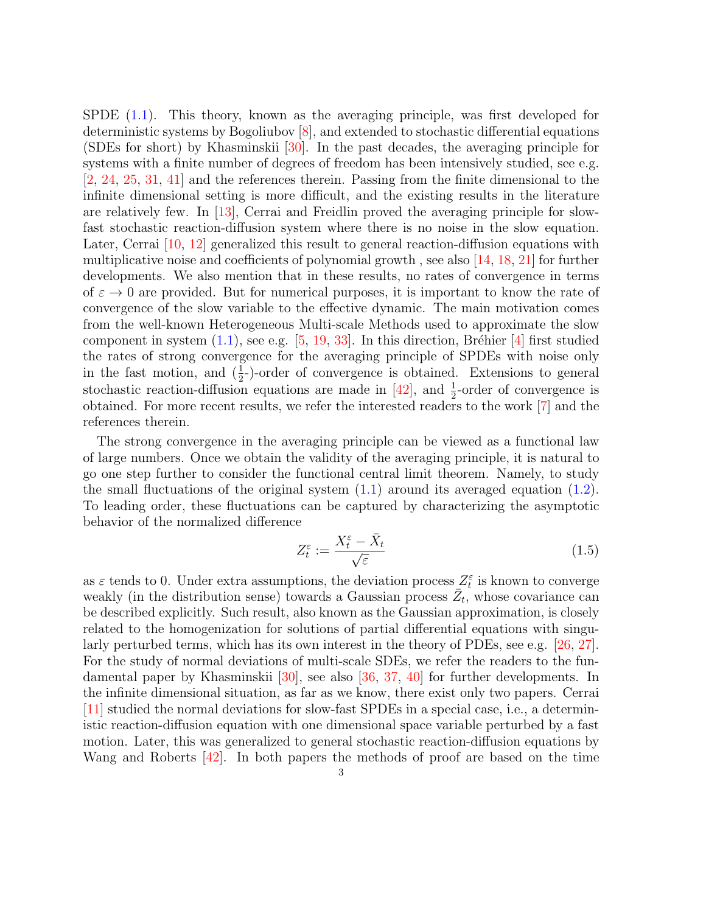SPDE [\(1.1\)](#page-1-1). This theory, known as the averaging principle, was first developed for deterministic systems by Bogoliubov [\[8\]](#page-42-2), and extended to stochastic differential equations (SDEs for short) by Khasminskii [\[30\]](#page-43-5). In the past decades, the averaging principle for systems with a finite number of degrees of freedom has been intensively studied, see e.g. [\[2,](#page-42-3) [24,](#page-43-6) [25,](#page-43-7) [31,](#page-43-8) [41\]](#page-43-9) and the references therein. Passing from the finite dimensional to the infinite dimensional setting is more difficult, and the existing results in the literature are relatively few. In [\[13\]](#page-42-4), Cerrai and Freidlin proved the averaging principle for slowfast stochastic reaction-diffusion system where there is no noise in the slow equation. Later, Cerrai [\[10,](#page-42-5) [12\]](#page-42-6) generalized this result to general reaction-diffusion equations with multiplicative noise and coefficients of polynomial growth, see also  $[14, 18, 21]$  $[14, 18, 21]$  $[14, 18, 21]$  $[14, 18, 21]$  $[14, 18, 21]$  for further developments. We also mention that in these results, no rates of convergence in terms of  $\varepsilon \to 0$  are provided. But for numerical purposes, it is important to know the rate of convergence of the slow variable to the effective dynamic. The main motivation comes from the well-known Heterogeneous Multi-scale Methods used to approximate the slow component in system  $(1.1)$ , see e.g. [\[5,](#page-42-9) [19,](#page-42-10) [33\]](#page-43-11). In this direction, Bréhier [\[4\]](#page-42-11) first studied the rates of strong convergence for the averaging principle of SPDEs with noise only in the fast motion, and  $(\frac{1}{2})$ -order of convergence is obtained. Extensions to general stochastic reaction-diffusion equations are made in  $[42]$ , and  $\frac{1}{2}$ -order of convergence is obtained. For more recent results, we refer the interested readers to the work [\[7\]](#page-42-12) and the references therein.

The strong convergence in the averaging principle can be viewed as a functional law of large numbers. Once we obtain the validity of the averaging principle, it is natural to go one step further to consider the functional central limit theorem. Namely, to study the small fluctuations of the original system  $(1.1)$  around its averaged equation  $(1.2)$ . To leading order, these fluctuations can be captured by characterizing the asymptotic behavior of the normalized difference

<span id="page-2-0"></span>
$$
Z_t^{\varepsilon} := \frac{X_t^{\varepsilon} - \bar{X}_t}{\sqrt{\varepsilon}}\tag{1.5}
$$

as  $\varepsilon$  tends to 0. Under extra assumptions, the deviation process  $Z_t^{\varepsilon}$  is known to converge weakly (in the distribution sense) towards a Gaussian process  $\overline{Z_t}$ , whose covariance can be described explicitly. Such result, also known as the Gaussian approximation, is closely related to the homogenization for solutions of partial differential equations with singularly perturbed terms, which has its own interest in the theory of PDEs, see e.g. [\[26,](#page-43-13) [27\]](#page-43-14). For the study of normal deviations of multi-scale SDEs, we refer the readers to the fundamental paper by Khasminskii [\[30\]](#page-43-5), see also [\[36,](#page-43-15) [37,](#page-43-16) [40\]](#page-43-17) for further developments. In the infinite dimensional situation, as far as we know, there exist only two papers. Cerrai [\[11\]](#page-42-13) studied the normal deviations for slow-fast SPDEs in a special case, i.e., a deterministic reaction-diffusion equation with one dimensional space variable perturbed by a fast motion. Later, this was generalized to general stochastic reaction-diffusion equations by Wang and Roberts [\[42\]](#page-43-12). In both papers the methods of proof are based on the time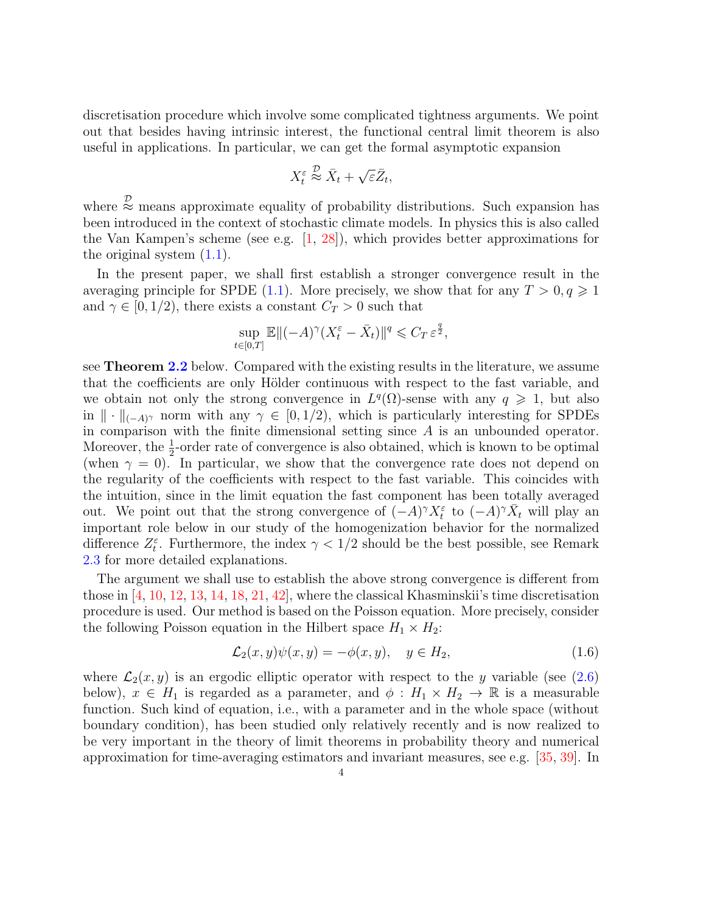discretisation procedure which involve some complicated tightness arguments. We point out that besides having intrinsic interest, the functional central limit theorem is also useful in applications. In particular, we can get the formal asymptotic expansion

$$
X_t^{\varepsilon} \stackrel{\mathcal{D}}{\approx} \bar{X}_t + \sqrt{\varepsilon} \bar{Z}_t,
$$

where  $\stackrel{\mathcal{D}}{\approx}$  means approximate equality of probability distributions. Such expansion has been introduced in the context of stochastic climate models. In physics this is also called the Van Kampen's scheme (see e.g.  $[1, 28]$  $[1, 28]$  $[1, 28]$ ), which provides better approximations for the original system  $(1.1)$ .

In the present paper, we shall first establish a stronger convergence result in the averaging principle for SPDE [\(1.1\)](#page-1-1). More precisely, we show that for any  $T > 0, q \geq 1$ and  $\gamma \in [0, 1/2)$ , there exists a constant  $C_T > 0$  such that

$$
\sup_{t \in [0,T]} \mathbb{E} \| (-A)^\gamma (X_t^\varepsilon - \bar{X}_t) \|^q \leqslant C_T \, \varepsilon^{\frac{q}{2}},
$$

see Theorem [2.2](#page-9-1) below. Compared with the existing results in the literature, we assume that the coefficients are only Hölder continuous with respect to the fast variable, and we obtain not only the strong convergence in  $L^q(\Omega)$ -sense with any  $q \geq 1$ , but also in  $\|\cdot\|_{(-A)^{\gamma}}$  norm with any  $\gamma \in [0, 1/2)$ , which is particularly interesting for SPDEs in comparison with the finite dimensional setting since A is an unbounded operator. Moreover, the  $\frac{1}{2}$ -order rate of convergence is also obtained, which is known to be optimal (when  $\gamma = 0$ ). In particular, we show that the convergence rate does not depend on the regularity of the coefficients with respect to the fast variable. This coincides with the intuition, since in the limit equation the fast component has been totally averaged out. We point out that the strong convergence of  $(-A)^{\gamma} X_t^{\varepsilon}$  to  $(-A)^{\gamma} \bar{X}_t$  will play an important role below in our study of the homogenization behavior for the normalized difference  $Z_t^{\varepsilon}$ . Furthermore, the index  $\gamma < 1/2$  should be the best possible, see Remark [2.3](#page-9-2) for more detailed explanations.

The argument we shall use to establish the above strong convergence is different from those in  $\left[4, 10, 12, 13, 14, 18, 21, 42\right]$  $\left[4, 10, 12, 13, 14, 18, 21, 42\right]$  $\left[4, 10, 12, 13, 14, 18, 21, 42\right]$  $\left[4, 10, 12, 13, 14, 18, 21, 42\right]$  $\left[4, 10, 12, 13, 14, 18, 21, 42\right]$  $\left[4, 10, 12, 13, 14, 18, 21, 42\right]$  $\left[4, 10, 12, 13, 14, 18, 21, 42\right]$  $\left[4, 10, 12, 13, 14, 18, 21, 42\right]$  $\left[4, 10, 12, 13, 14, 18, 21, 42\right]$  $\left[4, 10, 12, 13, 14, 18, 21, 42\right]$  $\left[4, 10, 12, 13, 14, 18, 21, 42\right]$  $\left[4, 10, 12, 13, 14, 18, 21, 42\right]$  $\left[4, 10, 12, 13, 14, 18, 21, 42\right]$  $\left[4, 10, 12, 13, 14, 18, 21, 42\right]$  $\left[4, 10, 12, 13, 14, 18, 21, 42\right]$ , where the classical Khasminskii's time discretisation procedure is used. Our method is based on the Poisson equation. More precisely, consider the following Poisson equation in the Hilbert space  $H_1 \times H_2$ :

<span id="page-3-0"></span>
$$
\mathcal{L}_2(x, y)\psi(x, y) = -\phi(x, y), \quad y \in H_2,\tag{1.6}
$$

where  $\mathcal{L}_2(x, y)$  is an ergodic elliptic operator with respect to the y variable (see [\(2.6\)](#page-10-1) below),  $x \in H_1$  is regarded as a parameter, and  $\phi : H_1 \times H_2 \to \mathbb{R}$  is a measurable function. Such kind of equation, i.e., with a parameter and in the whole space (without boundary condition), has been studied only relatively recently and is now realized to be very important in the theory of limit theorems in probability theory and numerical approximation for time-averaging estimators and invariant measures, see e.g. [\[35,](#page-43-19) [39\]](#page-43-20). In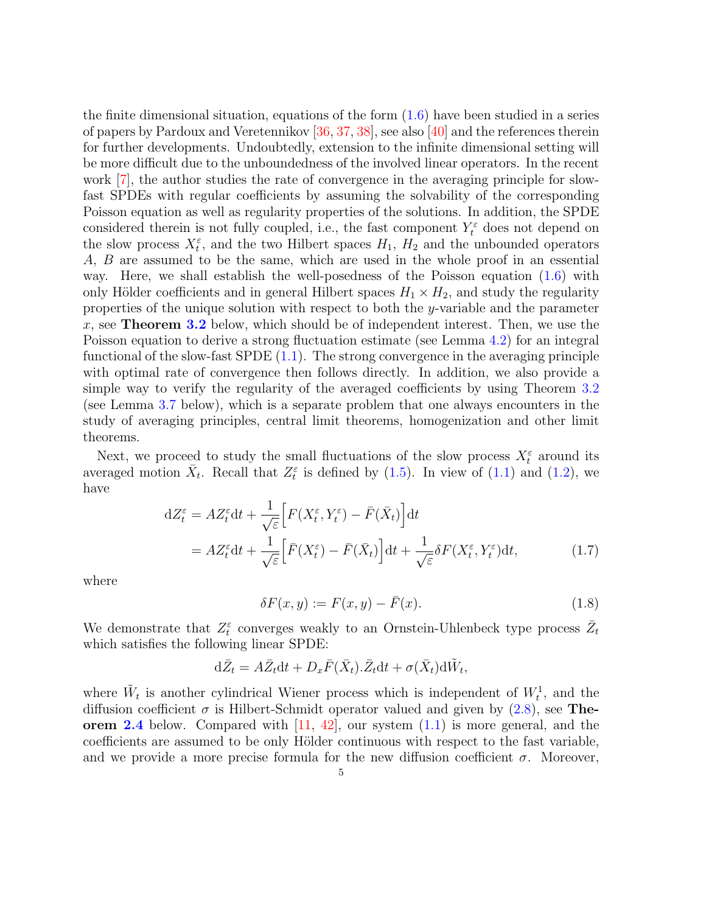the finite dimensional situation, equations of the form  $(1.6)$  have been studied in a series of papers by Pardoux and Veretennikov [\[36,](#page-43-15) [37,](#page-43-16) [38\]](#page-43-21), see also [\[40\]](#page-43-17) and the references therein for further developments. Undoubtedly, extension to the infinite dimensional setting will be more difficult due to the unboundedness of the involved linear operators. In the recent work [\[7\]](#page-42-12), the author studies the rate of convergence in the averaging principle for slowfast SPDEs with regular coefficients by assuming the solvability of the corresponding Poisson equation as well as regularity properties of the solutions. In addition, the SPDE considered therein is not fully coupled, i.e., the fast component  $Y_t^{\varepsilon}$  does not depend on the slow process  $X_t^{\varepsilon}$ , and the two Hilbert spaces  $H_1$ ,  $H_2$  and the unbounded operators A, B are assumed to be the same, which are used in the whole proof in an essential way. Here, we shall establish the well-posedness of the Poisson equation [\(1.6\)](#page-3-0) with only Hölder coefficients and in general Hilbert spaces  $H_1 \times H_2$ , and study the regularity properties of the unique solution with respect to both the y-variable and the parameter x, see **Theorem [3.2](#page-11-1)** below, which should be of independent interest. Then, we use the Poisson equation to derive a strong fluctuation estimate (see Lemma [4.2\)](#page-21-1) for an integral functional of the slow-fast  $S$ PDE  $(1.1)$ . The strong convergence in the averaging principle with optimal rate of convergence then follows directly. In addition, we also provide a simple way to verify the regularity of the averaged coefficients by using Theorem [3.2](#page-11-1) (see Lemma [3.7](#page-18-0) below), which is a separate problem that one always encounters in the study of averaging principles, central limit theorems, homogenization and other limit theorems.

Next, we proceed to study the small fluctuations of the slow process  $X_t^{\varepsilon}$  around its averaged motion  $\bar{X}_t$ . Recall that  $Z_t^{\varepsilon}$  is defined by [\(1.5\)](#page-2-0). In view of [\(1.1\)](#page-1-1) and [\(1.2\)](#page-1-2), we have

$$
dZ_t^{\varepsilon} = AZ_t^{\varepsilon} dt + \frac{1}{\sqrt{\varepsilon}} \Big[ F(X_t^{\varepsilon}, Y_t^{\varepsilon}) - \bar{F}(\bar{X}_t) \Big] dt
$$
  
= 
$$
AZ_t^{\varepsilon} dt + \frac{1}{\sqrt{\varepsilon}} \Big[ \bar{F}(X_t^{\varepsilon}) - \bar{F}(\bar{X}_t) \Big] dt + \frac{1}{\sqrt{\varepsilon}} \delta F(X_t^{\varepsilon}, Y_t^{\varepsilon}) dt,
$$
 (1.7)

where

<span id="page-4-1"></span><span id="page-4-0"></span>
$$
\delta F(x, y) := F(x, y) - \bar{F}(x). \tag{1.8}
$$

We demonstrate that  $Z_t^{\varepsilon}$  converges weakly to an Ornstein-Uhlenbeck type process  $\bar{Z}_t$ which satisfies the following linear SPDE:

$$
\mathrm{d}\bar{Z}_t = A\bar{Z}_t \mathrm{d}t + D_x \bar{F}(\bar{X}_t).\bar{Z}_t \mathrm{d}t + \sigma(\bar{X}_t) \mathrm{d}\tilde{W}_t,
$$

where  $\tilde{W}_t$  is another cylindrical Wiener process which is independent of  $W_t^1$ , and the diffusion coefficient  $\sigma$  is Hilbert-Schmidt operator valued and given by [\(2.8\)](#page-10-2), see The-orem [2.4](#page-10-0) below. Compared with  $[11, 42]$  $[11, 42]$  $[11, 42]$ , our system  $(1.1)$  is more general, and the coefficients are assumed to be only Hölder continuous with respect to the fast variable, and we provide a more precise formula for the new diffusion coefficient  $\sigma$ . Moreover,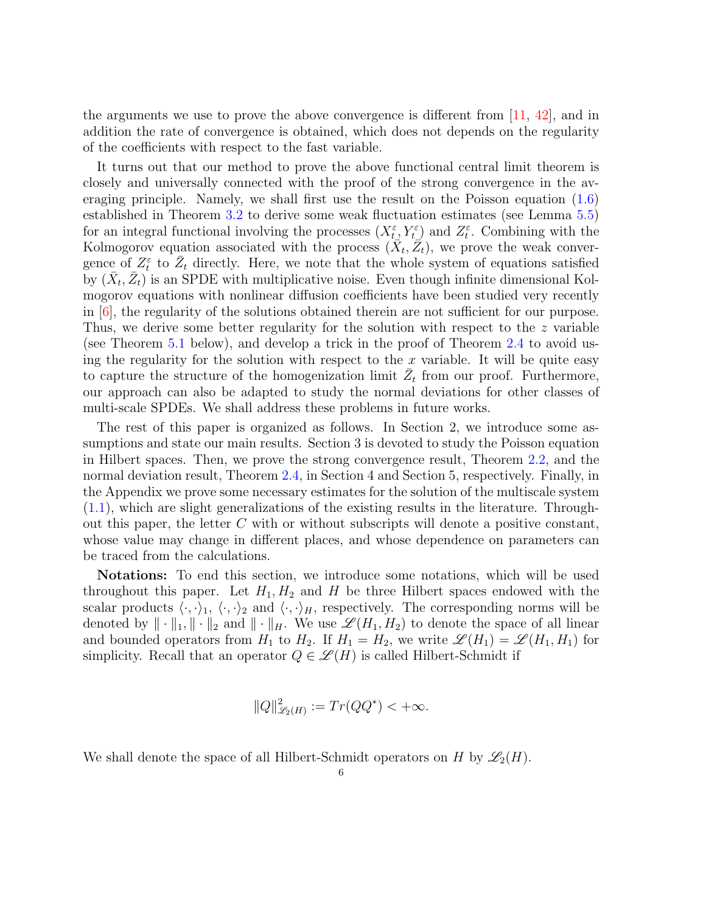the arguments we use to prove the above convergence is different from [\[11,](#page-42-13) [42\]](#page-43-12), and in addition the rate of convergence is obtained, which does not depends on the regularity of the coefficients with respect to the fast variable.

It turns out that our method to prove the above functional central limit theorem is closely and universally connected with the proof of the strong convergence in the averaging principle. Namely, we shall first use the result on the Poisson equation [\(1.6\)](#page-3-0) established in Theorem [3.2](#page-11-1) to derive some weak fluctuation estimates (see Lemma [5.5\)](#page-32-0) for an integral functional involving the processes  $(X_t^{\varepsilon}, Y_t^{\varepsilon})$  and  $Z_t^{\varepsilon}$ . Combining with the Kolmogorov equation associated with the process  $(\bar{X}_t, \bar{Z}_t)$ , we prove the weak convergence of  $Z_t^{\varepsilon}$  to  $\bar{Z}_t$  directly. Here, we note that the whole system of equations satisfied by  $(\bar{X}_t, \bar{Z}_t)$  is an SPDE with multiplicative noise. Even though infinite dimensional Kolmogorov equations with nonlinear diffusion coefficients have been studied very recently in  $[6]$ , the regularity of the solutions obtained therein are not sufficient for our purpose. Thus, we derive some better regularity for the solution with respect to the z variable (see Theorem [5.1](#page-26-0) below), and develop a trick in the proof of Theorem [2.4](#page-10-0) to avoid using the regularity for the solution with respect to the  $x$  variable. It will be quite easy to capture the structure of the homogenization limit  $\overline{Z}_t$  from our proof. Furthermore, our approach can also be adapted to study the normal deviations for other classes of multi-scale SPDEs. We shall address these problems in future works.

The rest of this paper is organized as follows. In Section 2, we introduce some assumptions and state our main results. Section 3 is devoted to study the Poisson equation in Hilbert spaces. Then, we prove the strong convergence result, Theorem [2.2,](#page-9-1) and the normal deviation result, Theorem [2.4,](#page-10-0) in Section 4 and Section 5, respectively. Finally, in the Appendix we prove some necessary estimates for the solution of the multiscale system [\(1.1\)](#page-1-1), which are slight generalizations of the existing results in the literature. Throughout this paper, the letter  $C$  with or without subscripts will denote a positive constant, whose value may change in different places, and whose dependence on parameters can be traced from the calculations.

Notations: To end this section, we introduce some notations, which will be used throughout this paper. Let  $H_1, H_2$  and H be three Hilbert spaces endowed with the scalar products  $\langle \cdot, \cdot \rangle_1$ ,  $\langle \cdot, \cdot \rangle_2$  and  $\langle \cdot, \cdot \rangle_H$ , respectively. The corresponding norms will be denoted by  $\|\cdot\|_1, \|\cdot\|_2$  and  $\|\cdot\|_H$ . We use  $\mathscr{L}(H_1, H_2)$  to denote the space of all linear and bounded operators from  $H_1$  to  $H_2$ . If  $H_1 = H_2$ , we write  $\mathscr{L}(H_1) = \mathscr{L}(H_1, H_1)$  for simplicity. Recall that an operator  $Q \in \mathcal{L}(H)$  is called Hilbert-Schmidt if

$$
||Q||_{\mathscr{L}_2(H)}^2 := Tr(QQ^*) < +\infty.
$$

We shall denote the space of all Hilbert-Schmidt operators on H by  $\mathscr{L}_2(H)$ .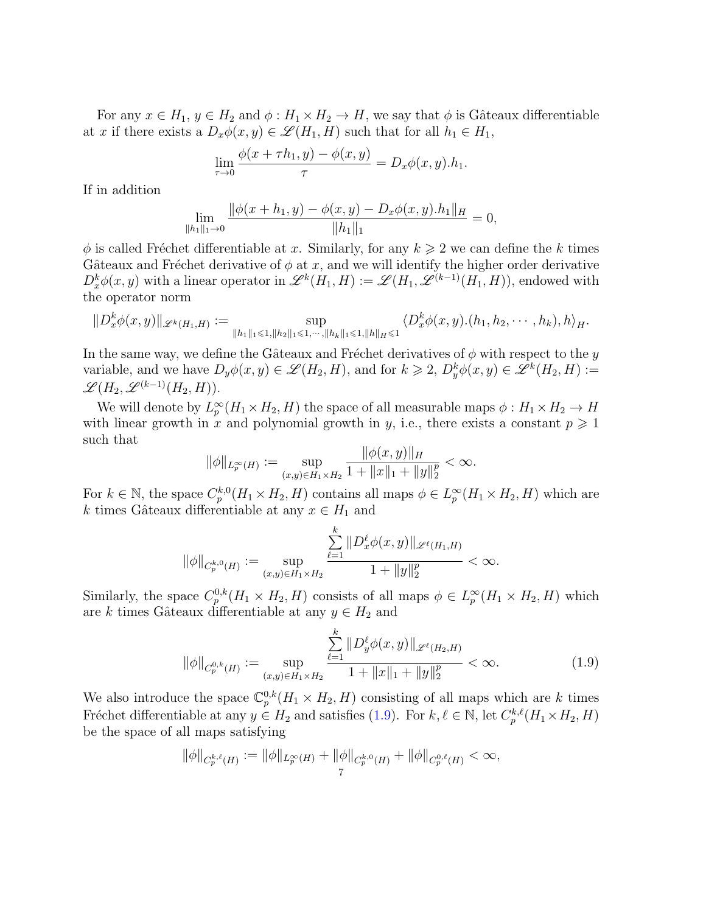For any  $x \in H_1$ ,  $y \in H_2$  and  $\phi : H_1 \times H_2 \to H$ , we say that  $\phi$  is Gâteaux differentiable at x if there exists a  $D_x \phi(x, y) \in \mathscr{L}(H_1, H)$  such that for all  $h_1 \in H_1$ ,

$$
\lim_{\tau \to 0} \frac{\phi(x + \tau h_1, y) - \phi(x, y)}{\tau} = D_x \phi(x, y).h_1.
$$

If in addition

$$
\lim_{\|h_1\|_1\to 0} \frac{\|\phi(x+h_1,y)-\phi(x,y)-D_x\phi(x,y).h_1\|_H}{\|h_1\|_1} = 0,
$$

 $\phi$  is called Fréchet differentiable at x. Similarly, for any  $k \geqslant 2$  we can define the k times Gâteaux and Fréchet derivative of  $\phi$  at x, and we will identify the higher order derivative  $D_x^k \phi(x, y)$  with a linear operator in  $\mathscr{L}^k(H_1, H) := \mathscr{L}(H_1, \mathscr{L}^{(k-1)}(H_1, H))$ , endowed with the operator norm

$$
||D_x^k \phi(x,y)||_{\mathscr{L}^k(H_1,H)} := \sup_{||h_1||_1 \leq 1, ||h_2||_1 \leq 1, \dots, ||h_k||_1 \leq 1, ||h||_H \leq 1} \langle D_x^k \phi(x,y) \cdot (h_1, h_2, \dots, h_k), h \rangle_H.
$$

In the same way, we define the Gâteaux and Fréchet derivatives of  $\phi$  with respect to the y variable, and we have  $D_y\phi(x,y) \in \mathscr{L}(H_2,H)$ , and for  $k \geq 2$ ,  $D_y^k\phi(x,y) \in \mathscr{L}^k(H_2,H) :=$  $\mathscr{L}(H_2, \mathscr{L}^{(k-1)}(H_2, H)).$ 

We will denote by  $L_p^{\infty}(H_1 \times H_2, H)$  the space of all measurable maps  $\phi: H_1 \times H_2 \to H$ with linear growth in x and polynomial growth in y, i.e., there exists a constant  $p \geq 1$ such that

$$
\|\phi\|_{L_p^{\infty}(H)} := \sup_{(x,y)\in H_1\times H_2} \frac{\|\phi(x,y)\|_H}{1 + \|x\|_1 + \|y\|_2^p} < \infty.
$$

For  $k \in \mathbb{N}$ , the space  $C_p^{k,0}(H_1 \times H_2, H)$  contains all maps  $\phi \in L_p^{\infty}(H_1 \times H_2, H)$  which are k times Gâteaux differentiable at any  $x \in H_1$  and

$$
\|\phi\|_{C^{k,0}_p(H)}:=\sup_{(x,y)\in H_1\times H_2}\frac{\sum\limits_{\ell=1}^k\|D^{\ell}_x\phi(x,y)\|_{\mathscr{L}^{\ell}(H_1,H)}}{1+\|y\|_2^p}<\infty.
$$

Similarly, the space  $C_p^{0,k}(H_1 \times H_2, H)$  consists of all maps  $\phi \in L_p^{\infty}(H_1 \times H_2, H)$  which are k times Gâteaux differentiable at any  $y \in H_2$  and

<span id="page-6-0"></span>
$$
\|\phi\|_{C_p^{0,k}(H)} := \sup_{(x,y)\in H_1\times H_2} \frac{\sum_{\ell=1}^k \|D_y^{\ell}\phi(x,y)\|_{\mathscr{L}^{\ell}(H_2,H)}}{1 + \|x\|_1 + \|y\|_2^p} < \infty.
$$
 (1.9)

We also introduce the space  $\mathbb{C}_p^{0,k}(H_1 \times H_2, H)$  consisting of all maps which are k times Fréchet differentiable at any  $y \in H_2$  and satisfies [\(1.9\)](#page-6-0). For  $k, \ell \in \mathbb{N}$ , let  $C_p^{k,\ell}(H_1 \times H_2, H)$ be the space of all maps satisfying

$$
\|\phi\|_{C_p^{k,\ell}(H)} := \|\phi\|_{L_p^{\infty}(H)} + \|\phi\|_{C_p^{k,0}(H)} + \|\phi\|_{C_p^{0,\ell}(H)} < \infty,
$$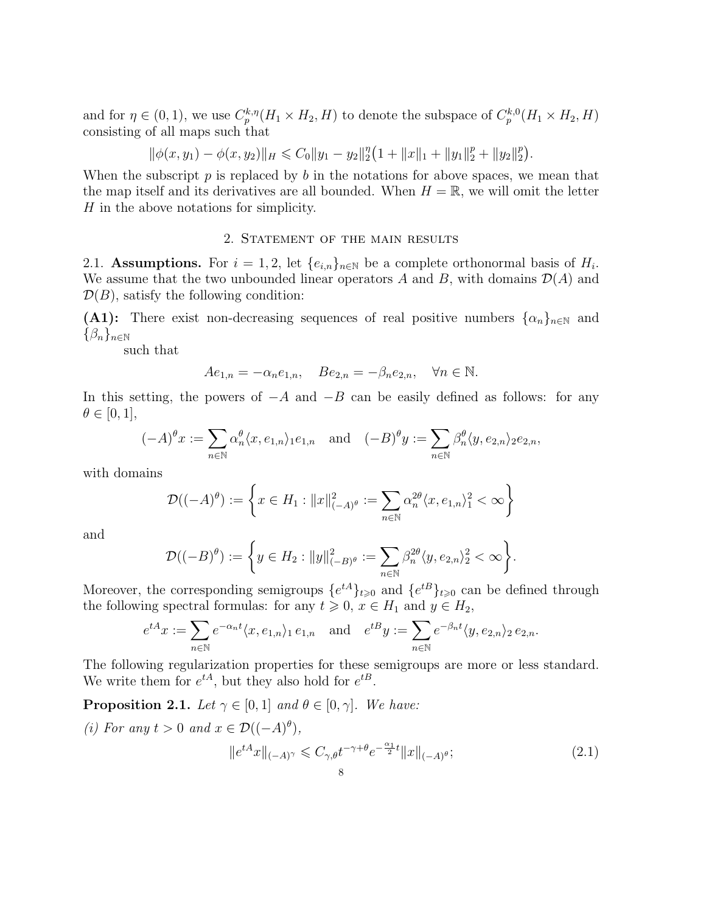and for  $\eta \in (0,1)$ , we use  $C_p^{k,\eta}(H_1 \times H_2, H)$  to denote the subspace of  $C_p^{k,0}(H_1 \times H_2, H)$ consisting of all maps such that

$$
\|\phi(x,y_1)-\phi(x,y_2)\|_H\leq C_0\|y_1-y_2\|_2^{\eta}\big(1+\|x\|_1+\|y_1\|_2^p+\|y_2\|_2^p\big).
$$

When the subscript  $p$  is replaced by  $b$  in the notations for above spaces, we mean that the map itself and its derivatives are all bounded. When  $H = \mathbb{R}$ , we will omit the letter H in the above notations for simplicity.

### 2. Statement of the main results

<span id="page-7-1"></span><span id="page-7-0"></span>2.1. Assumptions. For  $i = 1, 2$ , let  $\{e_{i,n}\}_{n \in \mathbb{N}}$  be a complete orthonormal basis of  $H_i$ . We assume that the two unbounded linear operators A and B, with domains  $\mathcal{D}(A)$  and  $\mathcal{D}(B)$ , satisfy the following condition:

(A1): There exist non-decreasing sequences of real positive numbers  $\{\alpha_n\}_{n\in\mathbb{N}}$  and  $\{\beta_n\}_{n\in\mathbb{N}}$ 

such that

$$
Ae_{1,n} = -\alpha_n e_{1,n}, \quad Be_{2,n} = -\beta_n e_{2,n}, \quad \forall n \in \mathbb{N}.
$$

In this setting, the powers of  $-A$  and  $-B$  can be easily defined as follows: for any  $\theta \in [0,1],$ 

$$
(-A)^{\theta}x := \sum_{n \in \mathbb{N}} \alpha_n^{\theta} \langle x, e_{1,n} \rangle_1 e_{1,n} \quad \text{and} \quad (-B)^{\theta}y := \sum_{n \in \mathbb{N}} \beta_n^{\theta} \langle y, e_{2,n} \rangle_2 e_{2,n},
$$

with domains

$$
\mathcal{D}((-A)^{\theta}) := \left\{ x \in H_1 : ||x||_{(-A)^{\theta}}^2 := \sum_{n \in \mathbb{N}} \alpha_n^{2\theta} \langle x, e_{1,n} \rangle_1^2 < \infty \right\}
$$

and

$$
\mathcal{D}((-B)^{\theta}) := \left\{ y \in H_2 : ||y||_{(-B)^{\theta}}^2 := \sum_{n \in \mathbb{N}} \beta_n^{2\theta} \langle y, e_{2,n} \rangle_2^2 < \infty \right\}.
$$

Moreover, the corresponding semigroups  $\{e^{tA}\}_{t\geqslant0}$  and  $\{e^{tB}\}_{t\geqslant0}$  can be defined through the following spectral formulas: for any  $t \geq 0$ ,  $x \in H_1$  and  $y \in H_2$ ,

<span id="page-7-2"></span>
$$
e^{tA}x := \sum_{n \in \mathbb{N}} e^{-\alpha_n t} \langle x, e_{1,n} \rangle_1 e_{1,n} \quad \text{and} \quad e^{tB}y := \sum_{n \in \mathbb{N}} e^{-\beta_n t} \langle y, e_{2,n} \rangle_2 e_{2,n}.
$$

The following regularization properties for these semigroups are more or less standard. We write them for  $e^{tA}$ , but they also hold for  $e^{tB}$ .

<span id="page-7-3"></span>**Proposition 2.1.** Let  $\gamma \in [0, 1]$  and  $\theta \in [0, \gamma]$ . We have:

(i) For any  $t > 0$  and  $x \in \mathcal{D}((-A)^{\theta}),$  $||e^{tA}x||_{(-A)^{\gamma}} \leqslant C_{\gamma,\theta}t^{-\gamma+\theta}e^{-\frac{\alpha_{1}}{2}t}||x||_{(-A)}$  $(2.1)$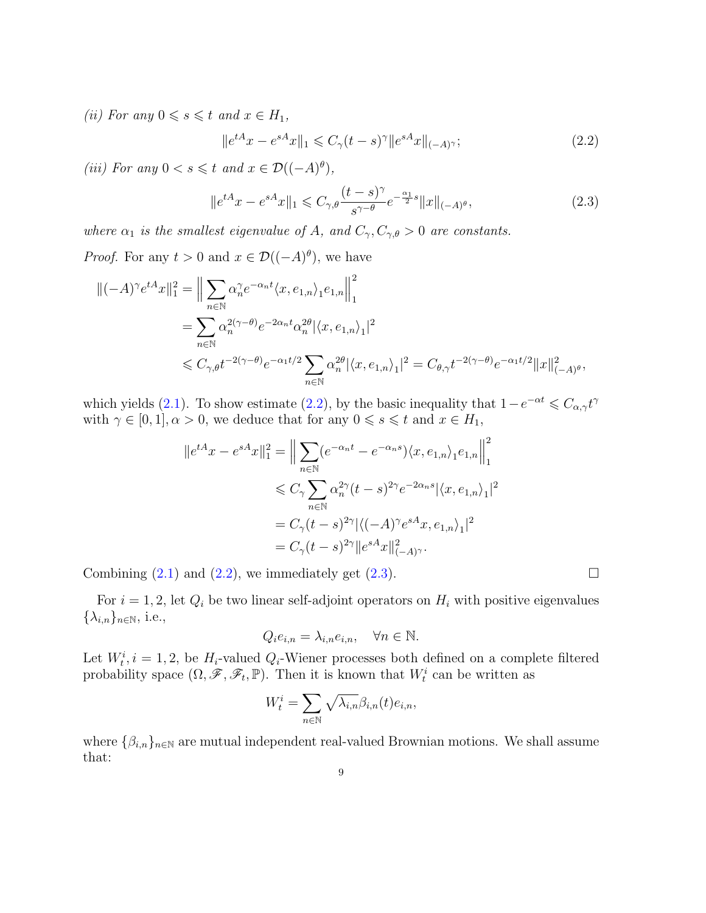(ii) For any  $0 \le s \le t$  and  $x \in H_1$ ,

<span id="page-8-1"></span><span id="page-8-0"></span>
$$
||e^{tA}x - e^{sA}x||_1 \leq C_{\gamma}(t-s)^{\gamma} ||e^{sA}x||_{(-A)^{\gamma}};
$$
\n(2.2)

(iii) For any  $0 < s \leq t$  and  $x \in \mathcal{D}((-A)^{\theta}),$ 

$$
||e^{tA}x - e^{sA}x||_1 \leq C_{\gamma,\theta} \frac{(t-s)^{\gamma}}{s^{\gamma-\theta}} e^{-\frac{\alpha_1}{2}s} ||x||_{(-A)^{\theta}},
$$
\n(2.3)

where  $\alpha_1$  is the smallest eigenvalue of A, and  $C_{\gamma}, C_{\gamma,\theta} > 0$  are constants.

*Proof.* For any  $t > 0$  and  $x \in \mathcal{D}((-A)^{\theta})$ , we have

$$
\begin{split} \Vert (-A)^{\gamma}e^{tA}x\Vert_{1}^{2} &= \Big\Vert \sum_{n\in\mathbb{N}}\alpha_{n}^{\gamma}e^{-\alpha_{n}t}\langle x,e_{1,n}\rangle_{1}e_{1,n}\Big\Vert_{1}^{2} \\ &=\sum_{n\in\mathbb{N}}\alpha_{n}^{2(\gamma-\theta)}e^{-2\alpha_{n}t}\alpha_{n}^{2\theta}|\langle x,e_{1,n}\rangle_{1}|^{2} \\ &\leqslant C_{\gamma,\theta}t^{-2(\gamma-\theta)}e^{-\alpha_{1}t/2}\sum_{n\in\mathbb{N}}\alpha_{n}^{2\theta}|\langle x,e_{1,n}\rangle_{1}|^{2}=C_{\theta,\gamma}t^{-2(\gamma-\theta)}e^{-\alpha_{1}t/2}\Vert x\Vert_{(-A)^{\theta}}^{2}, \end{split}
$$

which yields [\(2.1\)](#page-7-2). To show estimate [\(2.2\)](#page-8-0), by the basic inequality that  $1-e^{-\alpha t} \leq C_{\alpha,\gamma}t^{\gamma}$ with  $\gamma \in [0, 1], \alpha > 0$ , we deduce that for any  $0 \leqslant s \leqslant t$  and  $x \in H_1$ ,

$$
||e^{tA}x - e^{sA}x||_1^2 = \Big\|\sum_{n\in\mathbb{N}} (e^{-\alpha_n t} - e^{-\alpha_n s})\langle x, e_{1,n}\rangle_1 e_{1,n}\Big\|_1^2
$$
  

$$
\leq C_\gamma \sum_{n\in\mathbb{N}} \alpha_n^{2\gamma} (t-s)^{2\gamma} e^{-2\alpha_n s} |\langle x, e_{1,n}\rangle_1|^2
$$
  

$$
= C_\gamma (t-s)^{2\gamma} |\langle (-A)^\gamma e^{sA}x, e_{1,n}\rangle_1|^2
$$
  

$$
= C_\gamma (t-s)^{2\gamma} ||e^{sA}x||_{(-A)^\gamma}^2.
$$

Combining  $(2.1)$  and  $(2.2)$ , we immediately get  $(2.3)$ .

For  $i = 1, 2$ , let  $Q_i$  be two linear self-adjoint operators on  $H_i$  with positive eigenvalues  $\{\lambda_{i,n}\}_{n\in\mathbb{N}},$  i.e.,

$$
Q_i e_{i,n} = \lambda_{i,n} e_{i,n}, \quad \forall n \in \mathbb{N}.
$$

Let  $W_t^i$ ,  $i = 1, 2$ , be  $H_i$ -valued  $Q_i$ -Wiener processes both defined on a complete filtered probability space  $(\Omega, \mathscr{F}, \mathscr{F}_t, \mathbb{P})$ . Then it is known that  $W_t^i$  can be written as

$$
W_t^i = \sum_{n \in \mathbb{N}} \sqrt{\lambda_{i,n}} \beta_{i,n}(t) e_{i,n},
$$

where  $\{\beta_{i,n}\}_{n\in\mathbb{N}}$  are mutual independent real-valued Brownian motions. We shall assume that: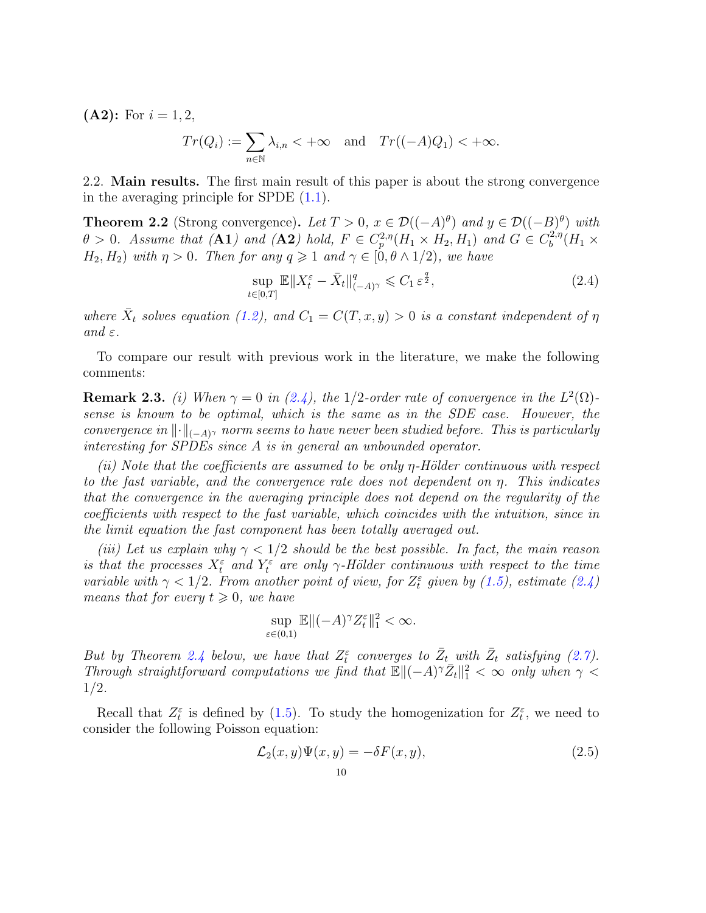$(A2):$  For  $i = 1, 2,$ 

$$
Tr(Q_i) := \sum_{n \in \mathbb{N}} \lambda_{i,n} < +\infty
$$
 and  $Tr((-A)Q_1) < +\infty$ .

<span id="page-9-0"></span>2.2. Main results. The first main result of this paper is about the strong convergence in the averaging principle for SPDE  $(1.1)$ .

<span id="page-9-1"></span>**Theorem 2.2** (Strong convergence). Let  $T > 0$ ,  $x \in \mathcal{D}((-A)^{\theta})$  and  $y \in \mathcal{D}((-B)^{\theta})$  with  $\theta > 0$ . Assume that (A1) and (A2) hold,  $F \in C_p^{2,\eta}(H_1 \times H_2, H_1)$  and  $G \in C_b^{2,\eta}$  $b^{2,\eta}(H_1\times$  $H_2, H_2$ ) with  $\eta > 0$ . Then for any  $q \geq 1$  and  $\gamma \in [0, \theta \wedge 1/2)$ , we have

<span id="page-9-3"></span>
$$
\sup_{t \in [0,T]} \mathbb{E} \|X_t^{\varepsilon} - \bar{X}_t\|_{(-A)^{\gamma}}^q \leq C_1 \varepsilon^{\frac{q}{2}},\tag{2.4}
$$

where  $\bar{X}_t$  solves equation [\(1.2\)](#page-1-2), and  $C_1 = C(T, x, y) > 0$  is a constant independent of  $\eta$ and  $\varepsilon$ .

To compare our result with previous work in the literature, we make the following comments:

<span id="page-9-2"></span>**Remark 2.3.** (i) When  $\gamma = 0$  in [\(2.4\)](#page-9-3), the 1/2-order rate of convergence in the  $L^2(\Omega)$ sense is known to be optimal, which is the same as in the SDE case. However, the convergence in  $\lVert \cdot \rVert_{(-A)^{\gamma}}$  norm seems to have never been studied before. This is particularly interesting for SPDEs since A is in general an unbounded operator.

(ii) Note that the coefficients are assumed to be only  $\eta$ -Hölder continuous with respect to the fast variable, and the convergence rate does not dependent on  $\eta$ . This indicates that the convergence in the averaging principle does not depend on the regularity of the coefficients with respect to the fast variable, which coincides with the intuition, since in the limit equation the fast component has been totally averaged out.

(iii) Let us explain why  $\gamma < 1/2$  should be the best possible. In fact, the main reason is that the processes  $X_t^{\varepsilon}$  and  $Y_t^{\varepsilon}$  are only  $\gamma$ -Hölder continuous with respect to the time variable with  $\gamma < 1/2$ . From another point of view, for  $Z_t^{\varepsilon}$  given by [\(1.5\)](#page-2-0), estimate [\(2.4\)](#page-9-3) means that for every  $t \geq 0$ , we have

$$
\sup_{\varepsilon \in (0,1)} \mathbb{E} \|( -A)^\gamma Z_t^{\varepsilon} \|_1^2 < \infty.
$$

But by Theorem [2.4](#page-10-0) below, we have that  $Z_t^{\varepsilon}$  converges to  $\bar{Z}_{t_{\perp}}$  with  $\bar{Z}_t$  satisfying [\(2.7\)](#page-10-3). Through straightforward computations we find that  $\mathbb{E}\|(-A)^{\gamma}\bar{Z}_{t}\|_{1}^{2} < \infty$  only when  $\gamma$ 1/2.

Recall that  $Z_t^{\varepsilon}$  is defined by [\(1.5\)](#page-2-0). To study the homogenization for  $Z_t^{\varepsilon}$ , we need to consider the following Poisson equation:

<span id="page-9-4"></span>
$$
\mathcal{L}_2(x, y)\Psi(x, y) = -\delta F(x, y),\tag{2.5}
$$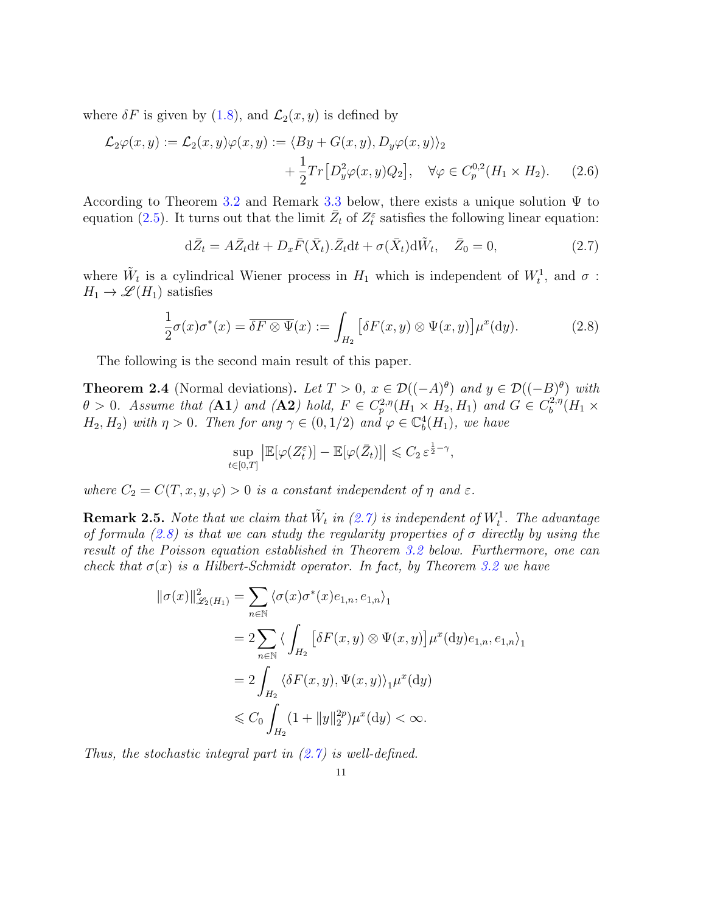where  $\delta F$  is given by [\(1.8\)](#page-4-0), and  $\mathcal{L}_2(x, y)$  is defined by

$$
\mathcal{L}_2\varphi(x,y) := \mathcal{L}_2(x,y)\varphi(x,y) := \langle By + G(x,y), D_y\varphi(x,y)\rangle_2
$$
  
 
$$
+ \frac{1}{2}Tr[D_y^2\varphi(x,y)Q_2], \quad \forall \varphi \in C_p^{0,2}(H_1 \times H_2). \tag{2.6}
$$

According to Theorem [3.2](#page-11-1) and Remark [3.3](#page-11-2) below, there exists a unique solution  $\Psi$  to equation [\(2.5\)](#page-9-4). It turns out that the limit  $\bar{Z}_t$  of  $Z_t^{\varepsilon}$  satisfies the following linear equation:

<span id="page-10-3"></span><span id="page-10-1"></span>
$$
d\bar{Z}_t = A\bar{Z}_t dt + D_x \bar{F}(\bar{X}_t) \cdot \bar{Z}_t dt + \sigma(\bar{X}_t) d\tilde{W}_t, \quad \bar{Z}_0 = 0,
$$
\n(2.7)

where  $\tilde{W}_t$  is a cylindrical Wiener process in  $H_1$  which is independent of  $W_t^1$ , and  $\sigma$ :  $H_1 \to \mathscr{L}(H_1)$  satisfies

$$
\frac{1}{2}\sigma(x)\sigma^*(x) = \overline{\delta F \otimes \Psi}(x) := \int_{H_2} \left[ \delta F(x, y) \otimes \Psi(x, y) \right] \mu^x(\mathrm{d}y). \tag{2.8}
$$

The following is the second main result of this paper.

<span id="page-10-0"></span>**Theorem 2.4** (Normal deviations). Let  $T > 0$ ,  $x \in \mathcal{D}((-A)^{\theta})$  and  $y \in \mathcal{D}((-B)^{\theta})$  with  $\theta > 0$ . Assume that (A1) and (A2) hold,  $F \in C_p^{2,\eta}(H_1 \times H_2, H_1)$  and  $G \in C_b^{2,\eta}$  $b^{2,\eta}(H_1\times$  $H_2, H_2$ ) with  $\eta > 0$ . Then for any  $\gamma \in (0, 1/2)$  and  $\varphi \in \mathbb{C}^4_b(H_1)$ , we have

<span id="page-10-2"></span>
$$
\sup_{t \in [0,T]} \left| \mathbb{E}[\varphi(Z_t^{\varepsilon})] - \mathbb{E}[\varphi(\bar{Z}_t)] \right| \leqslant C_2 \, \varepsilon^{\frac{1}{2} - \gamma},
$$

where  $C_2 = C(T, x, y, \varphi) > 0$  is a constant independent of  $\eta$  and  $\varepsilon$ .

**Remark 2.5.** Note that we claim that  $\tilde{W}_t$  in [\(2.7\)](#page-10-3) is independent of  $W_t^1$ . The advantage of formula [\(2.8\)](#page-10-2) is that we can study the regularity properties of  $\sigma$  directly by using the result of the Poisson equation established in Theorem [3.2](#page-11-1) below. Furthermore, one can check that  $\sigma(x)$  is a Hilbert-Schmidt operator. In fact, by Theorem [3.2](#page-11-1) we have

$$
\begin{aligned} \|\sigma(x)\|_{\mathscr{L}_2(H_1)}^2 &= \sum_{n\in\mathbb{N}} \langle \sigma(x)\sigma^*(x)e_{1,n}, e_{1,n} \rangle_1 \\ &= 2 \sum_{n\in\mathbb{N}} \langle \int_{H_2} \left[ \delta F(x,y) \otimes \Psi(x,y) \right] \mu^x(\mathrm{d}y) e_{1,n}, e_{1,n} \rangle_1 \\ &= 2 \int_{H_2} \langle \delta F(x,y), \Psi(x,y) \rangle_1 \mu^x(\mathrm{d}y) \\ &\leqslant C_0 \int_{H_2} (1 + \|y\|_2^{2p}) \mu^x(\mathrm{d}y) < \infty. \end{aligned}
$$

Thus, the stochastic integral part in  $(2.7)$  is well-defined.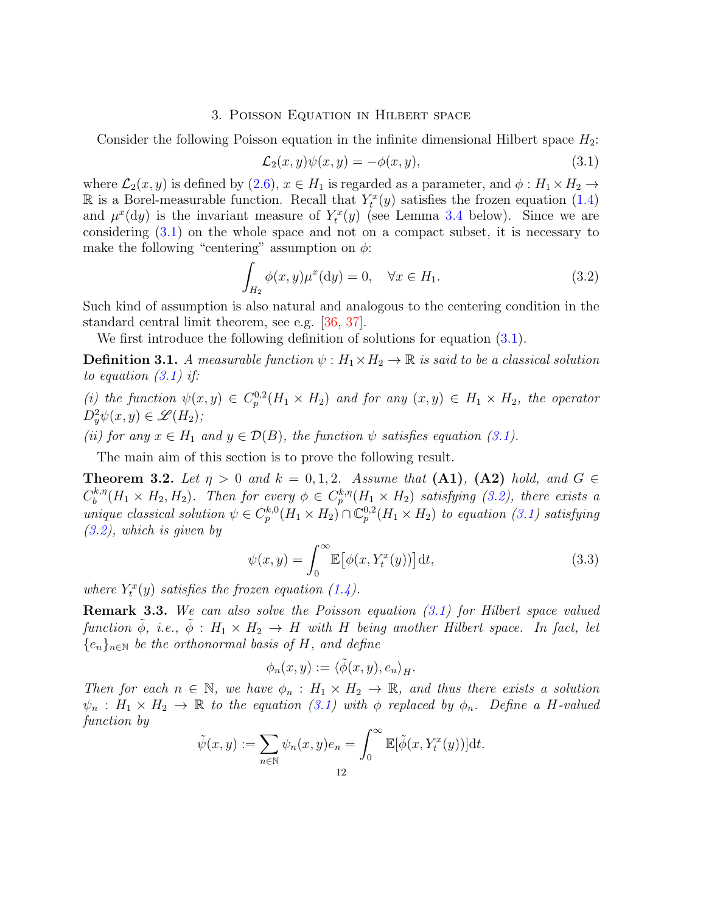#### 3. Poisson Equation in Hilbert space

<span id="page-11-0"></span>Consider the following Poisson equation in the infinite dimensional Hilbert space  $H_2$ :

<span id="page-11-4"></span><span id="page-11-3"></span>
$$
\mathcal{L}_2(x, y)\psi(x, y) = -\phi(x, y),\tag{3.1}
$$

where  $\mathcal{L}_2(x, y)$  is defined by [\(2.6\)](#page-10-1),  $x \in H_1$  is regarded as a parameter, and  $\phi : H_1 \times H_2 \rightarrow$ R is a Borel-measurable function. Recall that  $Y_t^x(y)$  satisfies the frozen equation [\(1.4\)](#page-1-3) and  $\mu^x(dy)$  is the invariant measure of  $Y_t^x(y)$  (see Lemma [3.4](#page-12-1) below). Since we are considering [\(3.1\)](#page-11-3) on the whole space and not on a compact subset, it is necessary to make the following "centering" assumption on  $\phi$ :

$$
\int_{H_2} \phi(x, y) \mu^x(\mathrm{d}y) = 0, \quad \forall x \in H_1.
$$
\n(3.2)

Such kind of assumption is also natural and analogous to the centering condition in the standard central limit theorem, see e.g. [\[36,](#page-43-15) [37\]](#page-43-16).

We first introduce the following definition of solutions for equation  $(3.1)$ .

**Definition 3.1.** A measurable function  $\psi : H_1 \times H_2 \to \mathbb{R}$  is said to be a classical solution to equation  $(3.1)$  if:

(i) the function  $\psi(x,y) \in C_p^{0,2}(H_1 \times H_2)$  and for any  $(x,y) \in H_1 \times H_2$ , the operator  $D_y^2\psi(x,y)\in \mathscr{L}(H_2);$ 

(ii) for any  $x \in H_1$  and  $y \in \mathcal{D}(B)$ , the function  $\psi$  satisfies equation [\(3.1\)](#page-11-3).

The main aim of this section is to prove the following result.

<span id="page-11-1"></span>**Theorem 3.2.** Let  $\eta > 0$  and  $k = 0, 1, 2$ . Assume that  $(A1)$ ,  $(A2)$  hold, and  $G \in$  $C^{k, \eta}_b$  $b^{k,\eta}(H_1 \times H_2, H_2)$ . Then for every  $\phi \in C_p^{k,\eta}(H_1 \times H_2)$  satisfying [\(3.2\)](#page-11-4), there exists a unique classical solution  $\psi \in C_p^{k,0}(H_1 \times H_2) \cap \mathbb{C}_p^{0,2}(H_1 \times H_2)$  to equation [\(3.1\)](#page-11-3) satisfying [\(3.2\)](#page-11-4), which is given by

<span id="page-11-5"></span>
$$
\psi(x,y) = \int_0^\infty \mathbb{E} \big[ \phi(x, Y_t^x(y)) \big] dt,\tag{3.3}
$$

where  $Y_t^x(y)$  satisfies the frozen equation [\(1.4\)](#page-1-3).

<span id="page-11-2"></span>Remark 3.3. We can also solve the Poisson equation [\(3.1\)](#page-11-3) for Hilbert space valued function  $\phi$ , i.e.,  $\phi$  :  $H_1 \times H_2 \rightarrow H$  with H being another Hilbert space. In fact, let  ${e_n}_{n\in\mathbb{N}}$  be the orthonormal basis of H, and define

$$
\phi_n(x,y):=\langle \tilde\phi(x,y),e_n\rangle_H.
$$

Then for each  $n \in \mathbb{N}$ , we have  $\phi_n : H_1 \times H_2 \to \mathbb{R}$ , and thus there exists a solution  $\psi_n : H_1 \times H_2 \to \mathbb{R}$  to the equation [\(3.1\)](#page-11-3) with  $\phi$  replaced by  $\phi_n$ . Define a H-valued function by

$$
\tilde{\psi}(x,y) := \sum_{n \in \mathbb{N}} \psi_n(x,y)e_n = \int_0^\infty \mathbb{E}[\tilde{\phi}(x,Y_t^x(y))]dt.
$$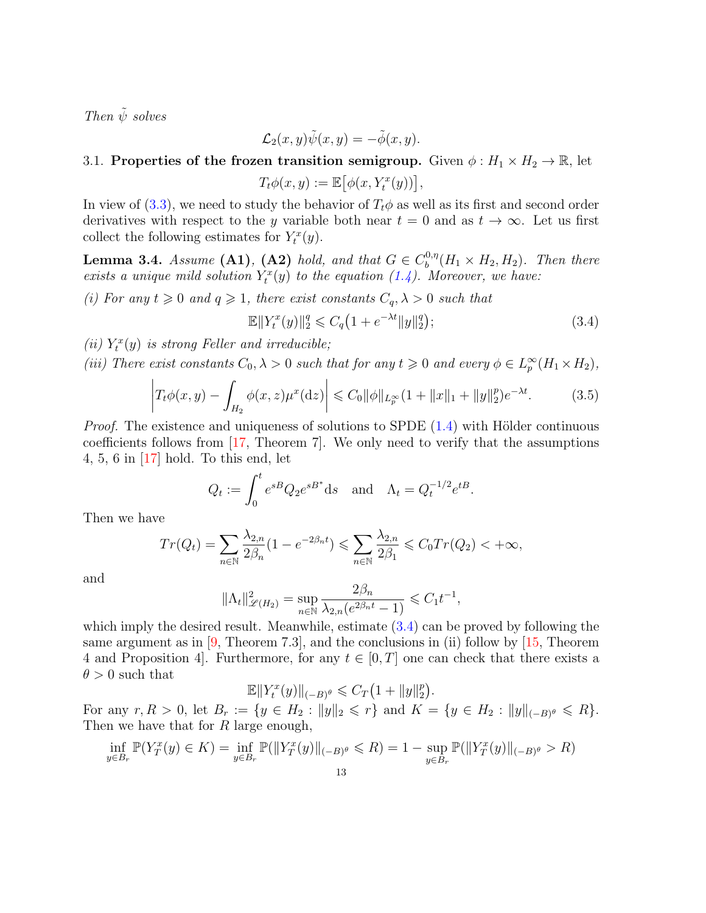Then  $\tilde{\psi}$  solves

$$
\mathcal{L}_2(x,y)\tilde{\psi}(x,y)=-\tilde{\phi}(x,y).
$$

# <span id="page-12-0"></span>3.1. Properties of the frozen transition semigroup. Given  $\phi: H_1 \times H_2 \to \mathbb{R}$ , let

$$
T_t \phi(x, y) := \mathbb{E} \big[ \phi(x, Y_t^x(y)) \big],
$$

In view of [\(3.3\)](#page-11-5), we need to study the behavior of  $T_t\phi$  as well as its first and second order derivatives with respect to the y variable both near  $t = 0$  and as  $t \to \infty$ . Let us first collect the following estimates for  $Y_t^x(y)$ .

<span id="page-12-1"></span>**Lemma 3.4.** Assume (A1), (A2) hold, and that  $G \in C_b^{0,\eta}$  $b_0^{0,\eta}(H_1 \times H_2, H_2)$ . Then there exists a unique mild solution  $Y_t^x(y)$  to the equation [\(1.4\)](#page-1-3). Moreover, we have:

(i) For any  $t \geq 0$  and  $q \geq 1$ , there exist constants  $C_q$ ,  $\lambda > 0$  such that

<span id="page-12-3"></span><span id="page-12-2"></span>
$$
\mathbb{E} \|Y_t^x(y)\|_2^q \leq C_q \left(1 + e^{-\lambda t} \|y\|_2^q\right);\tag{3.4}
$$

(ii)  $Y_t^x(y)$  is strong Feller and irreducible;

(iii) There exist constants  $C_0, \lambda > 0$  such that for any  $t \geq 0$  and every  $\phi \in L_p^{\infty}(H_1 \times H_2)$ ,

$$
\left| T_t \phi(x, y) - \int_{H_2} \phi(x, z) \mu^x(\mathrm{d}z) \right| \leq C_0 \|\phi\|_{L_p^\infty} (1 + \|x\|_1 + \|y\|_2^p) e^{-\lambda t}.
$$
 (3.5)

*Proof.* The existence and uniqueness of solutions to SPDE  $(1.4)$  with Hölder continuous coefficients follows from [\[17,](#page-42-16) Theorem 7]. We only need to verify that the assumptions 4, 5, 6 in [\[17\]](#page-42-16) hold. To this end, let

$$
Q_t := \int_0^t e^{sB} Q_2 e^{sB^*} ds \quad \text{and} \quad \Lambda_t = Q_t^{-1/2} e^{tB}.
$$

Then we have

$$
Tr(Q_t) = \sum_{n \in \mathbb{N}} \frac{\lambda_{2,n}}{2\beta_n} (1 - e^{-2\beta_n t}) \le \sum_{n \in \mathbb{N}} \frac{\lambda_{2,n}}{2\beta_1} \le C_0 Tr(Q_2) < +\infty,
$$

and

$$
\|\Lambda_t\|_{\mathscr{L}(H_2)}^2 = \sup_{n \in \mathbb{N}} \frac{2\beta_n}{\lambda_{2,n}(e^{2\beta_n t} - 1)} \leq C_1 t^{-1},
$$

which imply the desired result. Meanwhile, estimate [\(3.4\)](#page-12-2) can be proved by following the same argument as in [\[9,](#page-42-17) Theorem 7.3], and the conclusions in (ii) follow by [\[15,](#page-42-18) Theorem 4 and Proposition 4. Furthermore, for any  $t \in [0, T]$  one can check that there exists a  $\theta > 0$  such that

$$
\mathbb{E} \|Y_t^x(y)\|_{(-B)^{\theta}} \leq C_T \left(1 + \|y\|_2^p\right).
$$

For any  $r, R > 0$ , let  $B_r := \{y \in H_2 : ||y||_2 \leqslant r\}$  and  $K = \{y \in H_2 : ||y||_{(-B)^{\theta}} \leqslant R\}.$ Then we have that for R large enough,

$$
\inf_{y \in B_r} \mathbb{P}(Y_T^x(y) \in K) = \inf_{y \in B_r} \mathbb{P}(\|Y_T^x(y)\|_{(-B)^\theta} \le R) = 1 - \sup_{y \in B_r} \mathbb{P}(\|Y_T^x(y)\|_{(-B)^\theta} > R)
$$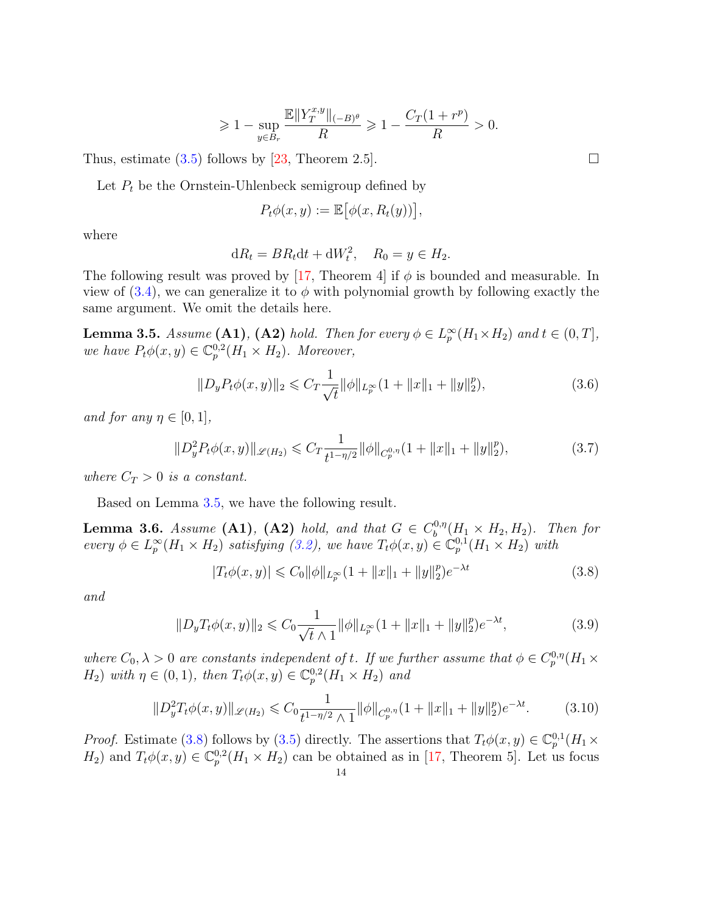$$
\geqslant 1-\sup_{y\in B_r}\frac{\mathbb{E}\|Y_T^{x,y}\|_{(-B)^\theta}}{R}\geqslant 1-\frac{C_T(1+r^p)}{R}>0.
$$

Thus, estimate  $(3.5)$  follows by [\[23,](#page-43-22) Theorem 2.5].

Let  $P_t$  be the Ornstein-Uhlenbeck semigroup defined by

$$
P_t\phi(x,y) := \mathbb{E}\big[\phi(x,R_t(y))\big],
$$

where

$$
dR_t = BR_t dt + dW_t^2, \quad R_0 = y \in H_2.
$$

The following result was proved by [\[17,](#page-42-16) Theorem 4] if  $\phi$  is bounded and measurable. In view of  $(3.4)$ , we can generalize it to  $\phi$  with polynomial growth by following exactly the same argument. We omit the details here.

<span id="page-13-0"></span>**Lemma 3.5.** Assume (A1), (A2) hold. Then for every  $\phi \in L_p^{\infty}(H_1 \times H_2)$  and  $t \in (0, T]$ , we have  $P_t\phi(x,y) \in \mathbb{C}_p^{0,2}(H_1 \times H_2)$ . Moreover,

$$
||D_y P_t \phi(x, y)||_2 \leq C_T \frac{1}{\sqrt{t}} ||\phi||_{L_p^{\infty}} (1 + ||x||_1 + ||y||_2^p),
$$
\n(3.6)

and for any  $\eta \in [0,1],$ 

$$
||D_y^2 P_t \phi(x, y)||_{\mathscr{L}(H_2)} \leq C_T \frac{1}{t^{1 - \eta/2}} ||\phi||_{C_p^{0, \eta}} (1 + ||x||_1 + ||y||_2^p),
$$
\n(3.7)

where  $C_T > 0$  is a constant.

Based on Lemma [3.5,](#page-13-0) we have the following result.

**Lemma 3.6.** Assume (A1), (A2) hold, and that  $G \in C_b^{0,\eta}$  $b_0^{0,\eta}(H_1 \times H_2, H_2)$ . Then for every  $\phi \in L_p^{\infty}(H_1 \times H_2)$  satisfying [\(3.2\)](#page-11-4), we have  $T_t\phi(x, y) \in \mathbb{C}_p^{0,1}(H_1 \times H_2)$  with

<span id="page-13-3"></span><span id="page-13-2"></span><span id="page-13-1"></span>
$$
|T_t\phi(x,y)| \leq C_0 \|\phi\|_{L_p^{\infty}} (1 + \|x\|_1 + \|y\|_2^p) e^{-\lambda t}
$$
\n(3.8)

and

$$
||D_yT_t\phi(x,y)||_2 \leq C_0 \frac{1}{\sqrt{t}\wedge 1} ||\phi||_{L_p^{\infty}} (1 + ||x||_1 + ||y||_2^p) e^{-\lambda t},
$$
\n(3.9)

where  $C_0, \lambda > 0$  are constants independent of t. If we further assume that  $\phi \in C_p^{0,\eta}(H_1 \times$  $H_2$ ) with  $\eta \in (0,1)$ , then  $T_t \phi(x,y) \in \mathbb{C}_p^{0,2}(H_1 \times H_2)$  and

$$
||D_y^2 T_t \phi(x, y)||_{\mathscr{L}(H_2)} \leq C_0 \frac{1}{t^{1 - \eta/2} \wedge 1} ||\phi||_{C_p^{0, \eta}} (1 + ||x||_1 + ||y||_2^p) e^{-\lambda t}.
$$
 (3.10)

*Proof.* Estimate [\(3.8\)](#page-13-1) follows by [\(3.5\)](#page-12-3) directly. The assertions that  $T_t\phi(x,y) \in \mathbb{C}_p^{0,1}(H_1 \times$  $H_2$ ) and  $T_t\phi(x,y) \in \mathbb{C}_p^{0,2}(H_1 \times H_2)$  can be obtained as in [\[17,](#page-42-16) Theorem 5]. Let us focus

<span id="page-13-5"></span><span id="page-13-4"></span>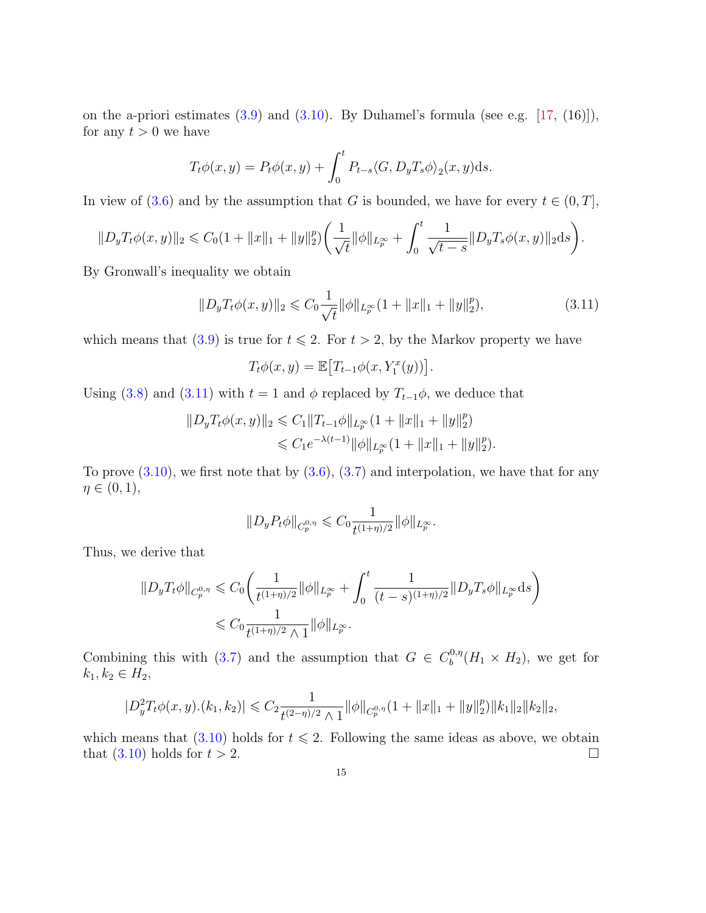on the a-priori estimates  $(3.9)$  and  $(3.10)$ . By Duhamel's formula (see e.g.  $[17, (16)]$  $[17, (16)]$ ), for any  $t > 0$  we have

$$
T_t \phi(x, y) = P_t \phi(x, y) + \int_0^t P_{t-s} \langle G, D_y T_s \phi \rangle_2(x, y) \mathrm{d}s.
$$

In view of [\(3.6\)](#page-13-4) and by the assumption that G is bounded, we have for every  $t \in (0, T]$ ,

$$
||D_yT_t\phi(x,y)||_2 \leq C_0(1+||x||_1+||y||_2^p)\bigg(\frac{1}{\sqrt{t}}||\phi||_{L_p^\infty}+\int_0^t\frac{1}{\sqrt{t-s}}||D_yT_s\phi(x,y)||_2ds\bigg).
$$

By Gronwall's inequality we obtain

$$
||D_yT_t\phi(x,y)||_2 \leq C_0 \frac{1}{\sqrt{t}} ||\phi||_{L_p^{\infty}} (1 + ||x||_1 + ||y||_2^p),
$$
\n(3.11)

which means that [\(3.9\)](#page-13-2) is true for  $t \le 2$ . For  $t > 2$ , by the Markov property we have

<span id="page-14-0"></span>
$$
T_t\phi(x,y) = \mathbb{E}\big[T_{t-1}\phi(x,Y_1^x(y))\big].
$$

Using [\(3.8\)](#page-13-1) and [\(3.11\)](#page-14-0) with  $t = 1$  and  $\phi$  replaced by  $T_{t-1}\phi$ , we deduce that

$$
||D_yT_t\phi(x,y)||_2 \leq C_1||T_{t-1}\phi||_{L_p^{\infty}}(1+||x||_1+||y||_2^p)
$$
  

$$
\leq C_1e^{-\lambda(t-1)}||\phi||_{L_p^{\infty}}(1+||x||_1+||y||_2^p).
$$

To prove  $(3.10)$ , we first note that by  $(3.6)$ ,  $(3.7)$  and interpolation, we have that for any  $\eta \in (0,1),$ 

$$
||D_y P_t \phi||_{C_p^{0,\eta}} \leqslant C_0 \frac{1}{t^{(1+\eta)/2}} ||\phi||_{L_p^{\infty}}.
$$

Thus, we derive that

$$
||D_y T_t \phi||_{C_p^{0,\eta}} \leq C_0 \left( \frac{1}{t^{(1+\eta)/2}} ||\phi||_{L_p^{\infty}} + \int_0^t \frac{1}{(t-s)^{(1+\eta)/2}} ||D_y T_s \phi||_{L_p^{\infty}} ds \right)
$$
  

$$
\leq C_0 \frac{1}{t^{(1+\eta)/2} \wedge 1} ||\phi||_{L_p^{\infty}}.
$$

Combining this with [\(3.7\)](#page-13-5) and the assumption that  $G \in C_b^{0,\eta}$  $b^{0,\eta}(H_1 \times H_2)$ , we get for  $k_{1}, k_{2} \in H_{2}$ ,

$$
|D_y^2 T_t \phi(x, y) \cdot (k_1, k_2)| \leq C_2 \frac{1}{t^{(2-\eta)/2} \wedge 1} ||\phi||_{C_p^{0,\eta}} (1 + ||x||_1 + ||y||_2^p) ||k_1||_2 ||k_2||_2,
$$

which means that [\(3.10\)](#page-13-3) holds for  $t \le 2$ . Following the same ideas as above, we obtain that  $(3.10)$  holds for  $t > 2$ .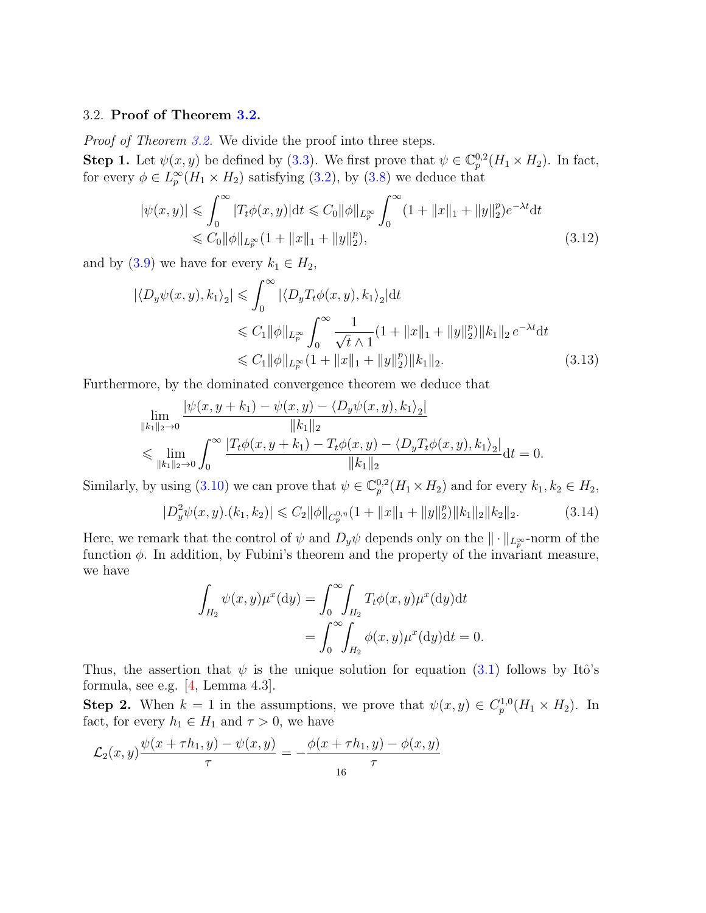## <span id="page-15-0"></span>3.2. Proof of Theorem [3.2.](#page-11-1)

Proof of Theorem [3.2.](#page-11-1) We divide the proof into three steps.

**Step 1.** Let  $\psi(x, y)$  be defined by [\(3.3\)](#page-11-5). We first prove that  $\psi \in \mathbb{C}_p^{0,2}(H_1 \times H_2)$ . In fact, for every  $\phi \in L_p^{\infty}(H_1 \times H_2)$  satisfying [\(3.2\)](#page-11-4), by [\(3.8\)](#page-13-1) we deduce that

<span id="page-15-3"></span>
$$
|\psi(x,y)| \leq \int_0^\infty |T_t \phi(x,y)| \, \mathrm{d}t \leq C_0 \|\phi\|_{L_p^\infty} \int_0^\infty (1 + \|x\|_1 + \|y\|_2^p) e^{-\lambda t} \, \mathrm{d}t
$$
  

$$
\leq C_0 \|\phi\|_{L_p^\infty} (1 + \|x\|_1 + \|y\|_2^p),\tag{3.12}
$$

and by [\(3.9\)](#page-13-2) we have for every  $k_1 \in H_2$ ,

$$
|\langle D_y \psi(x, y), k_1 \rangle_2| \leq \int_0^\infty |\langle D_y T_t \phi(x, y), k_1 \rangle_2| \, dt
$$
  
\n
$$
\leq C_1 ||\phi||_{L_p^\infty} \int_0^\infty \frac{1}{\sqrt{t} \wedge 1} (1 + ||x||_1 + ||y||_2^p) ||k_1||_2 \, e^{-\lambda t} \, dt
$$
  
\n
$$
\leq C_1 ||\phi||_{L_p^\infty} (1 + ||x||_1 + ||y||_2^p) ||k_1||_2.
$$
\n(3.13)

Furthermore, by the dominated convergence theorem we deduce that

<span id="page-15-1"></span>
$$
\lim_{\|k_1\|_2 \to 0} \frac{|\psi(x, y + k_1) - \psi(x, y) - \langle D_y \psi(x, y), k_1 \rangle_2|}{\|k_1\|_2} \n\leq \lim_{\|k_1\|_2 \to 0} \int_0^\infty \frac{|T_t \phi(x, y + k_1) - T_t \phi(x, y) - \langle D_y T_t \phi(x, y), k_1 \rangle_2|}{\|k_1\|_2} dt = 0.
$$

Similarly, by using [\(3.10\)](#page-13-3) we can prove that  $\psi \in \mathbb{C}_p^{0,2}(H_1 \times H_2)$  and for every  $k_1, k_2 \in H_2$ ,

$$
|D_y^2 \psi(x, y) \cdot (k_1, k_2)| \leq C_2 \|\phi\|_{C_p^{0,\eta}} (1 + \|x\|_1 + \|y\|_2^p) \|k_1\|_2 \|k_2\|_2.
$$
 (3.14)

Here, we remark that the control of  $\psi$  and  $D_y \psi$  depends only on the  $\|\cdot\|_{L^\infty_T}$ -norm of the function  $\phi$ . In addition, by Fubini's theorem and the property of the invariant measure, we have

<span id="page-15-2"></span>
$$
\int_{H_2} \psi(x, y)\mu^x(\mathrm{d}y) = \int_0^\infty \int_{H_2} T_t \phi(x, y)\mu^x(\mathrm{d}y)\mathrm{d}t
$$

$$
= \int_0^\infty \int_{H_2} \phi(x, y)\mu^x(\mathrm{d}y)\mathrm{d}t = 0.
$$

Thus, the assertion that  $\psi$  is the unique solution for equation [\(3.1\)](#page-11-3) follows by Itô's formula, see e.g. [\[4,](#page-42-11) Lemma 4.3].

**Step 2.** When  $k = 1$  in the assumptions, we prove that  $\psi(x, y) \in C_p^{1,0}(H_1 \times H_2)$ . In fact, for every  $h_1 \in H_1$  and  $\tau > 0$ , we have

$$
\mathcal{L}_2(x, y) \frac{\psi(x + \tau h_1, y) - \psi(x, y)}{\tau} = -\frac{\phi(x + \tau h_1, y) - \phi(x, y)}{\tau}
$$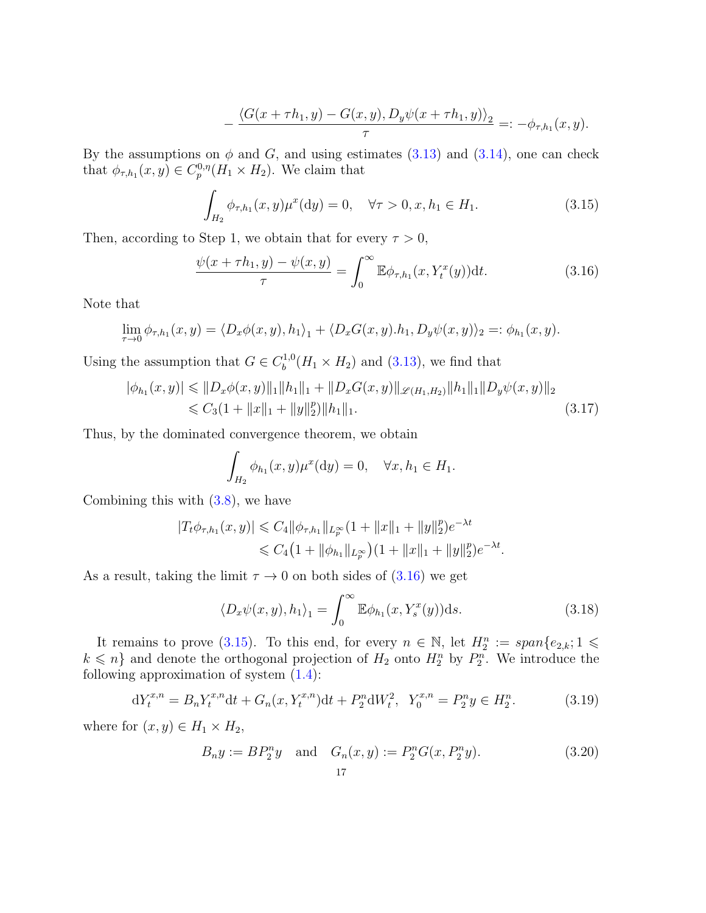<span id="page-16-1"></span>
$$
-\frac{\langle G(x+\tau h_1,y)-G(x,y),D_y\psi(x+\tau h_1,y)\rangle_2}{\tau}=:-\phi_{\tau,h_1}(x,y).
$$

By the assumptions on  $\phi$  and G, and using estimates [\(3.13\)](#page-15-1) and [\(3.14\)](#page-15-2), one can check that  $\phi_{\tau,h_1}(x,y) \in C_p^{0,\eta}(H_1 \times H_2)$ . We claim that

<span id="page-16-0"></span>
$$
\int_{H_2} \phi_{\tau,h_1}(x,y)\mu^x(\mathrm{d}y) = 0, \quad \forall \tau > 0, x, h_1 \in H_1.
$$
\n(3.15)

Then, according to Step 1, we obtain that for every  $\tau > 0$ ,

$$
\frac{\psi(x+\tau h_1, y) - \psi(x, y)}{\tau} = \int_0^\infty \mathbb{E}\phi_{\tau, h_1}(x, Y_t^x(y)) \, \mathrm{d}t. \tag{3.16}
$$

Note that

$$
\lim_{\tau \to 0} \phi_{\tau,h_1}(x,y) = \langle D_x \phi(x,y), h_1 \rangle_1 + \langle D_x G(x,y).h_1, D_y \psi(x,y) \rangle_2 =: \phi_{h_1}(x,y).
$$

Using the assumption that  $G \in C_b^{1,0}$  $b^{(1,0)}(H_1 \times H_2)$  and [\(3.13\)](#page-15-1), we find that

$$
|\phi_{h_1}(x,y)| \leq \|D_x \phi(x,y)\|_1 \|h_1\|_1 + \|D_x G(x,y)\|_{\mathcal{L}(H_1,H_2)} \|h_1\|_1 \|D_y \psi(x,y)\|_2
$$
  

$$
\leq C_3 (1 + \|x\|_1 + \|y\|_2^p) \|h_1\|_1.
$$
 (3.17)

Thus, by the dominated convergence theorem, we obtain

<span id="page-16-3"></span>
$$
\int_{H_2} \phi_{h_1}(x, y) \mu^x(\mathrm{d}y) = 0, \quad \forall x, h_1 \in H_1.
$$

Combining this with [\(3.8\)](#page-13-1), we have

$$
|T_t \phi_{\tau,h_1}(x,y)| \leq C_4 \|\phi_{\tau,h_1}\|_{L^\infty_p} (1 + \|x\|_1 + \|y\|_2^p) e^{-\lambda t}
$$
  

$$
\leq C_4 \left(1 + \|\phi_{h_1}\|_{L^\infty_p}\right) \left(1 + \|x\|_1 + \|y\|_2^p\right) e^{-\lambda t}.
$$

As a result, taking the limit  $\tau \to 0$  on both sides of  $(3.16)$  we get

<span id="page-16-4"></span><span id="page-16-2"></span>
$$
\langle D_x \psi(x, y), h_1 \rangle_1 = \int_0^\infty \mathbb{E} \phi_{h_1}(x, Y_s^x(y)) \mathrm{d}s. \tag{3.18}
$$

It remains to prove [\(3.15\)](#page-16-1). To this end, for every  $n \in \mathbb{N}$ , let  $H_2^n := span\{e_{2,k}; 1 \leq$  $k \leq n$  and denote the orthogonal projection of  $H_2$  onto  $H_2^n$  by  $P_2^n$ . We introduce the following approximation of system  $(1.4)$ :

$$
dY_t^{x,n} = B_n Y_t^{x,n} dt + G_n(x, Y_t^{x,n}) dt + P_2^n dW_t^2, \ Y_0^{x,n} = P_2^n y \in H_2^n.
$$
 (3.19)

where for  $(x, y) \in H_1 \times H_2$ ,

<span id="page-16-5"></span>
$$
B_n y := BP_2^n y \text{ and } G_n(x, y) := P_2^n G(x, P_2^n y). \tag{3.20}
$$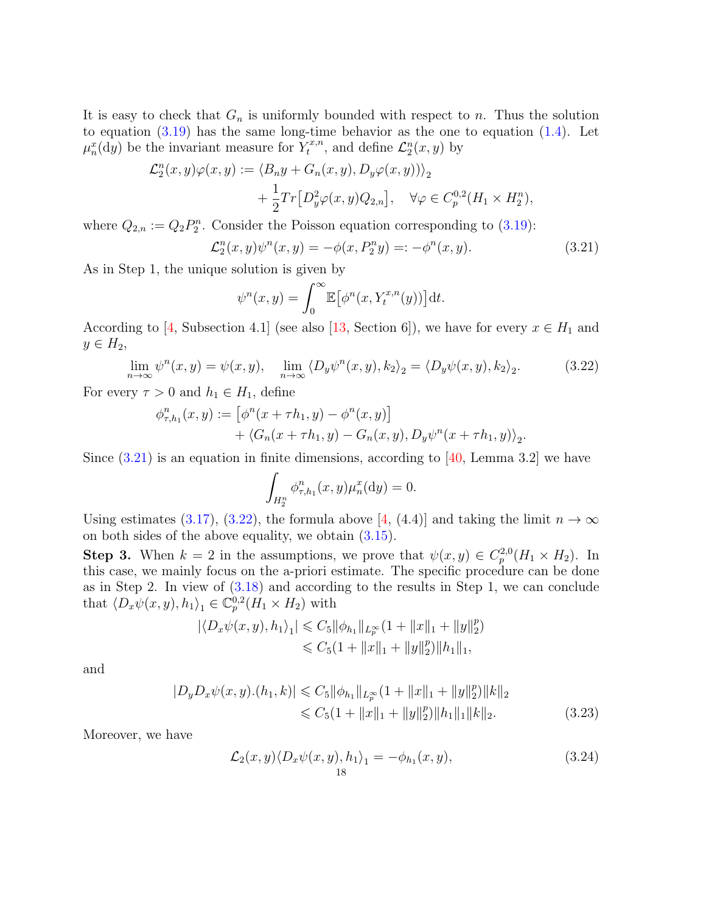It is easy to check that  $G_n$  is uniformly bounded with respect to n. Thus the solution to equation  $(3.19)$  has the same long-time behavior as the one to equation  $(1.4)$ . Let  $\mu_n^x(\mathrm{d}y)$  be the invariant measure for  $Y_t^{x,n}$  $\mathcal{L}_t^{x,n}$ , and define  $\mathcal{L}_2^n(x,y)$  by

$$
\mathcal{L}_2^n(x, y)\varphi(x, y) := \langle B_n y + G_n(x, y), D_y \varphi(x, y) \rangle_2
$$
  
+ 
$$
\frac{1}{2} Tr[D_y^2 \varphi(x, y) Q_{2,n}], \quad \forall \varphi \in C_p^{0,2}(H_1 \times H_2^n),
$$

where  $Q_{2,n} := Q_2 P_2^n$ . Consider the Poisson equation corresponding to [\(3.19\)](#page-16-2):

$$
\mathcal{L}_2^n(x, y)\psi^n(x, y) = -\phi(x, P_2^n y) =: -\phi^n(x, y). \tag{3.21}
$$

As in Step 1, the unique solution is given by

<span id="page-17-0"></span>
$$
\psi^{n}(x, y) = \int_{0}^{\infty} \mathbb{E} \big[ \phi^{n}(x, Y_{t}^{x, n}(y)) \big] dt.
$$

According to [\[4,](#page-42-11) Subsection 4.1] (see also [\[13,](#page-42-4) Section 6]), we have for every  $x \in H_1$  and  $y \in H_2$ ,

$$
\lim_{n \to \infty} \psi^n(x, y) = \psi(x, y), \quad \lim_{n \to \infty} \langle D_y \psi^n(x, y), k_2 \rangle_2 = \langle D_y \psi(x, y), k_2 \rangle_2. \tag{3.22}
$$

For every  $\tau > 0$  and  $h_1 \in H_1$ , define

$$
\phi_{\tau,h_1}^n(x,y) := \left[ \phi^n(x + \tau h_1, y) - \phi^n(x,y) \right] + \langle G_n(x + \tau h_1, y) - G_n(x,y), D_y \psi^n(x + \tau h_1, y) \rangle_2.
$$

Since  $(3.21)$  is an equation in finite dimensions, according to [\[40,](#page-43-17) Lemma 3.2] we have

<span id="page-17-1"></span>
$$
\int_{H_2^n} \phi_{\tau,h_1}^n(x,y) \mu_n^x(\mathrm{d}y) = 0.
$$

Using estimates [\(3.17\)](#page-16-3), [\(3.22\)](#page-17-1), the formula above [\[4,](#page-42-11) (4.4)] and taking the limit  $n \to \infty$ on both sides of the above equality, we obtain [\(3.15\)](#page-16-1).

**Step 3.** When  $k = 2$  in the assumptions, we prove that  $\psi(x, y) \in C_p^{2,0}(H_1 \times H_2)$ . In this case, we mainly focus on the a-priori estimate. The specific procedure can be done as in Step 2. In view of [\(3.18\)](#page-16-4) and according to the results in Step 1, we can conclude that  $\langle D_x \psi(x, y), h_1 \rangle_1 \in \mathbb{C}_p^{0,2}(\dot{H}_1 \times H_2)$  with

$$
|\langle D_x \psi(x, y), h_1 \rangle_1| \leq C_5 ||\phi_{h_1}||_{L_p^{\infty}} (1 + ||x||_1 + ||y||_2^p)
$$
  

$$
\leq C_5 (1 + ||x||_1 + ||y||_2^p) ||h_1||_1,
$$

and

$$
|D_y D_x \psi(x, y) \cdot (h_1, k)| \leq C_5 \|\phi_{h_1}\|_{L_p^{\infty}} (1 + \|x\|_1 + \|y\|_2^p) \|k\|_2
$$
  

$$
\leq C_5 (1 + \|x\|_1 + \|y\|_2^p) \|h_1\|_1 \|k\|_2.
$$
 (3.23)

Moreover, we have

<span id="page-17-3"></span><span id="page-17-2"></span>
$$
\mathcal{L}_2(x, y) \langle D_x \psi(x, y), h_1 \rangle_1 = -\phi_{h_1}(x, y), \tag{3.24}
$$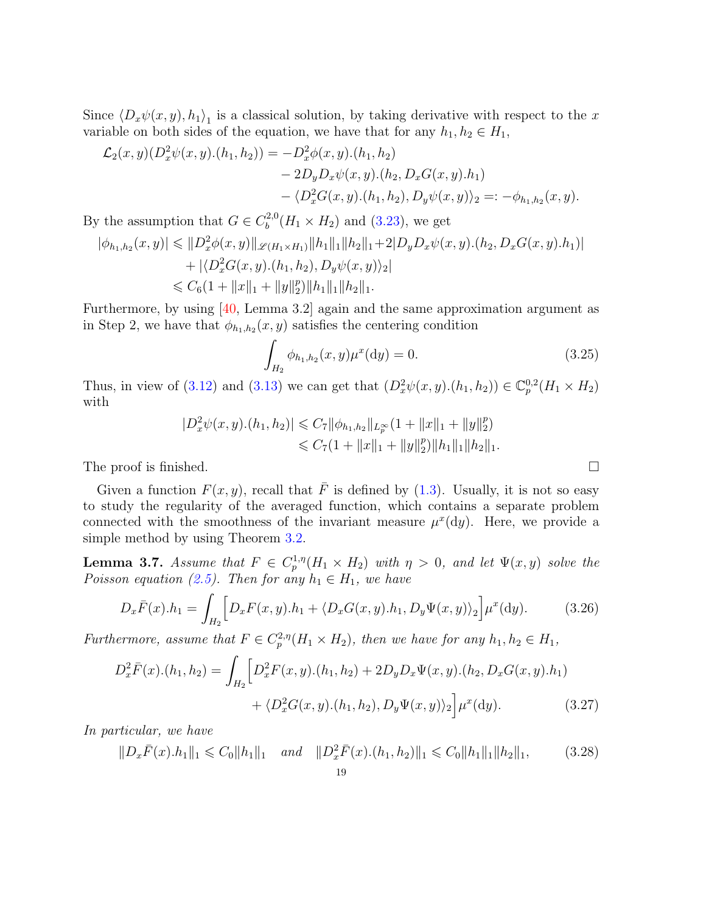Since  $\langle D_x\psi(x, y), h_1\rangle_1$  is a classical solution, by taking derivative with respect to the x variable on both sides of the equation, we have that for any  $h_1, h_2 \in H_1$ ,

$$
\mathcal{L}_2(x, y)(D_x^2 \psi(x, y). (h_1, h_2)) = -D_x^2 \phi(x, y). (h_1, h_2) \n- 2D_y D_x \psi(x, y). (h_2, D_x G(x, y). h_1) \n- \langle D_x^2 G(x, y). (h_1, h_2), D_y \psi(x, y) \rangle_2 =: -\phi_{h_1, h_2}(x, y).
$$

By the assumption that  $G \in C_b^{2,0}$  $b_b^{(2,0)}(H_1 \times H_2)$  and [\(3.23\)](#page-17-2), we get

$$
|\phi_{h_1,h_2}(x,y)| \leq \|D_x^2 \phi(x,y)\|_{\mathscr{L}(H_1 \times H_1)} \|h_1\|_{1} \|h_2\|_{1} + 2|D_y D_x \psi(x,y).(h_2, D_x G(x,y).h_1)|
$$
  
+  $|\langle D_x^2 G(x,y).(h_1,h_2), D_y \psi(x,y) \rangle_2|$   
 $\leq C_6(1 + \|x\|_1 + \|y\|_2^p) \|h_1\|_1 \|h_2\|_1.$ 

Furthermore, by using [\[40,](#page-43-17) Lemma 3.2] again and the same approximation argument as in Step 2, we have that  $\phi_{h_1,h_2}(x,y)$  satisfies the centering condition

<span id="page-18-3"></span><span id="page-18-1"></span>
$$
\int_{H_2} \phi_{h_1, h_2}(x, y) \mu^x(\mathrm{d}y) = 0. \tag{3.25}
$$

Thus, in view of [\(3.12\)](#page-15-3) and [\(3.13\)](#page-15-1) we can get that  $(D_x^2 \psi(x, y) \cdot (h_1, h_2)) \in \mathbb{C}_p^{0,2}(H_1 \times H_2)$ with

$$
|D_x^2 \psi(x, y) \cdot (h_1, h_2)| \leq C_7 \|\phi_{h_1, h_2}\|_{L_p^{\infty}} (1 + \|x\|_1 + \|y\|_2^p)
$$
  

$$
\leq C_7 (1 + \|x\|_1 + \|y\|_2^p) \|h_1\|_1 \|h_2\|_1.
$$

The proof is finished.

Given a function  $F(x, y)$ , recall that  $\overline{F}$  is defined by [\(1.3\)](#page-1-4). Usually, it is not so easy to study the regularity of the averaged function, which contains a separate problem connected with the smoothness of the invariant measure  $\mu^x(\mathrm{d}y)$ . Here, we provide a simple method by using Theorem [3.2.](#page-11-1)

<span id="page-18-0"></span>**Lemma 3.7.** Assume that  $F \in C_p^{1,\eta}(H_1 \times H_2)$  with  $\eta > 0$ , and let  $\Psi(x, y)$  solve the Poisson equation [\(2.5\)](#page-9-4). Then for any  $h_1 \in H_1$ , we have

$$
D_x \bar{F}(x) \cdot h_1 = \int_{H_2} \left[ D_x F(x, y) \cdot h_1 + \langle D_x G(x, y) \cdot h_1, D_y \Psi(x, y) \rangle_2 \right] \mu^x(\mathrm{d}y). \tag{3.26}
$$

Furthermore, assume that  $F \in C_p^{2,\eta}(H_1 \times H_2)$ , then we have for any  $h_1, h_2 \in H_1$ ,

$$
D_x^2 \bar{F}(x) \cdot (h_1, h_2) = \int_{H_2} \left[ D_x^2 F(x, y) \cdot (h_1, h_2) + 2D_y D_x \Psi(x, y) \cdot (h_2, D_x G(x, y) \cdot h_1) \right. \\ \left. + \langle D_x^2 G(x, y) \cdot (h_1, h_2), D_y \Psi(x, y) \rangle_2 \right] \mu^x(\mathrm{d}y). \tag{3.27}
$$

In particular, we have

<span id="page-18-4"></span><span id="page-18-2"></span>
$$
||D_x\overline{F}(x).h_1||_1 \leqslant C_0||h_1||_1 \quad and \quad ||D_x^2\overline{F}(x).(h_1,h_2)||_1 \leqslant C_0||h_1||_1||h_2||_1,\tag{3.28}
$$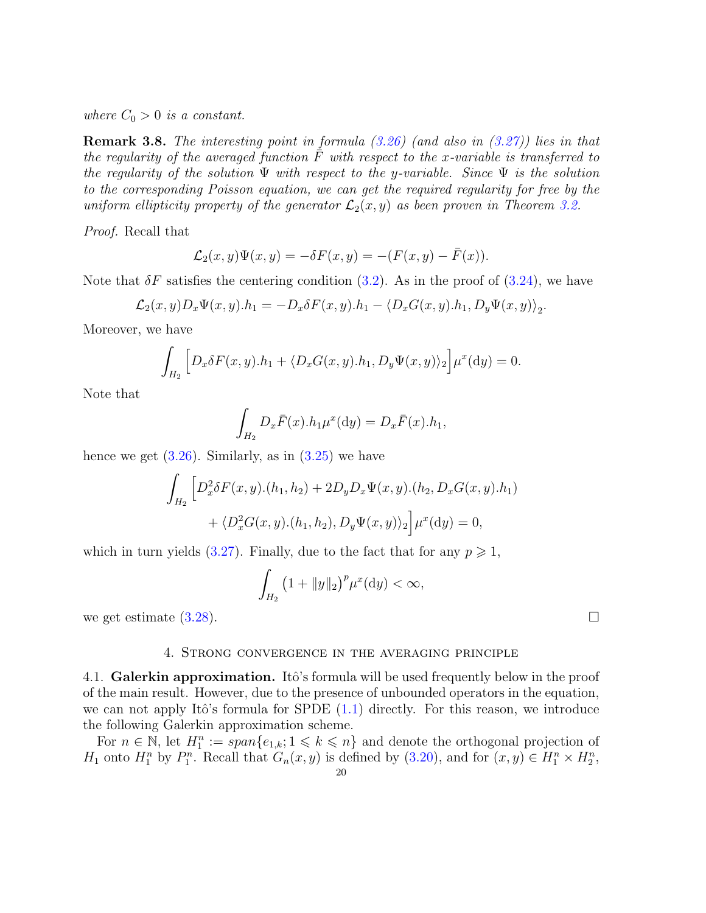where  $C_0 > 0$  is a constant.

**Remark 3.8.** The interesting point in formula  $(3.26)$  (and also in  $(3.27)$ ) lies in that the regularity of the averaged function  $\overline{F}$  with respect to the x-variable is transferred to the regularity of the solution  $\Psi$  with respect to the y-variable. Since  $\Psi$  is the solution to the corresponding Poisson equation, we can get the required regularity for free by the uniform ellipticity property of the generator  $\mathcal{L}_2(x, y)$  as been proven in Theorem [3.2.](#page-11-1)

Proof. Recall that

$$
\mathcal{L}_2(x,y)\Psi(x,y) = -\delta F(x,y) = -(F(x,y) - \bar{F}(x)).
$$

Note that  $\delta F$  satisfies the centering condition [\(3.2\)](#page-11-4). As in the proof of [\(3.24\)](#page-17-3), we have

$$
\mathcal{L}_2(x,y)D_x\Psi(x,y).h_1 = -D_x\delta F(x,y).h_1 - \langle D_xG(x,y).h_1, D_y\Psi(x,y)\rangle_2.
$$

Moreover, we have

$$
\int_{H_2} \left[ D_x \delta F(x, y) . h_1 + \langle D_x G(x, y) . h_1, D_y \Psi(x, y) \rangle_2 \right] \mu^x(\mathrm{d}y) = 0.
$$

Note that

$$
\int_{H_2} D_x \overline{F}(x) \cdot h_1 \mu^x(\mathrm{d}y) = D_x \overline{F}(x) \cdot h_1,
$$

hence we get  $(3.26)$ . Similarly, as in  $(3.25)$  we have

$$
\int_{H_2} \left[ D_x^2 \delta F(x, y) . (h_1, h_2) + 2D_y D_x \Psi(x, y) . (h_2, D_x G(x, y) . h_1) \right. \\ \left. + \langle D_x^2 G(x, y) . (h_1, h_2), D_y \Psi(x, y) \rangle_2 \right] \mu^x(\mathrm{d}y) = 0,
$$

which in turn yields [\(3.27\)](#page-18-2). Finally, due to the fact that for any  $p \geq 1$ ,

$$
\int_{H_2} \left(1 + \|y\|_2\right)^p \mu^x(\mathrm{d}y) < \infty,
$$

we get estimate  $(3.28)$ .

# 4. Strong convergence in the averaging principle

<span id="page-19-1"></span><span id="page-19-0"></span>4.1. Galerkin approximation. Itô's formula will be used frequently below in the proof of the main result. However, due to the presence of unbounded operators in the equation, we can not apply Itô's formula for SPDE  $(1.1)$  directly. For this reason, we introduce the following Galerkin approximation scheme.

For  $n \in \mathbb{N}$ , let  $H_1^n := \text{span}\{e_{1,k}; 1 \leq k \leq n\}$  and denote the orthogonal projection of  $H_1$  onto  $H_1^n$  by  $P_1^n$ . Recall that  $G_n(x, y)$  is defined by [\(3.20\)](#page-16-5), and for  $(x, y) \in H_1^n \times H_2^n$ ,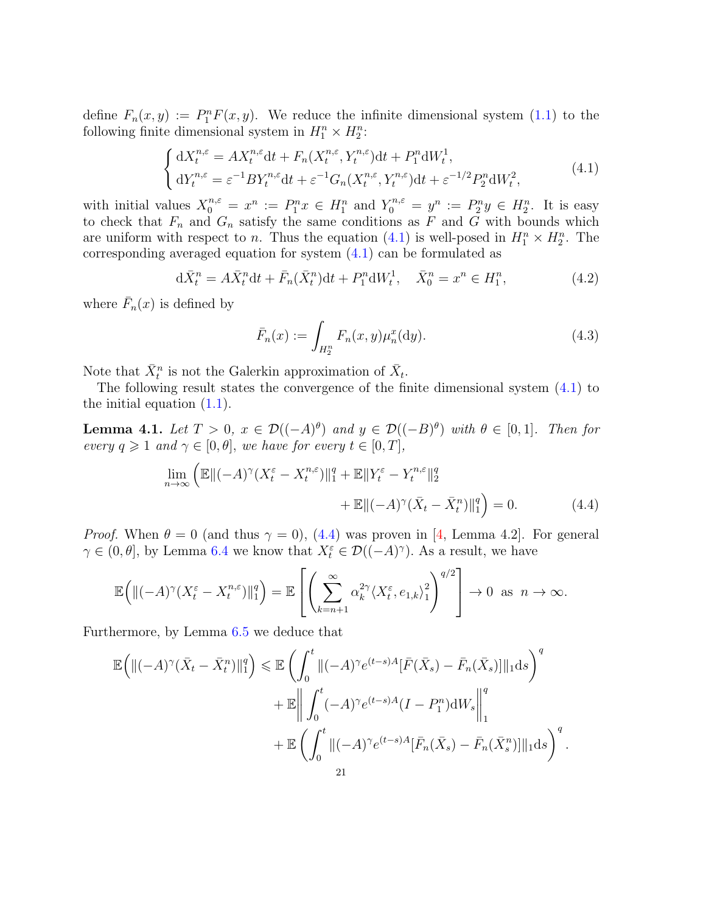define  $F_n(x, y) := P_1^n F(x, y)$ . We reduce the infinite dimensional system [\(1.1\)](#page-1-1) to the following finite dimensional system in  $H_1^n \times H_2^n$ :

<span id="page-20-0"></span>
$$
\begin{cases} dX_t^{n,\varepsilon} = AX_t^{n,\varepsilon}dt + F_n(X_t^{n,\varepsilon}, Y_t^{n,\varepsilon})dt + P_1^n dW_t^1, \\ dY_t^{n,\varepsilon} = \varepsilon^{-1}BY_t^{n,\varepsilon}dt + \varepsilon^{-1}G_n(X_t^{n,\varepsilon}, Y_t^{n,\varepsilon})dt + \varepsilon^{-1/2}P_2^n dW_t^2, \end{cases}
$$
(4.1)

with initial values  $X_0^{n,\varepsilon} = x^n := P_1^n x \in H_1^n$  and  $Y_0^{n,\varepsilon} = y^n := P_2^n y \in H_2^n$ . It is easy to check that  $F_n$  and  $G_n$  satisfy the same conditions as F and G with bounds which are uniform with respect to *n*. Thus the equation [\(4.1\)](#page-20-0) is well-posed in  $H_1^n \times H_2^n$ . The corresponding averaged equation for system [\(4.1\)](#page-20-0) can be formulated as

$$
d\bar{X}_t^n = A\bar{X}_t^n dt + \bar{F}_n(\bar{X}_t^n) dt + P_1^n dW_t^1, \quad \bar{X}_0^n = x^n \in H_1^n,
$$
\n(4.2)

where  $\bar{F}_n(x)$  is defined by

<span id="page-20-4"></span><span id="page-20-3"></span><span id="page-20-1"></span>
$$
\bar{F}_n(x) := \int_{H_2^n} F_n(x, y) \mu_n^x(\mathrm{d}y). \tag{4.3}
$$

Note that  $\bar{X}_t^n$  is not the Galerkin approximation of  $\bar{X}_t$ .

The following result states the convergence of the finite dimensional system [\(4.1\)](#page-20-0) to the initial equation  $(1.1)$ .

<span id="page-20-2"></span>**Lemma 4.1.** Let  $T > 0$ ,  $x \in \mathcal{D}((-A)^{\theta})$  and  $y \in \mathcal{D}((-B)^{\theta})$  with  $\theta \in [0,1]$ . Then for every  $q \geq 1$  and  $\gamma \in [0, \theta]$ , we have for every  $t \in [0, T]$ ,

$$
\lim_{n \to \infty} \left( \mathbb{E} \left\| (-A)^{\gamma} (X_t^{\varepsilon} - X_t^{n,\varepsilon}) \right\|_1^q + \mathbb{E} \left\| Y_t^{\varepsilon} - Y_t^{n,\varepsilon} \right\|_2^q
$$

$$
+ \mathbb{E} \left\| (-A)^{\gamma} (\bar{X}_t - \bar{X}_t^n) \right\|_1^q \right) = 0. \tag{4.4}
$$

*Proof.* When  $\theta = 0$  (and thus  $\gamma = 0$ ), [\(4.4\)](#page-20-1) was proven in [\[4,](#page-42-11) Lemma 4.2]. For general  $\gamma \in (0, \theta],$  by Lemma [6.4](#page-40-0) we know that  $X_t^{\varepsilon} \in \mathcal{D}((-A)^{\gamma})$ . As a result, we have

$$
\mathbb{E}\Big(\|(-A)^{\gamma}\left(X_t^{\varepsilon}-X_t^{n,\varepsilon}\right)\|_1^q\Big)=\mathbb{E}\left[\left(\sum_{k=n+1}^{\infty}\alpha_k^{2\gamma}\langle X_t^{\varepsilon},e_{1,k}\rangle_1^2\right)^{q/2}\right]\to 0 \text{ as } n\to\infty.
$$

Furthermore, by Lemma [6.5](#page-41-0) we deduce that

$$
\mathbb{E}\left(\left\|(-A)^{\gamma}(\bar{X}_t - \bar{X}_t^n)\right\|_1^q\right) \leq \mathbb{E}\left(\int_0^t \left\|(-A)^{\gamma}e^{(t-s)A}[\bar{F}(\bar{X}_s) - \bar{F}_n(\bar{X}_s)]\right\|_1 ds\right)^q
$$

$$
+ \mathbb{E}\left\|\int_0^t (-A)^{\gamma}e^{(t-s)A}(I - P_1^n)dW_s\right\|_1^q
$$

$$
+ \mathbb{E}\left(\int_0^t \left\|(-A)^{\gamma}e^{(t-s)A}[\bar{F}_n(\bar{X}_s) - \bar{F}_n(\bar{X}_s^n)]\right\|_1 ds\right)^q.
$$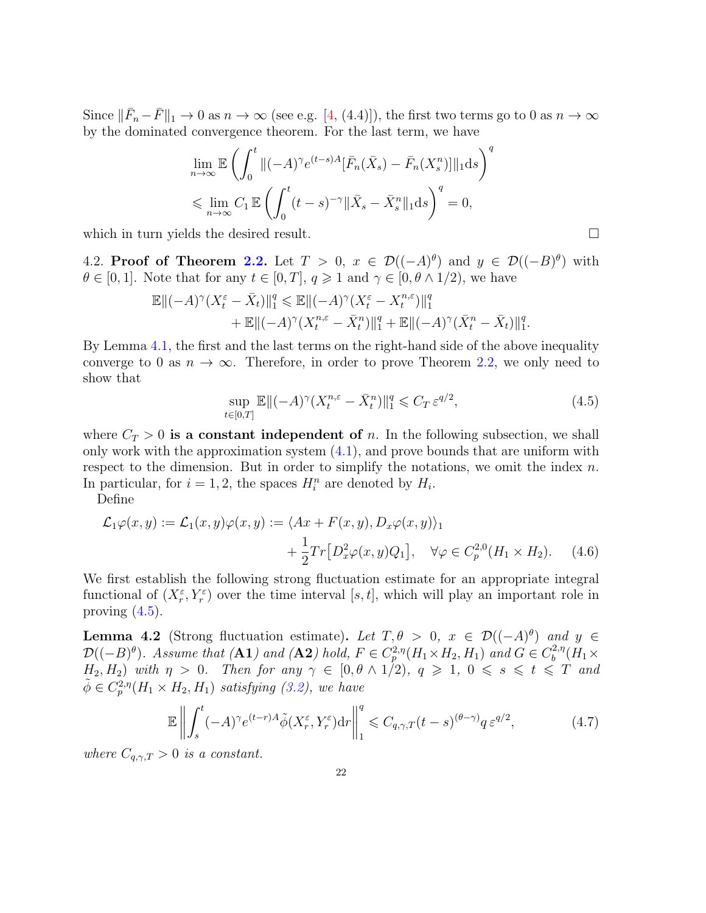Since  $\|\bar{F}_n-\bar{F}\|_1 \to 0$  as  $n \to \infty$  (see e.g. [\[4,](#page-42-11) (4.4)]), the first two terms go to 0 as  $n \to \infty$ by the dominated convergence theorem. For the last term, we have

$$
\lim_{n \to \infty} \mathbb{E} \left( \int_0^t \|(-A)^\gamma e^{(t-s)A} [\bar{F}_n(\bar{X}_s) - \bar{F}_n(X_s^n)] \|_1 ds \right)^q
$$
  
\$\leqslant \lim\_{n \to \infty} C\_1 \mathbb{E} \left( \int\_0^t (t-s)^{-\gamma} \|\bar{X}\_s - \bar{X}\_s^n\|\_1 ds \right)^q = 0,

which in turn yields the desired result.

<span id="page-21-0"></span>4.2. Proof of Theorem [2.2.](#page-9-1) Let  $T > 0$ ,  $x \in \mathcal{D}((-A)^{\theta})$  and  $y \in \mathcal{D}((-B)^{\theta})$  with  $\theta \in [0, 1]$ . Note that for any  $t \in [0, T]$ ,  $q \geq 1$  and  $\gamma \in [0, \theta \wedge 1/2)$ , we have

$$
\mathbb{E}\|(-A)^{\gamma}\left(X_t^{\varepsilon}-\bar{X}_t\right)\|_{1}^{q} \leq \mathbb{E}\|(-A)^{\gamma}\left(X_t^{\varepsilon}-X_t^{n,\varepsilon}\right)\|_{1}^{q} + \mathbb{E}\|(-A)^{\gamma}\left(X_t^{n,\varepsilon}-\bar{X}_t^{n}\right)\|_{1}^{q} + \mathbb{E}\|(-A)^{\gamma}\left(\bar{X}_t^{n}-\bar{X}_t\right)\|_{1}^{q}.
$$

By Lemma [4.1,](#page-20-2) the first and the last terms on the right-hand side of the above inequality converge to 0 as  $n \to \infty$ . Therefore, in order to prove Theorem [2.2,](#page-9-1) we only need to show that

<span id="page-21-3"></span><span id="page-21-2"></span>
$$
\sup_{t \in [0,T]} \mathbb{E} \|( -A)^{\gamma} (X_t^{n,\varepsilon} - \bar{X}_t^n) \|_1^q \leqslant C_T \, \varepsilon^{q/2},\tag{4.5}
$$

where  $C_T > 0$  is a constant independent of n. In the following subsection, we shall only work with the approximation system  $(4.1)$ , and prove bounds that are uniform with respect to the dimension. But in order to simplify the notations, we omit the index  $n$ . In particular, for  $i = 1, 2$ , the spaces  $H_i^n$  are denoted by  $H_i$ .

Define

$$
\mathcal{L}_1\varphi(x,y) := \mathcal{L}_1(x,y)\varphi(x,y) := \langle Ax + F(x,y), D_x\varphi(x,y) \rangle_1
$$
  
 
$$
+ \frac{1}{2}Tr[D_x^2\varphi(x,y)Q_1], \quad \forall \varphi \in C_p^{2,0}(H_1 \times H_2). \tag{4.6}
$$

We first establish the following strong fluctuation estimate for an appropriate integral functional of  $(X_r^{\varepsilon}, Y_r^{\varepsilon})$  over the time interval [s, t], which will play an important role in proving  $(4.5)$ .

<span id="page-21-1"></span>**Lemma 4.2** (Strong fluctuation estimate). Let  $T, \theta > 0$ ,  $x \in \mathcal{D}((-A)^{\theta})$  and  $y \in$  $\mathcal{D}((-B)^{\theta})$ . Assume that (**A1**) and (**A2**) hold,  $F \in C_p^{2,\eta}(H_1 \times H_2, H_1)$  and  $G \in C_b^{2,\eta}$  $b^{2,\eta}(H_1\times$  $H_2, H_2$ ) with  $\eta > 0$ . Then for any  $\gamma \in [0, \theta \wedge 1/2)$ ,  $q \geq 1$ ,  $0 \leq s \leq t \leq T$  and  $\tilde{\phi} \in C_p^{2,\eta}(H_1 \times H_2, H_1)$  satisfying [\(3.2\)](#page-11-4), we have

<span id="page-21-4"></span>
$$
\mathbb{E}\left\|\int_{s}^{t}(-A)^{\gamma}e^{(t-r)A}\tilde{\phi}(X_{r}^{\varepsilon},Y_{r}^{\varepsilon})\mathrm{d}r\right\|_{1}^{q} \leq C_{q,\gamma,T}(t-s)^{(\theta-\gamma)}q\,\varepsilon^{q/2},\tag{4.7}
$$

where  $C_{q,\gamma,T} > 0$  is a constant.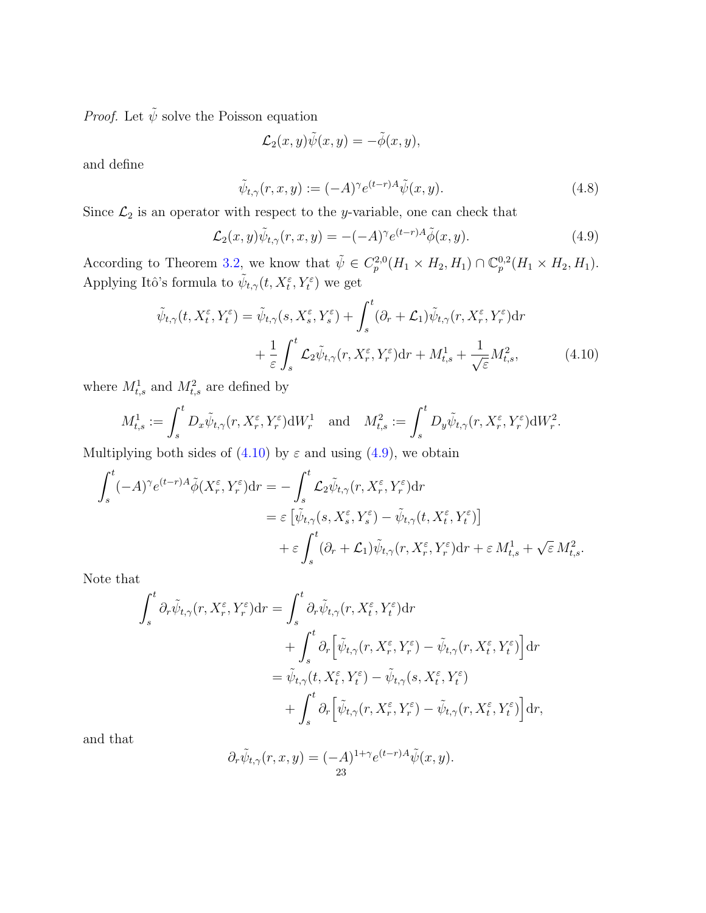*Proof.* Let  $\tilde{\psi}$  solve the Poisson equation

<span id="page-22-2"></span><span id="page-22-1"></span>
$$
\mathcal{L}_2(x,y)\tilde{\psi}(x,y)=-\tilde{\phi}(x,y),
$$

and define

<span id="page-22-0"></span>
$$
\tilde{\psi}_{t,\gamma}(r,x,y) := (-A)^{\gamma} e^{(t-r)A} \tilde{\psi}(x,y). \tag{4.8}
$$

Since  $\mathcal{L}_2$  is an operator with respect to the *y*-variable, one can check that

$$
\mathcal{L}_2(x, y)\tilde{\psi}_{t,\gamma}(r, x, y) = -(-A)^\gamma e^{(t-r)A}\tilde{\phi}(x, y). \tag{4.9}
$$

According to Theorem [3.2,](#page-11-1) we know that  $\tilde{\psi} \in C_p^{2,0}(H_1 \times H_2, H_1) \cap \mathbb{C}_p^{0,2}(H_1 \times H_2, H_1)$ . Applying Itô's formula to  $\tilde{\psi}_{t,\gamma}(t,X_t^{\varepsilon},Y_t^{\varepsilon})$  we get

$$
\tilde{\psi}_{t,\gamma}(t, X_t^{\varepsilon}, Y_t^{\varepsilon}) = \tilde{\psi}_{t,\gamma}(s, X_s^{\varepsilon}, Y_s^{\varepsilon}) + \int_s^t (\partial_r + \mathcal{L}_1) \tilde{\psi}_{t,\gamma}(r, X_r^{\varepsilon}, Y_r^{\varepsilon}) dr \n+ \frac{1}{\varepsilon} \int_s^t \mathcal{L}_2 \tilde{\psi}_{t,\gamma}(r, X_r^{\varepsilon}, Y_r^{\varepsilon}) dr + M_{t,s}^1 + \frac{1}{\sqrt{\varepsilon}} M_{t,s}^2,
$$
\n(4.10)

where  $M_{t,s}^1$  and  $M_{t,s}^2$  are defined by

$$
M_{t,s}^1 := \int_s^t D_x \tilde{\psi}_{t,\gamma}(r, X_r^{\varepsilon}, Y_r^{\varepsilon}) \mathrm{d}W_r^1 \quad \text{and} \quad M_{t,s}^2 := \int_s^t D_y \tilde{\psi}_{t,\gamma}(r, X_r^{\varepsilon}, Y_r^{\varepsilon}) \mathrm{d}W_r^2.
$$

Multiplying both sides of  $(4.10)$  by  $\varepsilon$  and using  $(4.9)$ , we obtain

$$
\int_{s}^{t} (-A)^{\gamma} e^{(t-r)A} \tilde{\phi}(X_{r}^{\varepsilon}, Y_{r}^{\varepsilon}) dr = -\int_{s}^{t} \mathcal{L}_{2} \tilde{\psi}_{t,\gamma}(r, X_{r}^{\varepsilon}, Y_{r}^{\varepsilon}) dr \n= \varepsilon \left[ \tilde{\psi}_{t,\gamma}(s, X_{s}^{\varepsilon}, Y_{s}^{\varepsilon}) - \tilde{\psi}_{t,\gamma}(t, X_{t}^{\varepsilon}, Y_{t}^{\varepsilon}) \right] \n+ \varepsilon \int_{s}^{t} (\partial_{r} + \mathcal{L}_{1}) \tilde{\psi}_{t,\gamma}(r, X_{r}^{\varepsilon}, Y_{r}^{\varepsilon}) dr + \varepsilon M_{t,s}^{1} + \sqrt{\varepsilon} M_{t,s}^{2}.
$$

Note that

$$
\int_{s}^{t} \partial_{r} \tilde{\psi}_{t,\gamma}(r, X_{r}^{\varepsilon}, Y_{r}^{\varepsilon}) dr = \int_{s}^{t} \partial_{r} \tilde{\psi}_{t,\gamma}(r, X_{t}^{\varepsilon}, Y_{t}^{\varepsilon}) dr \n+ \int_{s}^{t} \partial_{r} \left[ \tilde{\psi}_{t,\gamma}(r, X_{r}^{\varepsilon}, Y_{r}^{\varepsilon}) - \tilde{\psi}_{t,\gamma}(r, X_{t}^{\varepsilon}, Y_{t}^{\varepsilon}) \right] dr \n= \tilde{\psi}_{t,\gamma}(t, X_{t}^{\varepsilon}, Y_{t}^{\varepsilon}) - \tilde{\psi}_{t,\gamma}(s, X_{t}^{\varepsilon}, Y_{t}^{\varepsilon}) \n+ \int_{s}^{t} \partial_{r} \left[ \tilde{\psi}_{t,\gamma}(r, X_{r}^{\varepsilon}, Y_{r}^{\varepsilon}) - \tilde{\psi}_{t,\gamma}(r, X_{t}^{\varepsilon}, Y_{t}^{\varepsilon}) \right] dr,
$$

and that

$$
\partial_r \tilde{\psi}_{t,\gamma}(r,x,y) = (-A)^{1+\gamma} e^{(t-r)A} \tilde{\psi}(x,y).
$$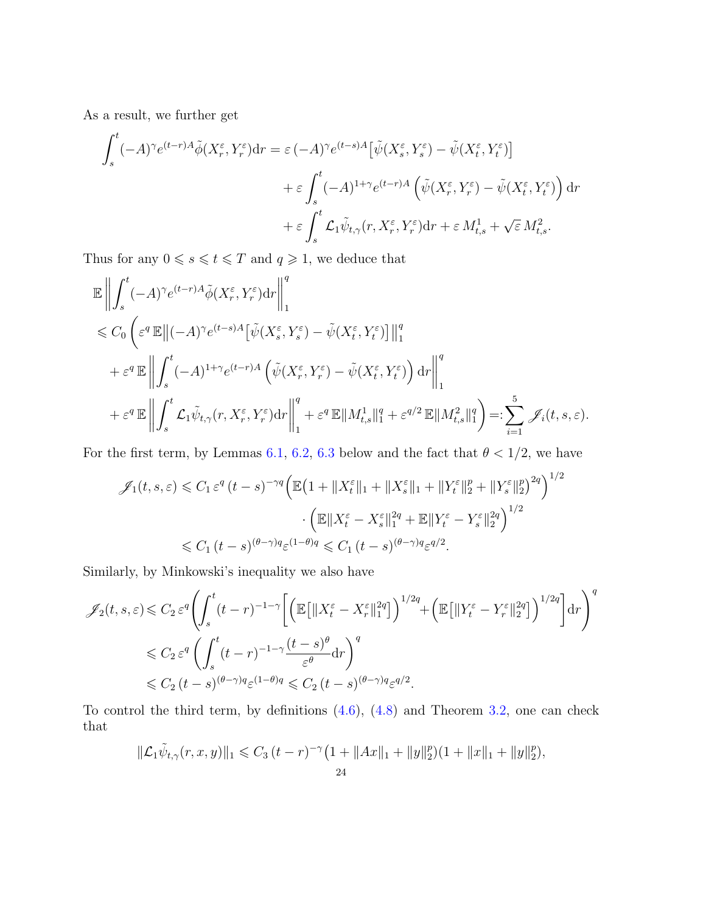As a result, we further get

$$
\int_{s}^{t} (-A)^{\gamma} e^{(t-r)A} \tilde{\phi}(X_{r}^{\varepsilon}, Y_{r}^{\varepsilon}) dr = \varepsilon (-A)^{\gamma} e^{(t-s)A} \left[ \tilde{\psi}(X_{s}^{\varepsilon}, Y_{s}^{\varepsilon}) - \tilde{\psi}(X_{t}^{\varepsilon}, Y_{t}^{\varepsilon}) \right] \n+ \varepsilon \int_{s}^{t} (-A)^{1+\gamma} e^{(t-r)A} \left( \tilde{\psi}(X_{r}^{\varepsilon}, Y_{r}^{\varepsilon}) - \tilde{\psi}(X_{t}^{\varepsilon}, Y_{t}^{\varepsilon}) \right) dr \n+ \varepsilon \int_{s}^{t} \mathcal{L}_{1} \tilde{\psi}_{t,\gamma}(r, X_{r}^{\varepsilon}, Y_{r}^{\varepsilon}) dr + \varepsilon M_{t,s}^{1} + \sqrt{\varepsilon} M_{t,s}^{2}.
$$

Thus for any  $0 \le s \le t \le T$  and  $q \ge 1$ , we deduce that

$$
\label{eq:3.16} \begin{split} &\mathbb{E}\left\|\int_{s}^{t}(-A)^{\gamma}e^{(t-r)A}\tilde{\phi}(X_{r}^{\varepsilon},Y_{r}^{\varepsilon})\mathrm{d}r\right\|_{1}^{q}\\ &\quad\leqslant C_{0}\left(\varepsilon^{q}\,\mathbb{E}\left\|(-A)^{\gamma}e^{(t-s)A}\big[\tilde{\psi}(X_{s}^{\varepsilon},Y_{s}^{\varepsilon})-\tilde{\psi}(X_{t}^{\varepsilon},Y_{t}^{\varepsilon})\big]\right\|_{1}^{q}\\ &\quad+\varepsilon^{q}\,\mathbb{E}\left\|\int_{s}^{t}(-A)^{1+\gamma}e^{(t-r)A}\left(\tilde{\psi}(X_{r}^{\varepsilon},Y_{r}^{\varepsilon})-\tilde{\psi}(X_{t}^{\varepsilon},Y_{t}^{\varepsilon})\right)\mathrm{d}r\right\|_{1}^{q}\\ &\quad+\varepsilon^{q}\,\mathbb{E}\left\|\int_{s}^{t}\mathcal{L}_{1}\tilde{\psi}_{t,\gamma}(r,X_{r}^{\varepsilon},Y_{r}^{\varepsilon})\mathrm{d}r\right\|_{1}^{q}+\varepsilon^{q}\,\mathbb{E}\|M_{t,s}^{1}\|_{1}^{q}+\varepsilon^{q/2}\,\mathbb{E}\|M_{t,s}^{2}\|_{1}^{q}\right)=:\sum_{i=1}^{5}\mathscr{J}_{i}(t,s,\varepsilon). \end{split}
$$

For the first term, by Lemmas [6.1,](#page-37-1) [6.2,](#page-38-0) [6.3](#page-39-0) below and the fact that  $\theta < 1/2$ , we have

$$
\mathscr{J}_1(t,s,\varepsilon) \leq C_1 \varepsilon^q (t-s)^{-\gamma q} \Big( \mathbb{E} \big( 1 + \| X_t^{\varepsilon} \|_1 + \| X_s^{\varepsilon} \|_1 + \| Y_t^{\varepsilon} \|_2^p + \| Y_s^{\varepsilon} \|_2^p \big)^{2q} \Big)^{1/2} \cdot \Big( \mathbb{E} \| X_t^{\varepsilon} - X_s^{\varepsilon} \|_1^{2q} + \mathbb{E} \| Y_t^{\varepsilon} - Y_s^{\varepsilon} \|_2^{2q} \Big)^{1/2} \leq C_1 (t-s)^{(\theta-\gamma)q} \varepsilon^{(1-\theta)q} \leq C_1 (t-s)^{(\theta-\gamma)q} \varepsilon^{q/2}.
$$

Similarly, by Minkowski's inequality we also have

$$
\mathscr{J}_2(t,s,\varepsilon) \leq C_2 \varepsilon^q \left( \int_s^t (t-r)^{-1-\gamma} \left[ \left( \mathbb{E} \left[ \|X_t^{\varepsilon} - X_r^{\varepsilon}\|_1^{2q} \right] \right)^{1/2q} + \left( \mathbb{E} \left[ \|Y_t^{\varepsilon} - Y_r^{\varepsilon}\|_2^{2q} \right] \right)^{1/2q} \right] dr \right)^q
$$
  

$$
\leq C_2 \varepsilon^q \left( \int_s^t (t-r)^{-1-\gamma} \frac{(t-s)^{\theta}}{\varepsilon^{\theta}} dr \right)^q
$$
  

$$
\leq C_2 (t-s)^{(\theta-\gamma)q} \varepsilon^{(1-\theta)q} \leq C_2 (t-s)^{(\theta-\gamma)q} \varepsilon^{q/2}.
$$

To control the third term, by definitions [\(4.6\)](#page-21-3), [\(4.8\)](#page-22-2) and Theorem [3.2,](#page-11-1) one can check that

$$
\|\mathcal{L}_1\tilde{\psi}_{t,\gamma}(r,x,y)\|_1 \leq C_3 (t-r)^{-\gamma} \big(1 + \|Ax\|_1 + \|y\|_2^p\big) \big(1 + \|x\|_1 + \|y\|_2^p\big),
$$
  
24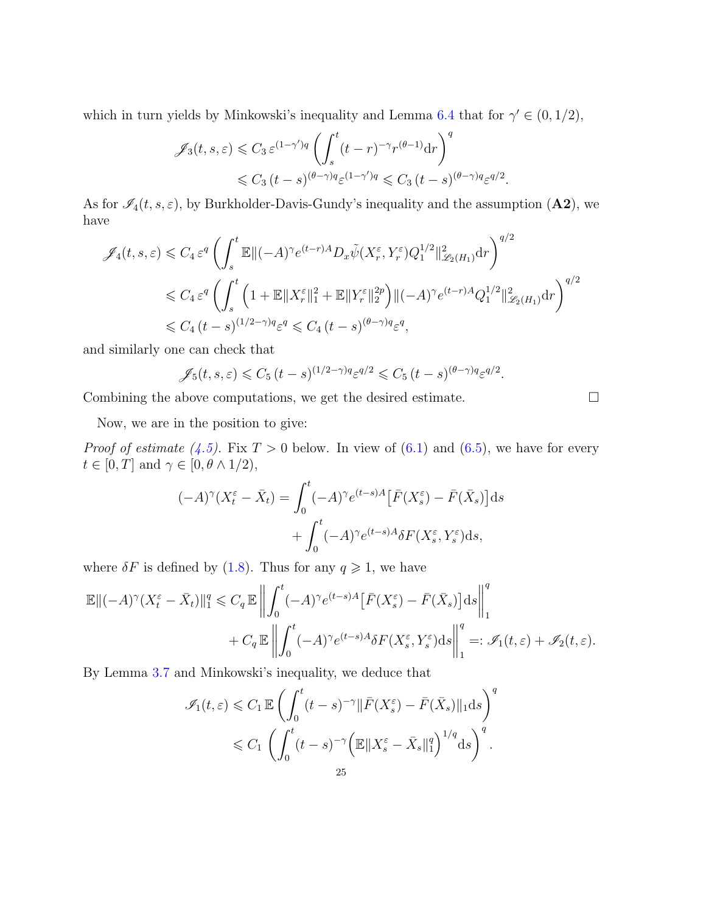which in turn yields by Minkowski's inequality and Lemma [6.4](#page-40-0) that for  $\gamma' \in (0, 1/2)$ ,

$$
\mathscr{J}_3(t,s,\varepsilon) \leq C_3 \, \varepsilon^{(1-\gamma')q} \left( \int_s^t (t-r)^{-\gamma} r^{(\theta-1)} \mathrm{d}r \right)^q
$$
  

$$
\leq C_3 \, (t-s)^{(\theta-\gamma)q} \varepsilon^{(1-\gamma')q} \leq C_3 \, (t-s)^{(\theta-\gamma)q} \varepsilon^{q/2}.
$$

As for  $\mathcal{I}_4(t, s, \varepsilon)$ , by Burkholder-Davis-Gundy's inequality and the assumption  $(\mathbf{A2})$ , we have

$$
\mathscr{J}_4(t,s,\varepsilon) \leq C_4 \varepsilon^q \left( \int_s^t \mathbb{E} \| (-A)^\gamma e^{(t-r)A} D_x \tilde{\psi}(X_r^{\varepsilon}, Y_r^{\varepsilon}) Q_1^{1/2} \|_{\mathscr{L}_2(H_1)}^2 \mathrm{d}r \right)^{q/2}
$$
  

$$
\leq C_4 \varepsilon^q \left( \int_s^t \left( 1 + \mathbb{E} \| X_r^{\varepsilon} \|_1^2 + \mathbb{E} \| Y_r^{\varepsilon} \|_2^{2p} \right) \| (-A)^\gamma e^{(t-r)A} Q_1^{1/2} \|_{\mathscr{L}_2(H_1)}^2 \mathrm{d}r \right)^{q/2}
$$
  

$$
\leq C_4 \left( t - s \right)^{(1/2 - \gamma)q} \varepsilon^q \leq C_4 \left( t - s \right)^{(\theta - \gamma)q} \varepsilon^q,
$$

and similarly one can check that

$$
\mathscr{J}_5(t,s,\varepsilon) \leq C_5 (t-s)^{(1/2-\gamma)q} \varepsilon^{q/2} \leq C_5 (t-s)^{(\theta-\gamma)q} \varepsilon^{q/2}.
$$

Combining the above computations, we get the desired estimate.

Now, we are in the position to give:

*Proof of estimate* [\(4.5\)](#page-21-2). Fix  $T > 0$  below. In view of [\(6.1\)](#page-37-2) and [\(6.5\)](#page-41-1), we have for every  $t \in [0, T]$  and  $\gamma \in [0, \theta \wedge 1/2)$ ,

$$
(-A)^{\gamma} (X_t^{\varepsilon} - \bar{X}_t) = \int_0^t (-A)^{\gamma} e^{(t-s)A} \left[ \bar{F}(X_s^{\varepsilon}) - \bar{F}(\bar{X}_s) \right] ds
$$

$$
+ \int_0^t (-A)^{\gamma} e^{(t-s)A} \delta F(X_s^{\varepsilon}, Y_s^{\varepsilon}) ds,
$$

where  $\delta F$  is defined by [\(1.8\)](#page-4-0). Thus for any  $q \geq 1$ , we have

$$
\mathbb{E}\|(-A)^{\gamma}\left(X_t^{\varepsilon}-\bar{X}_t\right)\|_1^q \leqslant C_q \mathbb{E}\left\|\int_0^t (-A)^{\gamma}e^{(t-s)A}\left[\bar{F}(X_s^{\varepsilon})-\bar{F}(\bar{X}_s)\right]ds\right\|_1^q
$$
  
+ 
$$
C_q \mathbb{E}\left\|\int_0^t (-A)^{\gamma}e^{(t-s)A}\delta F(X_s^{\varepsilon},Y_s^{\varepsilon})ds\right\|_1^q =: \mathcal{J}_1(t,\varepsilon) + \mathcal{J}_2(t,\varepsilon).
$$

By Lemma [3.7](#page-18-0) and Minkowski's inequality, we deduce that

$$
\mathscr{I}_1(t,\varepsilon) \leqslant C_1 \mathbb{E} \left( \int_0^t (t-s)^{-\gamma} \|\bar{F}(X_s^{\varepsilon}) - \bar{F}(\bar{X}_s) \|_1 ds \right)^q
$$
  

$$
\leqslant C_1 \left( \int_0^t (t-s)^{-\gamma} \left( \mathbb{E} \|X_s^{\varepsilon} - \bar{X}_s\|_1^q \right)^{1/q} ds \right)^q.
$$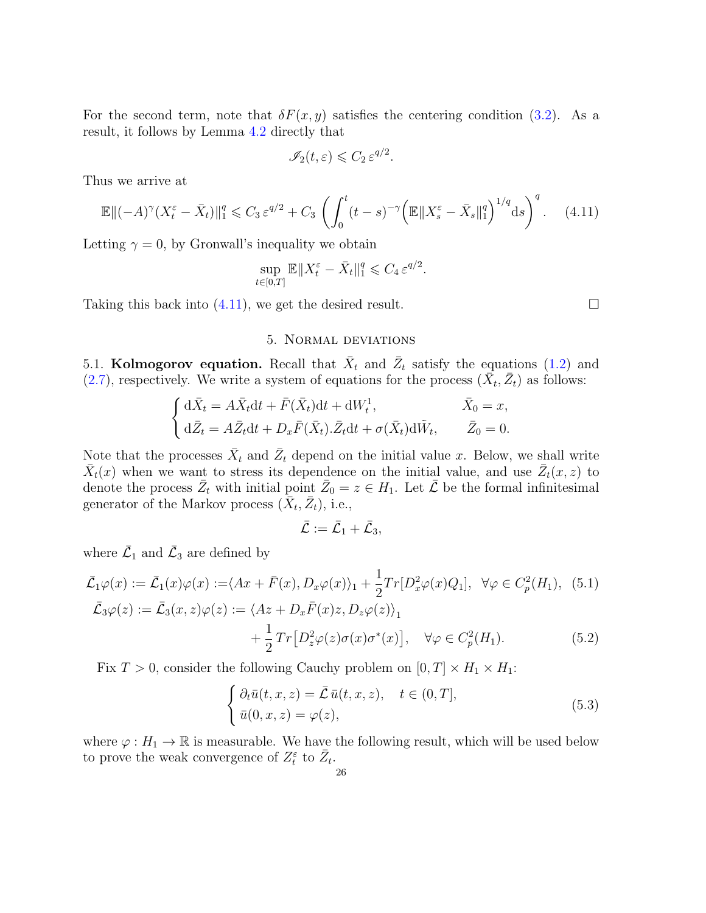For the second term, note that  $\delta F(x, y)$  satisfies the centering condition [\(3.2\)](#page-11-4). As a result, it follows by Lemma [4.2](#page-21-1) directly that

$$
\mathscr{I}_2(t,\varepsilon)\leqslant C_2\,\varepsilon^{q/2}.
$$

Thus we arrive at

$$
\mathbb{E}\|( -A)^{\gamma} (X_t^{\varepsilon} - \bar{X}_t)\|_1^q \leq C_3 \,\varepsilon^{q/2} + C_3 \left( \int_0^t (t-s)^{-\gamma} \left( \mathbb{E}\|X_s^{\varepsilon} - \bar{X}_s\|_1^q \right)^{1/q} \mathrm{d}s \right)^q. \tag{4.11}
$$

Letting  $\gamma = 0$ , by Gronwall's inequality we obtain

$$
\sup_{t\in[0,T]}\mathbb{E}\|X_t^\varepsilon-\bar{X}_t\|_1^q\leqslant C_4\,\varepsilon^{q/2}.
$$

Taking this back into  $(4.11)$ , we get the desired result.

## 5. Normal deviations

<span id="page-25-1"></span><span id="page-25-0"></span>5.1. Kolmogorov equation. Recall that  $\bar{X}_t$  and  $\bar{Z}_t$  satisfy the equations [\(1.2\)](#page-1-2) and [\(2.7\)](#page-10-3), respectively. We write a system of equations for the process  $(\bar{X}_t, \bar{Z}_t)$  as follows:

$$
\begin{cases} d\bar{X}_t = A\bar{X}_t dt + \bar{F}(\bar{X}_t)dt + dW_t^1, & \bar{X}_0 = x, \\ d\bar{Z}_t = A\bar{Z}_t dt + D_x \bar{F}(\bar{X}_t).\bar{Z}_t dt + \sigma(\bar{X}_t) d\tilde{W}_t, & \bar{Z}_0 = 0. \end{cases}
$$

Note that the processes  $\bar{X}_t$  and  $\bar{Z}_t$  depend on the initial value x. Below, we shall write  $\bar{X}_t(x)$  when we want to stress its dependence on the initial value, and use  $\bar{Z}_t(x, z)$  to denote the process  $\bar{Z}_t$  with initial point  $\bar{Z}_0 = z \in H_1$ . Let  $\bar{\mathcal{L}}$  be the formal infinitesimal generator of the Markov process  $(\overline{X}_t, \overline{Z}_t)$ , i.e.,

<span id="page-25-5"></span>
$$
\bar{\mathcal{L}}:=\bar{\mathcal{L}}_1+\bar{\mathcal{L}}_3,
$$

where  $\bar{\mathcal{L}}_1$  and  $\bar{\mathcal{L}}_3$  are defined by

$$
\bar{\mathcal{L}}_1\varphi(x) := \bar{\mathcal{L}}_1(x)\varphi(x) := \langle Ax + \bar{F}(x), D_x\varphi(x) \rangle_1 + \frac{1}{2}Tr[D_x^2\varphi(x)Q_1], \ \forall \varphi \in C_p^2(H_1), \ (5.1)
$$
\n
$$
\bar{\mathcal{L}}_3\varphi(z) := \bar{\mathcal{L}}_3(x, z)\varphi(z) := \langle Az + D_x\bar{F}(x)z, D_z\varphi(z) \rangle_1 + \frac{1}{2}Tr[D_z^2\varphi(z)\sigma(x)\sigma^*(x)], \ \ \forall \varphi \in C_p^2(H_1). \tag{5.2}
$$

Fix  $T > 0$ , consider the following Cauchy problem on  $[0, T] \times H_1 \times H_1$ :

<span id="page-25-3"></span>
$$
\begin{cases} \partial_t \bar{u}(t, x, z) = \bar{\mathcal{L}} \bar{u}(t, x, z), \quad t \in (0, T], \\ \bar{u}(0, x, z) = \varphi(z), \end{cases}
$$
\n(5.3)

where  $\varphi : H_1 \to \mathbb{R}$  is measurable. We have the following result, which will be used below to prove the weak convergence of  $Z_t^{\varepsilon}$  to  $\bar{Z}_t$ .

<span id="page-25-4"></span><span id="page-25-2"></span>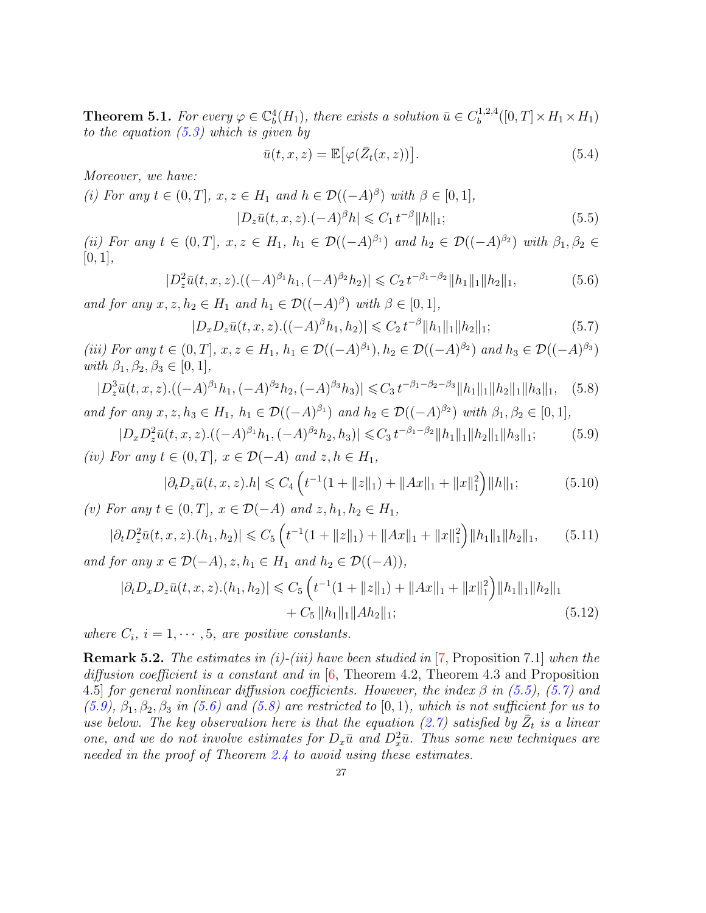<span id="page-26-0"></span>**Theorem 5.1.** For every  $\varphi \in \mathbb{C}^4_b(H_1)$ , there exists a solution  $\bar{u} \in C_b^{1,2,4}$  $b^{(1,2,4)}([0,T]\times H_1\times H_1)$ to the equation  $(5.3)$  which is given by

<span id="page-26-6"></span><span id="page-26-5"></span><span id="page-26-4"></span><span id="page-26-2"></span><span id="page-26-1"></span>
$$
\bar{u}(t,x,z) = \mathbb{E}\big[\varphi(\bar{Z}_t(x,z))\big].\tag{5.4}
$$

Moreover, we have:

(i) For any 
$$
t \in (0, T]
$$
,  $x, z \in H_1$  and  $h \in \mathcal{D}((-A)^{\beta})$  with  $\beta \in [0, 1]$ ,  
\n
$$
|D_z\bar{u}(t, x, z) \cdot (-A)^{\beta}h| \leq C_1 t^{-\beta} ||h||_1;
$$
\n(5.5)

(ii) For any  $t \in (0,T], x, z \in H_1, h_1 \in \mathcal{D}((-A)^{\beta_1})$  and  $h_2 \in \mathcal{D}((-A)^{\beta_2})$  with  $\beta_1, \beta_2 \in$  $[0, 1],$ 

$$
|D_z^2 \bar{u}(t, x, z) \cdot ((-A)^{\beta_1} h_1, (-A)^{\beta_2} h_2)| \leq C_2 t^{-\beta_1 - \beta_2} ||h_1||_1 ||h_2||_1,
$$
\n(5.6)

and for any  $x, z, h_2 \in H_1$  and  $h_1 \in \mathcal{D}((-A)^{\beta})$  with  $\beta \in [0, 1]$ ,

<span id="page-26-7"></span><span id="page-26-3"></span>
$$
|D_x D_z \bar{u}(t, x, z) \cdot ((-A)^{\beta} h_1, h_2)| \leq C_2 t^{-\beta} ||h_1||_1 ||h_2||_1; \tag{5.7}
$$

(iii) For any  $t \in (0,T]$ ,  $x, z \in H_1$ ,  $h_1 \in \mathcal{D}((-A)^{\beta_1})$ ,  $h_2 \in \mathcal{D}((-A)^{\beta_2})$  and  $h_3 \in \mathcal{D}((-A)^{\beta_3})$ with  $\beta_1, \beta_2, \beta_3 \in [0, 1],$ 

$$
|D_z^3 \bar{u}(t, x, z) \cdot ((-A)^{\beta_1} h_1, (-A)^{\beta_2} h_2, (-A)^{\beta_3} h_3)| \leq C_3 t^{-\beta_1 - \beta_2 - \beta_3} ||h_1||_1 ||h_2||_1 ||h_3||_1, \quad (5.8)
$$
  
and for any  $x, z, h_3 \in H_1$ ,  $h_1 \in \mathcal{D}((-A)^{\beta_1})$  and  $h_2 \in \mathcal{D}((-A)^{\beta_2})$  with  $\beta_1, \beta_2 \in [0, 1]$ ,

 $|D_x D_z^2 \bar{u}(t, x, z) . ((-A)^{\beta_1} h_1, (-A)^{\beta_2} h_2, h_3)| \leq C_3 t^{-\beta_1 - \beta_2} ||h_1||_1 ||h_2||_1 ||h_3||_1;$  (5.9) (iv) For any  $t \in (0, T]$ ,  $x \in \mathcal{D}(-A)$  and  $z, h \in H_1$ ,

<span id="page-26-9"></span><span id="page-26-8"></span>
$$
|\partial_t D_z \bar{u}(t, x, z) \cdot h| \leq C_4 \left( t^{-1} (1 + \|z\|_1) + \|Ax\|_1 + \|x\|_1^2 \right) \|h\|_1; \tag{5.10}
$$

(v) For any  $t \in (0, T]$ ,  $x \in \mathcal{D}(-A)$  and  $z, h_1, h_2 \in H_1$ ,

$$
|\partial_t D_z^2 \bar{u}(t, x, z) \cdot (h_1, h_2)| \leq C_5 \left( t^{-1} (1 + \|z\|_1) + \|Ax\|_1 + \|x\|_1^2 \right) \|h_1\|_1 \|h_2\|_1,\tag{5.11}
$$

and for any  $x \in \mathcal{D}(-A), z, h_1 \in H_1$  and  $h_2 \in \mathcal{D}((-A)),$ 

$$
|\partial_t D_x D_z \bar{u}(t, x, z) \cdot (h_1, h_2)| \leq C_5 \left( t^{-1} (1 + \|z\|_1) + \|Ax\|_1 + \|x\|_1^2 \right) \|h_1\|_1 \|h_2\|_1
$$
  
+ C<sub>5</sub> \|h\_1\|\_1 \|Ah\_2\|\_1; (5.12)

where  $C_i$ ,  $i = 1, \dots, 5$ , are positive constants.

**Remark 5.2.** The estimates in (i)-(iii) have been studied in  $[7,$  Proposition 7.1] when the diffusion coefficient is a constant and in  $[6,$  Theorem 4.2, Theorem 4.3 and Proposition 4.5] for general nonlinear diffusion coefficients. However, the index  $\beta$  in [\(5.5\)](#page-26-1), [\(5.7\)](#page-26-2) and  $(5.9), \beta_1, \beta_2, \beta_3$  $(5.9), \beta_1, \beta_2, \beta_3$  in [\(5.6\)](#page-26-4) and [\(5.8\)](#page-26-5) are restricted to [0, 1), which is not sufficient for us to use below. The key observation here is that the equation [\(2.7\)](#page-10-3) satisfied by  $\bar{Z}_t$  is a linear one, and we do not involve estimates for  $D_x\bar{u}$  and  $D_x^2\bar{u}$ . Thus some new techniques are needed in the proof of Theorem [2.4](#page-10-0) to avoid using these estimates.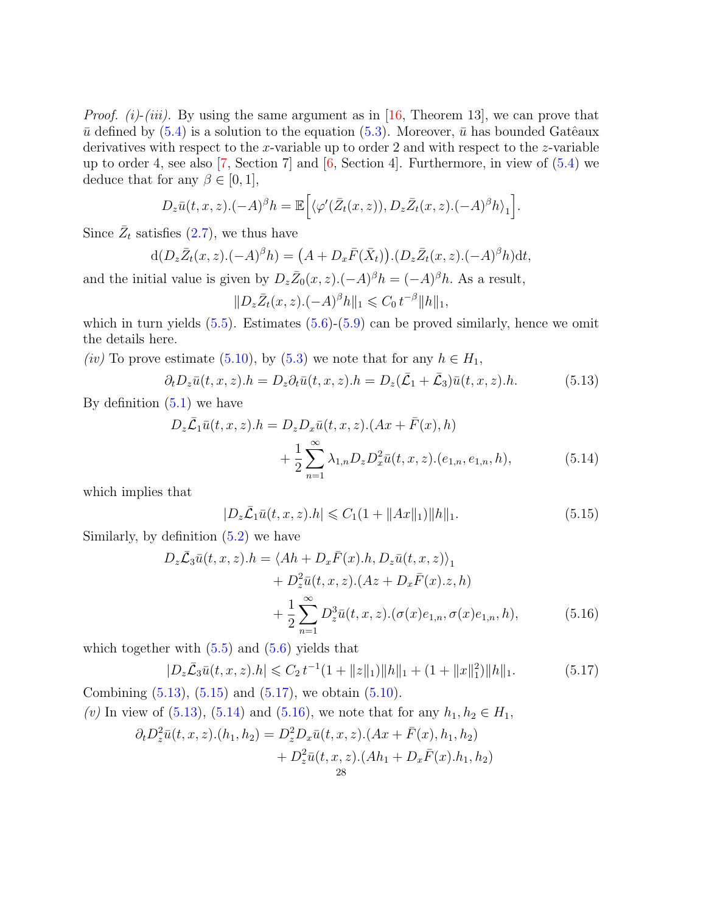*Proof.* (i)-(iii). By using the same argument as in [\[16,](#page-42-19) Theorem 13], we can prove that  $\bar{u}$  defined by [\(5.4\)](#page-26-6) is a solution to the equation [\(5.3\)](#page-25-3). Moreover,  $\bar{u}$  has bounded Gatêaux derivatives with respect to the x-variable up to order 2 and with respect to the z-variable up to order 4, see also  $[7, \text{Section 7}]$  $[7, \text{Section 7}]$  and  $[6, \text{Section 4}]$  $[6, \text{Section 4}]$ . Furthermore, in view of  $(5.4)$  we deduce that for any  $\beta \in [0, 1]$ ,

$$
D_z\bar{u}(t,x,z).(-A)^\beta h = \mathbb{E}\Big[\langle \varphi'(\bar{Z}_t(x,z)), D_z\bar{Z}_t(x,z).(-A)^\beta h\rangle_1\Big].
$$

Since  $\bar{Z}_t$  satisfies [\(2.7\)](#page-10-3), we thus have

$$
d(D_z\overline{Z}_t(x,z).(-A)^{\beta}h) = (A + D_x\overline{F}(\overline{X}_t)).(D_z\overline{Z}_t(x,z).(-A)^{\beta}h)dt,
$$

and the initial value is given by  $D_z\bar{Z}_0(x, z)$ .  $(-A)^\beta h = (-A)^\beta h$ . As a result,

<span id="page-27-0"></span>
$$
||D_z\bar{Z}_t(x,z).(-A)^{\beta}h||_1 \leq C_0 t^{-\beta}||h||_1,
$$

which in turn yields  $(5.5)$ . Estimates  $(5.6)-(5.9)$  $(5.6)-(5.9)$  $(5.6)-(5.9)$  can be proved similarly, hence we omit the details here.

(iv) To prove estimate [\(5.10\)](#page-26-7), by [\(5.3\)](#page-25-3) we note that for any  $h \in H_1$ ,

$$
\partial_t D_z \bar{u}(t, x, z).h = D_z \partial_t \bar{u}(t, x, z).h = D_z(\bar{\mathcal{L}}_1 + \bar{\mathcal{L}}_3) \bar{u}(t, x, z).h. \tag{5.13}
$$

By definition  $(5.1)$  we have

$$
D_z \bar{\mathcal{L}}_1 \bar{u}(t, x, z).h = D_z D_x \bar{u}(t, x, z).(Ax + \bar{F}(x), h) + \frac{1}{2} \sum_{n=1}^{\infty} \lambda_{1,n} D_z D_x^2 \bar{u}(t, x, z).(e_{1,n}, e_{1,n}, h),
$$
(5.14)

which implies that

<span id="page-27-4"></span><span id="page-27-3"></span><span id="page-27-2"></span><span id="page-27-1"></span>
$$
|D_z\bar{\mathcal{L}}_1\bar{u}(t,x,z).h| \leq C_1(1 + ||Ax||_1) ||h||_1.
$$
 (5.15)

Similarly, by definition [\(5.2\)](#page-25-5) we have

$$
D_z \bar{\mathcal{L}}_3 \bar{u}(t, x, z).h = \langle Ah + D_x \bar{F}(x).h, D_z \bar{u}(t, x, z) \rangle_1 + D_z^2 \bar{u}(t, x, z). (Az + D_x \bar{F}(x).z, h) + \frac{1}{2} \sum_{n=1}^{\infty} D_z^3 \bar{u}(t, x, z). (\sigma(x)e_{1,n}, \sigma(x)e_{1,n}, h),
$$
(5.16)

which together with  $(5.5)$  and  $(5.6)$  yields that

$$
|D_z\bar{\mathcal{L}}_3\bar{u}(t,x,z).h| \leq C_2 t^{-1} (1 + ||z||_1) ||h||_1 + (1 + ||x||_1^2) ||h||_1.
$$
 (5.17)

Combining  $(5.13)$ ,  $(5.15)$  and  $(5.17)$ , we obtain  $(5.10)$ . (v) In view of [\(5.13\)](#page-27-0), [\(5.14\)](#page-27-3) and [\(5.16\)](#page-27-4), we note that for any  $h_1, h_2 \in H_1$ ,

$$
\partial_t D_z^2 \bar{u}(t, x, z) . (h_1, h_2) = D_z^2 D_x \bar{u}(t, x, z) . (Ax + \bar{F}(x), h_1, h_2) + D_z^2 \bar{u}(t, x, z) . (Ah_1 + D_x \bar{F}(x) . h_1, h_2) 28
$$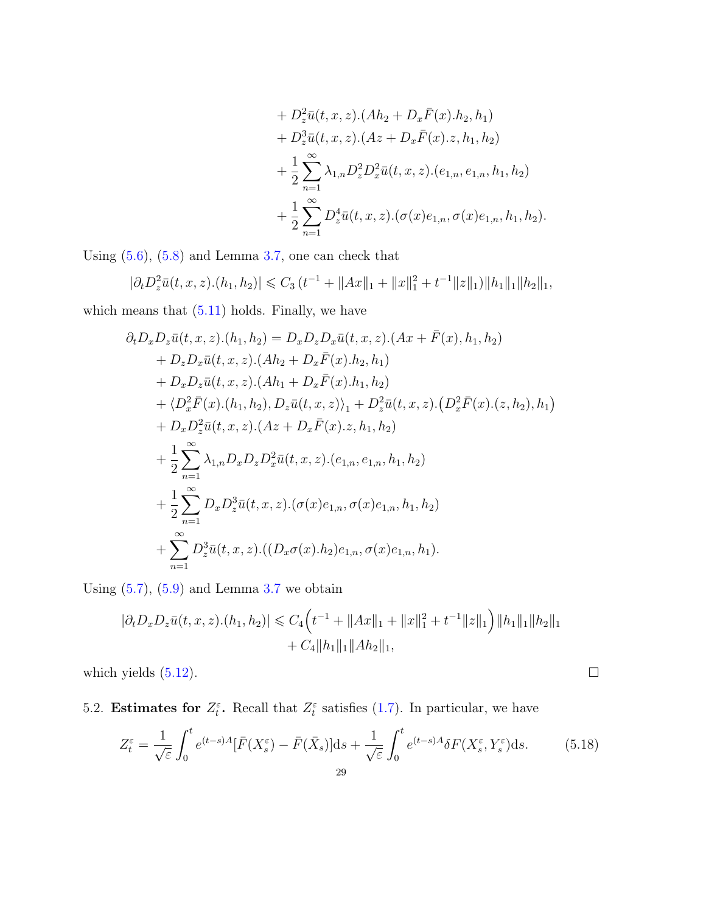+ 
$$
D_z^2 \bar{u}(t, x, z)
$$
. $(Ah_2 + D_x \bar{F}(x) \cdot h_2, h_1)$   
+  $D_z^3 \bar{u}(t, x, z)$ . $(Az + D_x \bar{F}(x) \cdot z, h_1, h_2)$   
+  $\frac{1}{2} \sum_{n=1}^{\infty} \lambda_{1,n} D_z^2 D_x^2 \bar{u}(t, x, z)$ . $(e_{1,n}, e_{1,n}, h_1, h_2)$   
+  $\frac{1}{2} \sum_{n=1}^{\infty} D_z^4 \bar{u}(t, x, z)$ . $(\sigma(x) e_{1,n}, \sigma(x) e_{1,n}, h_1, h_2)$ .

Using  $(5.6)$ ,  $(5.8)$  and Lemma [3.7,](#page-18-0) one can check that

$$
|\partial_t D_z^2 \bar{u}(t, x, z) \cdot (h_1, h_2)| \leq C_3 (t^{-1} + ||Ax||_1 + ||x||_1^2 + t^{-1} ||z||_1) ||h_1||_1 ||h_2||_1,
$$

which means that  $(5.11)$  holds. Finally, we have

$$
\partial_t D_x D_z \bar{u}(t, x, z) \cdot (h_1, h_2) = D_x D_z D_x \bar{u}(t, x, z) \cdot (Ax + \bar{F}(x), h_1, h_2) \n+ D_z D_x \bar{u}(t, x, z) \cdot (Ah_2 + D_x \bar{F}(x) \cdot h_2, h_1) \n+ D_x D_z \bar{u}(t, x, z) \cdot (Ah_1 + D_x \bar{F}(x) \cdot h_1, h_2) \n+ \langle D_x^2 \bar{F}(x) \cdot (h_1, h_2), D_z \bar{u}(t, x, z) \rangle_1 + D_z^2 \bar{u}(t, x, z) \cdot (D_x^2 \bar{F}(x) \cdot (z, h_2), h_1) \n+ D_x D_z^2 \bar{u}(t, x, z) \cdot (Az + D_x \bar{F}(x) \cdot z, h_1, h_2) \n+ \frac{1}{2} \sum_{n=1}^{\infty} \lambda_{1,n} D_x D_z D_x^2 \bar{u}(t, x, z) \cdot (e_{1,n}, e_{1,n}, h_1, h_2) \n+ \frac{1}{2} \sum_{n=1}^{\infty} D_x D_z^3 \bar{u}(t, x, z) \cdot (\sigma(x) e_{1,n}, \sigma(x) e_{1,n}, h_1, h_2) \n+ \sum_{n=1}^{\infty} D_z^3 \bar{u}(t, x, z) \cdot ((D_x \sigma(x) \cdot h_2) e_{1,n}, \sigma(x) e_{1,n}, h_1).
$$

Using  $(5.7)$ ,  $(5.9)$  and Lemma [3.7](#page-18-0) we obtain

$$
|\partial_t D_x D_z \bar{u}(t, x, z) . (h_1, h_2)| \leq C_4 \Big( t^{-1} + \|Ax\|_1 + \|x\|_1^2 + t^{-1} \|z\|_1 \Big) \|h_1\|_1 \|h_2\|_1 + C_4 \|h_1\|_1 \|Ah_2\|_1,
$$

which yields  $(5.12)$ .

<span id="page-28-0"></span>5.2. **Estimates for**  $Z_t^{\varepsilon}$ . Recall that  $Z_t^{\varepsilon}$  satisfies [\(1.7\)](#page-4-1). In particular, we have

<span id="page-28-1"></span>
$$
Z_t^{\varepsilon} = \frac{1}{\sqrt{\varepsilon}} \int_0^t e^{(t-s)A} [\bar{F}(X_s^{\varepsilon}) - \bar{F}(\bar{X}_s)] ds + \frac{1}{\sqrt{\varepsilon}} \int_0^t e^{(t-s)A} \delta F(X_s^{\varepsilon}, Y_s^{\varepsilon}) ds.
$$
 (5.18)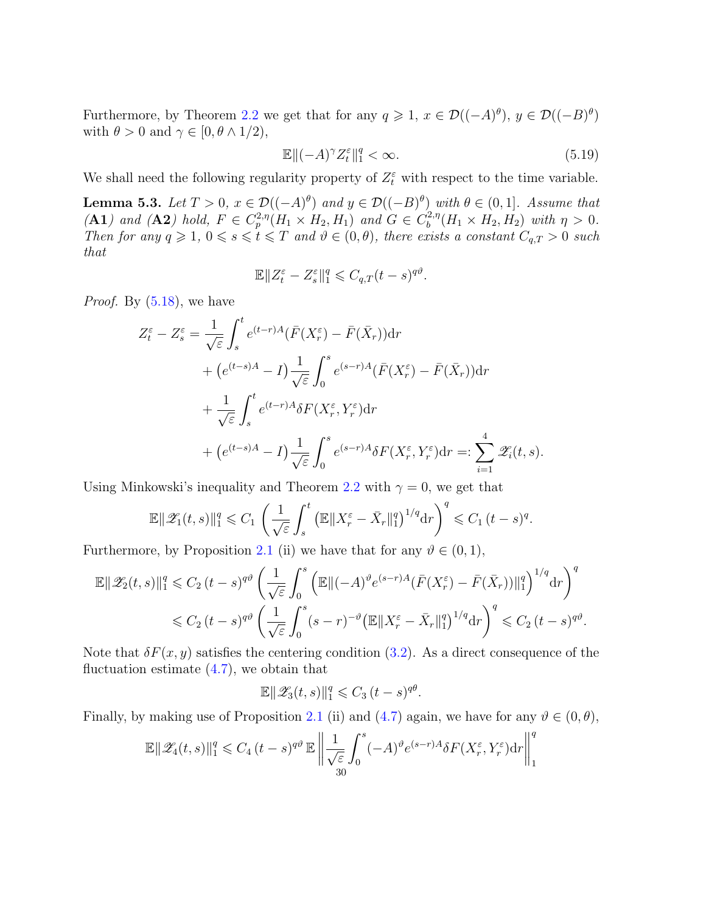Furthermore, by Theorem [2.2](#page-9-1) we get that for any  $q \geq 1$ ,  $x \in \mathcal{D}((-A)^{\theta})$ ,  $y \in \mathcal{D}((-B)^{\theta})$ with  $\theta > 0$  and  $\gamma \in [0, \theta \wedge 1/2],$ 

<span id="page-29-1"></span>
$$
\mathbb{E}\|(-A)^{\gamma}Z_t^{\varepsilon}\|_{1}^q < \infty. \tag{5.19}
$$

We shall need the following regularity property of  $Z_t^{\varepsilon}$  with respect to the time variable.

<span id="page-29-0"></span>**Lemma 5.3.** Let  $T > 0$ ,  $x \in \mathcal{D}((-A)^{\theta})$  and  $y \in \mathcal{D}((-B)^{\theta})$  with  $\theta \in (0,1]$ . Assume that  $(A1)$  and  $(A2)$  hold,  $F \in C_p^{2,\eta}(H_1 \times H_2, H_1)$  and  $G \in C_b^{2,\eta}$  $b^{2,\eta}(H_1 \times H_2, H_2)$  with  $\eta > 0$ . Then for any  $q \geq 1$ ,  $0 \leq s \leq t \leq T$  and  $\vartheta \in (0, \theta)$ , there exists a constant  $C_{q,T} > 0$  such that

$$
\mathbb{E} \|Z_t^{\varepsilon} - Z_s^{\varepsilon}\|_1^q \leq C_{q,T} (t-s)^{q\vartheta}.
$$

*Proof.* By  $(5.18)$ , we have

$$
Z_t^{\varepsilon} - Z_s^{\varepsilon} = \frac{1}{\sqrt{\varepsilon}} \int_s^t e^{(t-r)A} (\bar{F}(X_r^{\varepsilon}) - \bar{F}(\bar{X}_r)) dr
$$
  
+ 
$$
(e^{(t-s)A} - I) \frac{1}{\sqrt{\varepsilon}} \int_0^s e^{(s-r)A} (\bar{F}(X_r^{\varepsilon}) - \bar{F}(\bar{X}_r)) dr
$$
  
+ 
$$
\frac{1}{\sqrt{\varepsilon}} \int_s^t e^{(t-r)A} \delta F(X_r^{\varepsilon}, Y_r^{\varepsilon}) dr
$$
  
+ 
$$
(e^{(t-s)A} - I) \frac{1}{\sqrt{\varepsilon}} \int_0^s e^{(s-r)A} \delta F(X_r^{\varepsilon}, Y_r^{\varepsilon}) dr =: \sum_{i=1}^4 \mathscr{Z}_i(t, s).
$$

Using Minkowski's inequality and Theorem [2.2](#page-9-1) with  $\gamma = 0$ , we get that

$$
\mathbb{E}\|\mathscr{Z}_1(t,s)\|_1^q\leqslant C_1\,\left(\frac{1}{\sqrt{\varepsilon}}\int_s^t\big(\mathbb{E}\|X_r^\varepsilon-\bar{X}_r\|_1^q\big)^{1/q}\mathrm{d} r\right)^q\leqslant C_1\,(t-s)^q.
$$

Furthermore, by Proposition [2.1](#page-7-3) (ii) we have that for any  $\vartheta \in (0,1)$ ,

$$
\mathbb{E} \|\mathscr{Z}_2(t,s)\|_1^q \leq C_2 (t-s)^{q\vartheta} \left(\frac{1}{\sqrt{\varepsilon}} \int_0^s \left(\mathbb{E} \|(A)^{\vartheta} e^{(s-r)A} (\bar{F}(X_r^{\varepsilon}) - \bar{F}(\bar{X}_r))\|_1^q\right)^{1/q} dr\right)^q
$$
  

$$
\leq C_2 (t-s)^{q\vartheta} \left(\frac{1}{\sqrt{\varepsilon}} \int_0^s (s-r)^{-\vartheta} \left(\mathbb{E} \|X_r^{\varepsilon} - \bar{X}_r\|_1^q\right)^{1/q} dr\right)^q \leq C_2 (t-s)^{q\vartheta}.
$$

Note that  $\delta F(x, y)$  satisfies the centering condition [\(3.2\)](#page-11-4). As a direct consequence of the fluctuation estimate  $(4.7)$ , we obtain that

$$
\mathbb{E} \|\mathscr{Z}_3(t,s)\|_1^q \leqslant C_3 (t-s)^{q\theta}.
$$

Finally, by making use of Proposition [2.1](#page-7-3) (ii) and [\(4.7\)](#page-21-4) again, we have for any  $\vartheta \in (0, \theta)$ ,

$$
\mathbb{E} \|\mathscr{Z}_4(t,s)\|_1^q \leq C_4 (t-s)^{q\vartheta} \mathbb{E} \left\| \frac{1}{\sqrt{\varepsilon}} \int_0^s (-A)^\vartheta e^{(s-r)A} \delta F(X_r^{\varepsilon}, Y_r^{\varepsilon}) dr \right\|_1^q
$$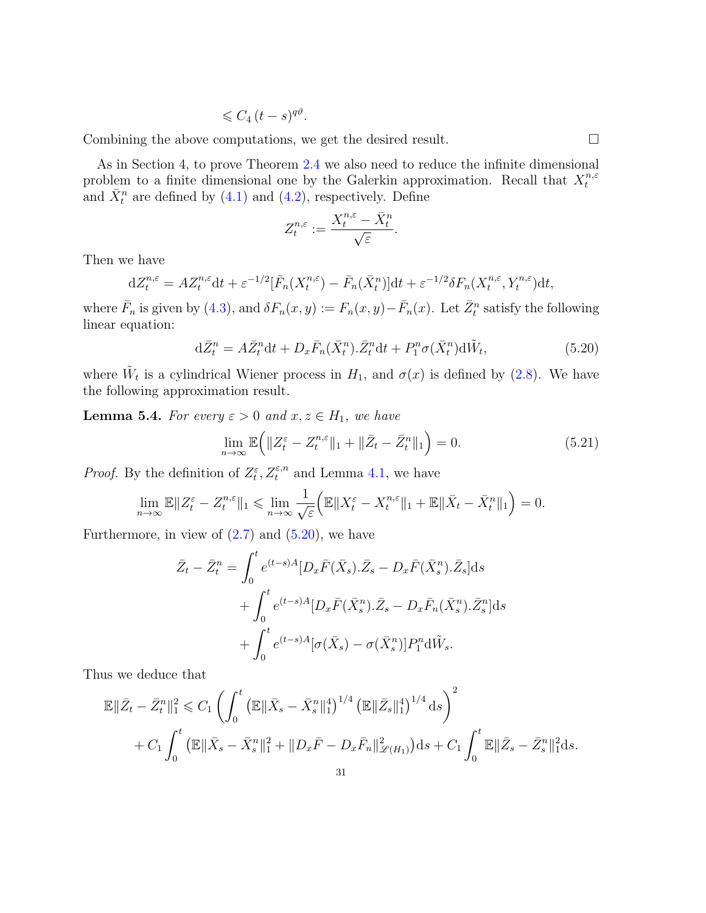$$
\leqslant C_4\,(t-s)^{q\vartheta}.
$$

Combining the above computations, we get the desired result.

As in Section 4, to prove Theorem [2.4](#page-10-0) we also need to reduce the infinite dimensional problem to a finite dimensional one by the Galerkin approximation. Recall that  $X_t^{n,\varepsilon}$ t and  $\bar{X}_t^n$  are defined by [\(4.1\)](#page-20-0) and [\(4.2\)](#page-20-3), respectively. Define

<span id="page-30-0"></span>
$$
Z^{n,\varepsilon}_t:=\frac{X^{n,\varepsilon}_t-\bar{X}^n_t}{\sqrt{\varepsilon}}.
$$

Then we have

$$
dZ_t^{n,\varepsilon} = AZ_t^{n,\varepsilon} dt + \varepsilon^{-1/2} [\bar{F}_n(X_t^{n,\varepsilon}) - \bar{F}_n(\bar{X}_t^n)] dt + \varepsilon^{-1/2} \delta F_n(X_t^{n,\varepsilon}, Y_t^{n,\varepsilon}) dt,
$$

where  $\bar{F}_n$  is given by [\(4.3\)](#page-20-4), and  $\delta F_n(x,y) := F_n(x,y) - \bar{F}_n(x)$ . Let  $\bar{Z}_t^n$  satisfy the following linear equation:

$$
\mathrm{d}\bar{Z}^n_t = A\bar{Z}^n_t \mathrm{d}t + D_x\bar{F}_n(\bar{X}^n_t).\bar{Z}^n_t \mathrm{d}t + P^n_1 \sigma(\bar{X}^n_t) \mathrm{d}\tilde{W}_t,\tag{5.20}
$$

where  $\tilde{W}_t$  is a cylindrical Wiener process in  $H_1$ , and  $\sigma(x)$  is defined by [\(2.8\)](#page-10-2). We have the following approximation result.

**Lemma 5.4.** For every  $\varepsilon > 0$  and  $x, z \in H_1$ , we have

<span id="page-30-1"></span>
$$
\lim_{n \to \infty} \mathbb{E}\Big(\|Z_t^{\varepsilon} - Z_t^{n,\varepsilon}\|_1 + \|\bar{Z}_t - \bar{Z}_t^n\|_1\Big) = 0.
$$
\n(5.21)

*Proof.* By the definition of  $Z_t^{\varepsilon}$ ,  $Z_t^{\varepsilon,n}$  and Lemma [4.1,](#page-20-2) we have

$$
\lim_{n\to\infty} \mathbb{E} \|Z_t^{\varepsilon} - Z_t^{n,\varepsilon}\|_1 \leqslant \lim_{n\to\infty} \frac{1}{\sqrt{\varepsilon}} \Big( \mathbb{E} \|X_t^{\varepsilon} - X_t^{n,\varepsilon}\|_1 + \mathbb{E} \|\bar{X}_t - \bar{X}_t^n\|_1 \Big) = 0.
$$

Furthermore, in view of  $(2.7)$  and  $(5.20)$ , we have

$$
\bar{Z}_t - \bar{Z}_t^n = \int_0^t e^{(t-s)A} [D_x \bar{F}(\bar{X}_s) \cdot \bar{Z}_s - D_x \bar{F}(\bar{X}_s^n) \cdot \bar{Z}_s] ds \n+ \int_0^t e^{(t-s)A} [D_x \bar{F}(\bar{X}_s^n) \cdot \bar{Z}_s - D_x \bar{F}_n(\bar{X}_s^n) \cdot \bar{Z}_s^n] ds \n+ \int_0^t e^{(t-s)A} [\sigma(\bar{X}_s) - \sigma(\bar{X}_s^n)] P_1^n d\tilde{W}_s.
$$

Thus we deduce that

$$
\mathbb{E}\|\bar{Z}_t - \bar{Z}_t^n\|_1^2 \leq C_1 \left( \int_0^t \left( \mathbb{E}\|\bar{X}_s - \bar{X}_s^n\|_1^4 \right)^{1/4} \left( \mathbb{E}\|\bar{Z}_s\|_1^4 \right)^{1/4} ds \right)^2 + C_1 \int_0^t \left( \mathbb{E}\|\bar{X}_s - \bar{X}_s^n\|_1^2 + \|D_x\bar{F} - D_x\bar{F}_n\|_{\mathcal{L}(H_1)}^2 \right) ds + C_1 \int_0^t \mathbb{E}\|\bar{Z}_s - \bar{Z}_s^n\|_1^2 ds.
$$
  
31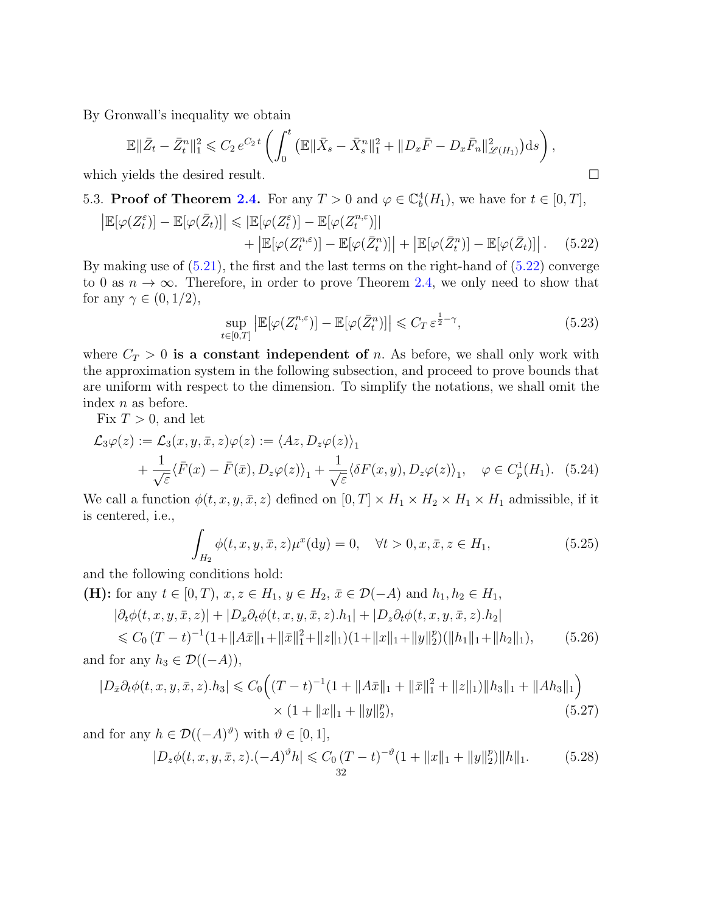By Gronwall's inequality we obtain

$$
\mathbb{E}\|\bar{Z}_t - \bar{Z}_t^n\|_1^2 \leq C_2 e^{C_2 t} \left( \int_0^t \left( \mathbb{E}\|\bar{X}_s - \bar{X}_s^n\|_1^2 + \|D_x \bar{F} - D_x \bar{F}_n\|_{\mathcal{L}(H_1)}^2 \right) ds \right),
$$
  
which yields the desired result.

<span id="page-31-0"></span>5.3. **Proof of Theorem [2.4.](#page-10-0)** For any  $T > 0$  and  $\varphi \in \mathbb{C}_b^4(H_1)$ , we have for  $t \in [0, T]$ ,

$$
\left| \mathbb{E}[\varphi(Z_t^{\varepsilon})] - \mathbb{E}[\varphi(\bar{Z}_t)] \right| \leq \left| \mathbb{E}[\varphi(Z_t^{\varepsilon})] - \mathbb{E}[\varphi(Z_t^{n,\varepsilon})] \right| + \left| \mathbb{E}[\varphi(Z_t^{n,\varepsilon})] - \mathbb{E}[\varphi(\bar{Z}_t^{n})] \right| + \left| \mathbb{E}[\varphi(\bar{Z}_t^{n})] - \mathbb{E}[\varphi(\bar{Z}_t)] \right|.
$$
 (5.22)

By making use of  $(5.21)$ , the first and the last terms on the right-hand of  $(5.22)$  converge to 0 as  $n \to \infty$ . Therefore, in order to prove Theorem [2.4,](#page-10-0) we only need to show that for any  $\gamma \in (0, 1/2)$ ,

<span id="page-31-3"></span><span id="page-31-2"></span><span id="page-31-1"></span>
$$
\sup_{t \in [0,T]} \left| \mathbb{E}[\varphi(Z_t^{n,\varepsilon})] - \mathbb{E}[\varphi(\bar{Z}_t^n)] \right| \leqslant C_T \, \varepsilon^{\frac{1}{2} - \gamma},\tag{5.23}
$$

where  $C_T > 0$  is a constant independent of n. As before, we shall only work with the approximation system in the following subsection, and proceed to prove bounds that are uniform with respect to the dimension. To simplify the notations, we shall omit the index n as before.

Fix  $T > 0$ , and let

$$
\mathcal{L}_3\varphi(z) := \mathcal{L}_3(x, y, \bar{x}, z)\varphi(z) := \langle Az, D_z\varphi(z) \rangle_1 \n+ \frac{1}{\sqrt{\varepsilon}} \langle \bar{F}(x) - \bar{F}(\bar{x}), D_z\varphi(z) \rangle_1 + \frac{1}{\sqrt{\varepsilon}} \langle \delta F(x, y), D_z\varphi(z) \rangle_1, \quad \varphi \in C_p^1(H_1). \tag{5.24}
$$

We call a function  $\phi(t, x, y, \bar{x}, z)$  defined on  $[0, T] \times H_1 \times H_2 \times H_1 \times H_1$  admissible, if it is centered, i.e.,

<span id="page-31-7"></span><span id="page-31-5"></span><span id="page-31-4"></span>
$$
\int_{H_2} \phi(t, x, y, \bar{x}, z) \mu^x(\mathrm{d}y) = 0, \quad \forall t > 0, x, \bar{x}, z \in H_1,
$$
\n(5.25)

and the following conditions hold:

(H): for any  $t \in [0, T)$ ,  $x, z \in H_1$ ,  $y \in H_2$ ,  $\bar{x} \in \mathcal{D}(-A)$  and  $h_1, h_2 \in H_1$ ,  $|\partial_t \phi(t, x, y, \bar{x}, z)| + |D_x \partial_t \phi(t, x, y, \bar{x}, z) \cdot h_1| + |D_z \partial_t \phi(t, x, y, \bar{x}, z) \cdot h_2|$ 

$$
\leq C_0 (T - t)^{-1} (1 + ||A\bar{x}||_1 + ||\bar{x}||_1^2 + ||z||_1)(1 + ||x||_1 + ||y||_2^p)(||h_1||_1 + ||h_2||_1),
$$
 (5.26)  
and for any  $h_3 \in \mathcal{D}((-A))$ ,

$$
|D_{\bar{x}}\partial_t \phi(t, x, y, \bar{x}, z).h_3| \leq C_0 \Big( (T - t)^{-1} (1 + ||A\bar{x}||_1 + ||\bar{x}||_1^2 + ||z||_1) ||h_3||_1 + ||A h_3||_1 \Big) \times (1 + ||x||_1 + ||y||_2^p), \tag{5.27}
$$

and for any  $h \in \mathcal{D}((-A)^{\vartheta})$  with  $\vartheta \in [0,1],$ 

<span id="page-31-6"></span>
$$
|D_z\phi(t, x, y, \bar{x}, z) \cdot (-A)^{\vartheta} h| \leq C_0 (T - t)^{-\vartheta} (1 + \|x\|_1 + \|y\|_2^p) \|h\|_1.
$$
 (5.28)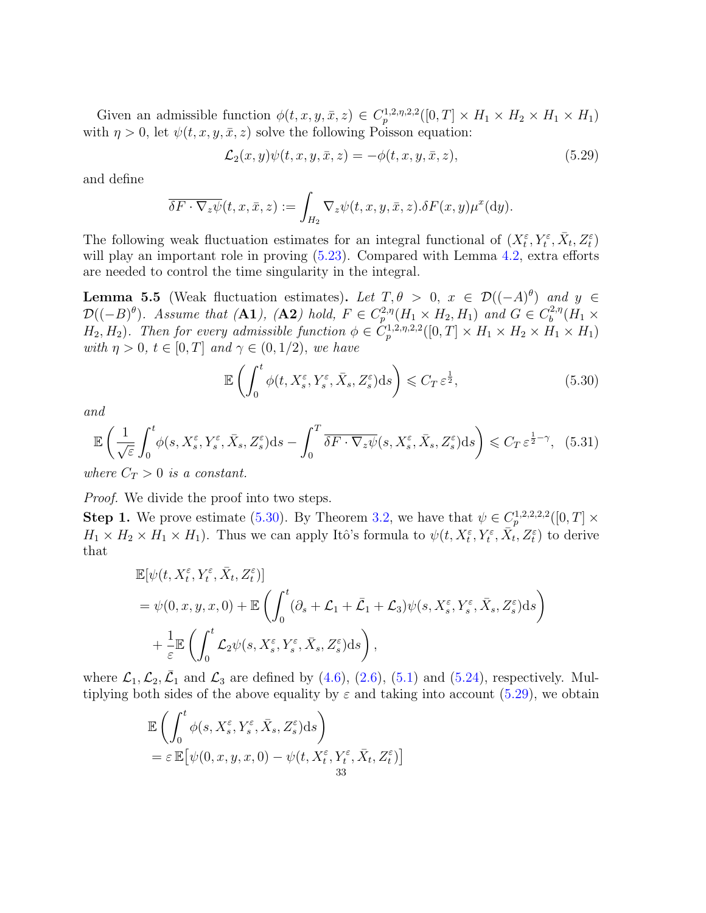Given an admissible function  $\phi(t, x, y, \bar{x}, z) \in C_p^{1,2,\eta,2,2}([0,T] \times H_1 \times H_2 \times H_1 \times H_1)$ with  $\eta > 0$ , let  $\psi(t, x, y, \bar{x}, z)$  solve the following Poisson equation:

<span id="page-32-2"></span>
$$
\mathcal{L}_2(x, y)\psi(t, x, y, \bar{x}, z) = -\phi(t, x, y, \bar{x}, z),\tag{5.29}
$$

and define

$$
\overline{\delta F \cdot \nabla_z \psi}(t, x, \overline{x}, z) := \int_{H_2} \nabla_z \psi(t, x, y, \overline{x}, z) . \delta F(x, y) \mu^x(\mathrm{d}y).
$$

The following weak fluctuation estimates for an integral functional of  $(X_t^{\varepsilon}, Y_t^{\varepsilon}, \bar{X}_t, Z_t^{\varepsilon})$ will play an important role in proving  $(5.23)$ . Compared with Lemma [4.2,](#page-21-1) extra efforts are needed to control the time singularity in the integral.

<span id="page-32-0"></span>**Lemma 5.5** (Weak fluctuation estimates). Let  $T, \theta > 0$ ,  $x \in \mathcal{D}((-A)^{\theta})$  and  $y \in$  $\mathcal{D}((-B)^{\theta})$ . Assume that (A1), (A2) hold,  $F \in C_p^{2,\eta}(H_1 \times H_2, H_1)$  and  $G \in C_b^{2,\eta}$  $b^{2,\eta}(H_1\times$  $H_2, H_2$ ). Then for every admissible function  $\phi \in C_p^{1,2,\eta,2,2}([0,T] \times H_1 \times H_2 \times H_1 \times H_1)$ with  $\eta > 0$ ,  $t \in [0, T]$  and  $\gamma \in (0, 1/2)$ , we have

<span id="page-32-3"></span><span id="page-32-1"></span>
$$
\mathbb{E}\left(\int_0^t \phi(t, X_s^{\varepsilon}, Y_s^{\varepsilon}, \bar{X}_s, Z_s^{\varepsilon})ds\right) \leqslant C_T \,\varepsilon^{\frac{1}{2}},\tag{5.30}
$$

and

$$
\mathbb{E}\left(\frac{1}{\sqrt{\varepsilon}}\int_0^t \phi(s, X_s^\varepsilon, Y_s^\varepsilon, \bar{X}_s, Z_s^\varepsilon)ds - \int_0^T \overline{\delta F \cdot \nabla_z \psi}(s, X_s^\varepsilon, \bar{X}_s, Z_s^\varepsilon)ds\right) \leqslant C_T \varepsilon^{\frac{1}{2}-\gamma}, \tag{5.31}
$$

where  $C_T > 0$  is a constant.

Proof. We divide the proof into two steps.

**Step 1.** We prove estimate [\(5.30\)](#page-32-1). By Theorem [3.2,](#page-11-1) we have that  $\psi \in C_p^{1,2,2,2,2}([0,T] \times$  $H_1 \times H_2 \times H_1 \times H_1$ ). Thus we can apply Itô's formula to  $\psi(t, X_t^{\varepsilon}, Y_t^{\varepsilon}, \overline{X}_t^{\varepsilon}, \overline{Z}_t^{\varepsilon})$  to derive that

$$
\mathbb{E}[\psi(t, X_t^{\varepsilon}, Y_t^{\varepsilon}, \bar{X}_t, Z_t^{\varepsilon})]
$$
\n
$$
= \psi(0, x, y, x, 0) + \mathbb{E}\left(\int_0^t (\partial_s + \mathcal{L}_1 + \bar{\mathcal{L}}_1 + \mathcal{L}_3)\psi(s, X_s^{\varepsilon}, Y_s^{\varepsilon}, \bar{X}_s, Z_s^{\varepsilon})ds\right) + \frac{1}{\varepsilon} \mathbb{E}\left(\int_0^t \mathcal{L}_2 \psi(s, X_s^{\varepsilon}, Y_s^{\varepsilon}, \bar{X}_s, Z_s^{\varepsilon})ds\right),
$$

where  $\mathcal{L}_1, \mathcal{L}_2, \bar{\mathcal{L}}_1$  and  $\mathcal{L}_3$  are defined by [\(4.6\)](#page-21-3), [\(2.6\)](#page-10-1), [\(5.1\)](#page-25-4) and [\(5.24\)](#page-31-3), respectively. Multiplying both sides of the above equality by  $\varepsilon$  and taking into account [\(5.29\)](#page-32-2), we obtain

$$
\mathbb{E}\left(\int_0^t \phi(s, X_s^{\varepsilon}, Y_s^{\varepsilon}, \bar{X}_s, Z_s^{\varepsilon})ds\right) \n= \varepsilon \mathbb{E}\left[\psi(0, x, y, x, 0) - \psi(t, X_t^{\varepsilon}, Y_t^{\varepsilon}, \bar{X}_t, Z_t^{\varepsilon})\right] \n33
$$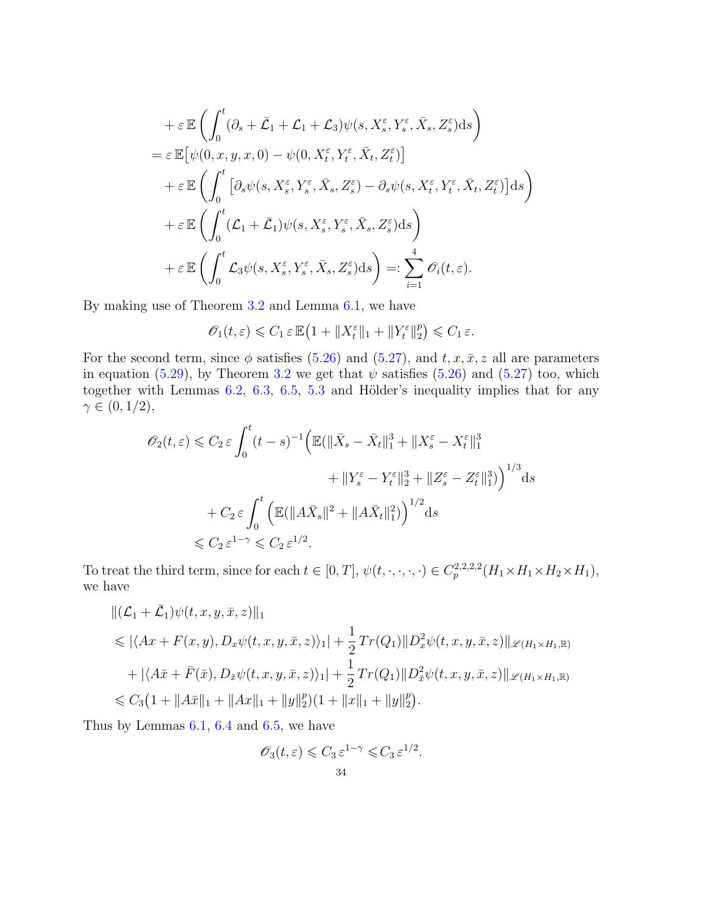$$
+ \varepsilon \mathbb{E} \left( \int_0^t (\partial_s + \bar{\mathcal{L}}_1 + \mathcal{L}_1 + \mathcal{L}_3) \psi(s, X_s^{\varepsilon}, Y_s^{\varepsilon}, \bar{X}_s, Z_s^{\varepsilon}) ds \right)
$$
  
\n
$$
= \varepsilon \mathbb{E} \left[ \psi(0, x, y, x, 0) - \psi(0, X_t^{\varepsilon}, Y_t^{\varepsilon}, \bar{X}_t, Z_t^{\varepsilon}) \right]
$$
  
\n
$$
+ \varepsilon \mathbb{E} \left( \int_0^t \left[ \partial_s \psi(s, X_s^{\varepsilon}, Y_s^{\varepsilon}, \bar{X}_s, Z_s^{\varepsilon}) - \partial_s \psi(s, X_t^{\varepsilon}, Y_t^{\varepsilon}, \bar{X}_t, Z_t^{\varepsilon}) \right] ds \right)
$$
  
\n
$$
+ \varepsilon \mathbb{E} \left( \int_0^t (\mathcal{L}_1 + \bar{\mathcal{L}}_1) \psi(s, X_s^{\varepsilon}, Y_s^{\varepsilon}, \bar{X}_s, Z_s^{\varepsilon}) ds \right)
$$
  
\n
$$
+ \varepsilon \mathbb{E} \left( \int_0^t \mathcal{L}_3 \psi(s, X_s^{\varepsilon}, Y_s^{\varepsilon}, \bar{X}_s, Z_s^{\varepsilon}) ds \right) =: \sum_{i=1}^4 \mathcal{O}_i(t, \varepsilon).
$$

By making use of Theorem [3.2](#page-11-1) and Lemma [6.1,](#page-37-1) we have

$$
\mathscr{O}_1(t,\varepsilon) \leqslant C_1 \varepsilon \mathbb{E}\left(1 + \|X_t^{\varepsilon}\|_1 + \|Y_t^{\varepsilon}\|_2^p\right) \leqslant C_1 \varepsilon.
$$

For the second term, since  $\phi$  satisfies [\(5.26\)](#page-31-4) and [\(5.27\)](#page-31-5), and t, x,  $\bar{x}$ , z all are parameters in equation [\(5.29\)](#page-32-2), by Theorem [3.2](#page-11-1) we get that  $\psi$  satisfies [\(5.26\)](#page-31-4) and [\(5.27\)](#page-31-5) too, which together with Lemmas  $6.2, 6.3, 6.5, 5.3$  $6.2, 6.3, 6.5, 5.3$  $6.2, 6.3, 6.5, 5.3$  $6.2, 6.3, 6.5, 5.3$  $6.2, 6.3, 6.5, 5.3$  $6.2, 6.3, 6.5, 5.3$  $6.2, 6.3, 6.5, 5.3$  and Hölder's inequality implies that for any  $\gamma \in (0, 1/2),$ 

$$
\mathscr{O}_{2}(t,\varepsilon) \leq C_{2}\varepsilon \int_{0}^{t} (t-s)^{-1} \Big( \mathbb{E}(\|\bar{X}_{s} - \bar{X}_{t}\|_{1}^{3} + \|X_{s}^{\varepsilon} - X_{t}^{\varepsilon}\|_{1}^{3} + \|Y_{s}^{\varepsilon} - Y_{t}^{\varepsilon}\|_{2}^{3} + \|Z_{s}^{\varepsilon} - Z_{t}^{\varepsilon}\|_{1}^{3}) \Big)^{1/3} ds
$$
  
+ 
$$
C_{2}\varepsilon \int_{0}^{t} \Big( \mathbb{E}(\|A\bar{X}_{s}\|^{2} + \|A\bar{X}_{t}\|_{1}^{2}) \Big)^{1/2} ds
$$
  

$$
\leq C_{2}\varepsilon^{1-\gamma} \leq C_{2}\varepsilon^{1/2}.
$$

To treat the third term, since for each  $t \in [0, T]$ ,  $\psi(t, \cdot, \cdot, \cdot, \cdot) \in C_p^{2,2,2,2}(H_1 \times H_1 \times H_2 \times H_1)$ , we have

$$
\begin{split}\n&\|(\mathcal{L}_1 + \bar{\mathcal{L}}_1)\psi(t, x, y, \bar{x}, z)\|_1 \\
&\leq |\langle Ax + F(x, y), D_x \psi(t, x, y, \bar{x}, z)\rangle_1| + \frac{1}{2}Tr(Q_1)\|D_x^2 \psi(t, x, y, \bar{x}, z)\|_{\mathscr{L}(H_1 \times H_1, \mathbb{R})} \\
&\quad + |\langle A\bar{x} + \bar{F}(\bar{x}), D_{\bar{x}} \psi(t, x, y, \bar{x}, z)\rangle_1| + \frac{1}{2}Tr(Q_1)\|D_x^2 \psi(t, x, y, \bar{x}, z)\|_{\mathscr{L}(H_1 \times H_1, \mathbb{R})} \\
&\leq C_3\left(1 + \|A\bar{x}\|_1 + \|Ax\|_1 + \|y\|_2^p\right)\left(1 + \|x\|_1 + \|y\|_2^p\right).\n\end{split}
$$

Thus by Lemmas [6.1,](#page-37-1) [6.4](#page-40-0) and [6.5,](#page-41-0) we have

$$
\mathcal{O}_3(t,\varepsilon) \leq C_3 \varepsilon^{1-\gamma} \leq C_3 \varepsilon^{1/2}.
$$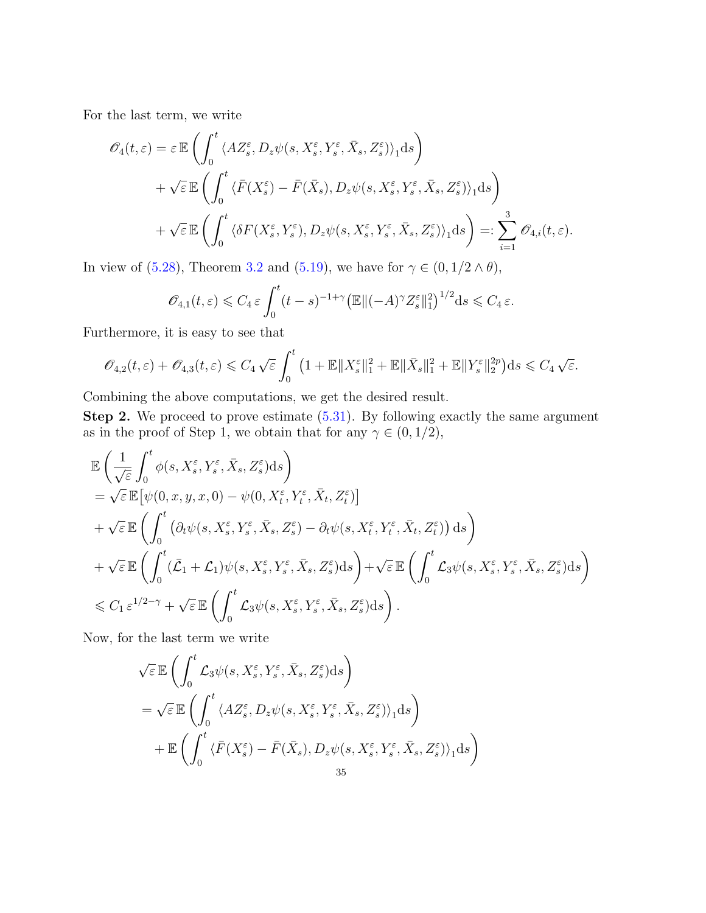For the last term, we write

$$
\mathscr{O}_{4}(t,\varepsilon) = \varepsilon \mathbb{E}\left(\int_{0}^{t} \langle AZ_{s}^{\varepsilon}, D_{z}\psi(s, X_{s}^{\varepsilon}, Y_{s}^{\varepsilon}, \bar{X}_{s}, Z_{s}^{\varepsilon})\rangle_{1}ds\right) \n+ \sqrt{\varepsilon} \mathbb{E}\left(\int_{0}^{t} \langle \bar{F}(X_{s}^{\varepsilon}) - \bar{F}(\bar{X}_{s}), D_{z}\psi(s, X_{s}^{\varepsilon}, Y_{s}^{\varepsilon}, \bar{X}_{s}, Z_{s}^{\varepsilon})\rangle_{1}ds\right) \n+ \sqrt{\varepsilon} \mathbb{E}\left(\int_{0}^{t} \langle \delta F(X_{s}^{\varepsilon}, Y_{s}^{\varepsilon}), D_{z}\psi(s, X_{s}^{\varepsilon}, Y_{s}^{\varepsilon}, \bar{X}_{s}, Z_{s}^{\varepsilon})\rangle_{1}ds\right) =: \sum_{i=1}^{3} \mathscr{O}_{4,i}(t,\varepsilon).
$$

In view of [\(5.28\)](#page-31-6), Theorem [3.2](#page-11-1) and [\(5.19\)](#page-29-1), we have for  $\gamma \in (0, 1/2 \wedge \theta)$ ,

$$
\mathscr{O}_{4,1}(t,\varepsilon) \leqslant C_4 \,\varepsilon \int_0^t (t-s)^{-1+\gamma} \big(\mathbb{E} \Vert (-A)^\gamma Z_s^{\varepsilon} \Vert_1^2\big)^{1/2} \mathrm{d} s \leqslant C_4 \,\varepsilon.
$$

Furthermore, it is easy to see that

$$
\mathscr{O}_{4,2}(t,\varepsilon)+\mathscr{O}_{4,3}(t,\varepsilon)\leqslant C_4\sqrt{\varepsilon}\int_0^t\big(1+\mathbb{E}\|X_s^\varepsilon\|_1^2+\mathbb{E}\|\bar{X}_s\|_1^2+\mathbb{E}\|Y_s^\varepsilon\|_2^{2p}\big)ds\leqslant C_4\sqrt{\varepsilon}.
$$

Combining the above computations, we get the desired result.

Step 2. We proceed to prove estimate  $(5.31)$ . By following exactly the same argument as in the proof of Step 1, we obtain that for any  $\gamma \in (0, 1/2)$ ,

$$
\mathbb{E}\left(\frac{1}{\sqrt{\varepsilon}}\int_{0}^{t}\phi(s,X_{s}^{\varepsilon},Y_{s}^{\varepsilon},\bar{X}_{s},Z_{s}^{\varepsilon})ds\right) \n= \sqrt{\varepsilon}\mathbb{E}\left[\psi(0,x,y,x,0) - \psi(0,X_{t}^{\varepsilon},Y_{t}^{\varepsilon},\bar{X}_{t},Z_{t}^{\varepsilon})\right] \n+ \sqrt{\varepsilon}\mathbb{E}\left(\int_{0}^{t}\left(\partial_{t}\psi(s,X_{s}^{\varepsilon},Y_{s}^{\varepsilon},\bar{X}_{s},Z_{s}^{\varepsilon}) - \partial_{t}\psi(s,X_{t}^{\varepsilon},Y_{t}^{\varepsilon},\bar{X}_{t},Z_{t}^{\varepsilon})\right)ds\right) \n+ \sqrt{\varepsilon}\mathbb{E}\left(\int_{0}^{t}(\bar{\mathcal{L}}_{1}+\mathcal{L}_{1})\psi(s,X_{s}^{\varepsilon},Y_{s}^{\varepsilon},\bar{X}_{s},Z_{s}^{\varepsilon})ds\right) + \sqrt{\varepsilon}\mathbb{E}\left(\int_{0}^{t}\mathcal{L}_{3}\psi(s,X_{s}^{\varepsilon},Y_{s}^{\varepsilon},\bar{X}_{s},Z_{s}^{\varepsilon})ds\right) \n\leq C_{1}\varepsilon^{1/2-\gamma} + \sqrt{\varepsilon}\mathbb{E}\left(\int_{0}^{t}\mathcal{L}_{3}\psi(s,X_{s}^{\varepsilon},Y_{s}^{\varepsilon},\bar{X}_{s},Z_{s}^{\varepsilon})ds\right).
$$

Now, for the last term we write

$$
\sqrt{\varepsilon} \mathbb{E} \left( \int_0^t \mathcal{L}_3 \psi(s, X_s^{\varepsilon}, Y_s^{\varepsilon}, \bar{X}_s, Z_s^{\varepsilon}) ds \right)
$$
  
=  $\sqrt{\varepsilon} \mathbb{E} \left( \int_0^t \langle A Z_s^{\varepsilon}, D_z \psi(s, X_s^{\varepsilon}, Y_s^{\varepsilon}, \bar{X}_s, Z_s^{\varepsilon}) \rangle_1 ds \right)$   
+  $\mathbb{E} \left( \int_0^t \langle \bar{F}(X_s^{\varepsilon}) - \bar{F}(\bar{X}_s), D_z \psi(s, X_s^{\varepsilon}, Y_s^{\varepsilon}, \bar{X}_s, Z_s^{\varepsilon}) \rangle_1 ds \right)$   
35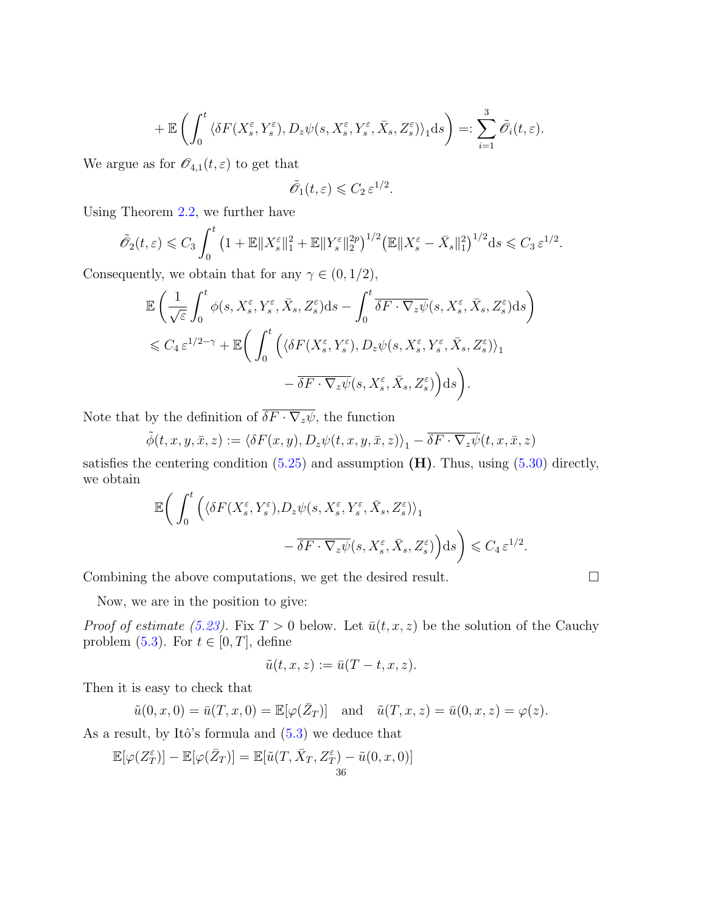$$
+ \mathbb{E} \left( \int_0^t \langle \delta F(X_s^\varepsilon, Y_s^\varepsilon), D_z \psi(s, X_s^\varepsilon, Y_s^\varepsilon, \bar{X}_s, Z_s^\varepsilon) \rangle_1 \mathrm{d}s \right) =: \sum_{i=1}^3 \tilde{\mathscr{O}}_i(t, \varepsilon).
$$

We argue as for  $\mathscr{O}_{4,1}(t,\varepsilon)$  to get that

$$
\tilde{\mathscr{O}}_1(t,\varepsilon) \leqslant C_2 \, \varepsilon^{1/2}.
$$

Using Theorem [2.2,](#page-9-1) we further have

$$
\tilde{\mathscr{O}}_2(t,\varepsilon) \leqslant C_3 \int_0^t \left(1+\mathbb{E} \|X_s^{\varepsilon}\|_1^2+\mathbb{E} \|Y_s^{\varepsilon}\|_2^{2p}\right)^{1/2} \left(\mathbb{E} \|X_s^{\varepsilon}-\bar{X}_s\|_1^2\right)^{1/2} ds \leqslant C_3 \varepsilon^{1/2}.
$$

Consequently, we obtain that for any  $\gamma \in (0, 1/2)$ ,

$$
\mathbb{E}\left(\frac{1}{\sqrt{\varepsilon}}\int_0^t \phi(s, X_s^{\varepsilon}, Y_s^{\varepsilon}, \bar{X}_s, Z_s^{\varepsilon})ds - \int_0^t \overline{\delta F \cdot \nabla_z \psi}(s, X_s^{\varepsilon}, \bar{X}_s, Z_s^{\varepsilon})ds\right) \n\leq C_4 \varepsilon^{1/2-\gamma} + \mathbb{E}\bigg(\int_0^t \Big(\langle \delta F(X_s^{\varepsilon}, Y_s^{\varepsilon}), D_z \psi(s, X_s^{\varepsilon}, Y_s^{\varepsilon}, \bar{X}_s, Z_s^{\varepsilon})\rangle_1 \n- \overline{\delta F \cdot \nabla_z \psi}(s, X_s^{\varepsilon}, \bar{X}_s, Z_s^{\varepsilon})\Big)ds\bigg).
$$

Note that by the definition of  $\overline{\delta F \cdot \nabla_z \psi}$ , the function

$$
\tilde{\phi}(t, x, y, \bar{x}, z) := \langle \delta F(x, y), D_z \psi(t, x, y, \bar{x}, z) \rangle_1 - \overline{\delta F \cdot \nabla_z \psi}(t, x, \bar{x}, z)
$$

satisfies the centering condition  $(5.25)$  and assumption  $(H)$ . Thus, using  $(5.30)$  directly, we obtain

$$
\mathbb{E}\bigg(\int_0^t \Big(\langle \delta F(X_s^\varepsilon, Y_s^\varepsilon), D_z \psi(s, X_s^\varepsilon, Y_s^\varepsilon, \bar{X}_s, Z_s^\varepsilon)\rangle_1 - \overline{\delta F\cdot\nabla_z \psi}(s, X_s^\varepsilon, \bar{X}_s, Z_s^\varepsilon)\Big)ds\bigg) \leqslant C_4 \,\varepsilon^{1/2}.
$$

Combining the above computations, we get the desired result.

Now, we are in the position to give:

*Proof of estimate [\(5.23\)](#page-31-2).* Fix  $T > 0$  below. Let  $\bar{u}(t, x, z)$  be the solution of the Cauchy problem [\(5.3\)](#page-25-3). For  $t \in [0, T]$ , define

$$
\tilde{u}(t,x,z):=\bar{u}(T-t,x,z).
$$

Then it is easy to check that

$$
\tilde{u}(0, x, 0) = \bar{u}(T, x, 0) = \mathbb{E}[\varphi(\bar{Z}_T)]
$$
 and  $\tilde{u}(T, x, z) = \bar{u}(0, x, z) = \varphi(z)$ .

As a result, by Itô's formula and  $(5.3)$  we deduce that

$$
\mathbb{E}[\varphi(Z_T^\varepsilon)] - \mathbb{E}[\varphi(\bar{Z}_T)] = \mathbb{E}[\tilde{u}(T,\bar{X}_T,Z_T^\varepsilon) - \tilde{u}(0,x,0)]
$$
36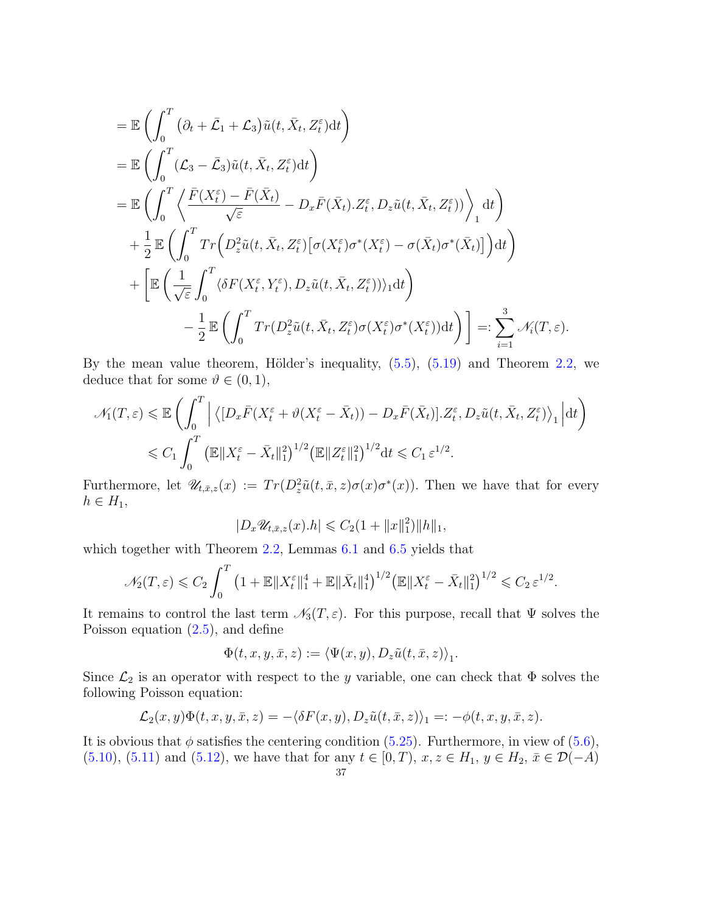$$
\begin{split}\n&= \mathbb{E}\left(\int_{0}^{T} \left(\partial_{t}+\bar{\mathcal{L}}_{1}+\mathcal{L}_{3}\right)\tilde{u}(t,\bar{X}_{t},Z_{t}^{\varepsilon})\mathrm{d}t\right) \\
&= \mathbb{E}\left(\int_{0}^{T} (\mathcal{L}_{3}-\bar{\mathcal{L}}_{3})\tilde{u}(t,\bar{X}_{t},Z_{t}^{\varepsilon})\mathrm{d}t\right) \\
&= \mathbb{E}\left(\int_{0}^{T} \left\langle \frac{\bar{F}(X_{t}^{\varepsilon})-\bar{F}(\bar{X}_{t})}{\sqrt{\varepsilon}}-D_{x}\bar{F}(\bar{X}_{t}).Z_{t}^{\varepsilon},D_{z}\tilde{u}(t,\bar{X}_{t},Z_{t}^{\varepsilon})\right\rangle\right)\mathrm{d}t\right) \\
&+ \frac{1}{2} \mathbb{E}\left(\int_{0}^{T} Tr\left(D_{z}^{2}\tilde{u}(t,\bar{X}_{t},Z_{t}^{\varepsilon})\left[\sigma(X_{t}^{\varepsilon})\sigma^{*}(X_{t}^{\varepsilon})-\sigma(\bar{X}_{t})\sigma^{*}(\bar{X}_{t})\right]\right)\mathrm{d}t\right) \\
&+ \left[\mathbb{E}\left(\frac{1}{\sqrt{\varepsilon}}\int_{0}^{T} \langle\delta F(X_{t}^{\varepsilon},Y_{t}^{\varepsilon}),D_{z}\tilde{u}(t,\bar{X}_{t},Z_{t}^{\varepsilon})\rangle\rangle_{1}\mathrm{d}t\right) \\
&- \frac{1}{2} \mathbb{E}\left(\int_{0}^{T} Tr(D_{z}^{2}\tilde{u}(t,\bar{X}_{t},Z_{t}^{\varepsilon})\sigma(X_{t}^{\varepsilon})\sigma^{*}(X_{t}^{\varepsilon})\mathrm{d}t\right)\right] =: \sum_{i=1}^{3} \mathcal{N}_{i}(T,\varepsilon).\n\end{split}
$$

By the mean value theorem, Hölder's inequality,  $(5.5)$ ,  $(5.19)$  and Theorem [2.2,](#page-9-1) we deduce that for some  $\vartheta \in (0,1)$ ,

$$
\mathcal{N}_1(T,\varepsilon) \leq \mathbb{E}\left(\int_0^T \left| \left\langle [D_x \bar{F}(X_t^{\varepsilon} + \vartheta(X_t^{\varepsilon} - \bar{X}_t)) - D_x \bar{F}(\bar{X}_t)], Z_t^{\varepsilon}, D_z \tilde{u}(t, \bar{X}_t, Z_t^{\varepsilon}) \right\rangle_1 \right| dt \right)
$$
  

$$
\leq C_1 \int_0^T \left( \mathbb{E} \|X_t^{\varepsilon} - \bar{X}_t\|_1^2 \right)^{1/2} \left( \mathbb{E} \|Z_t^{\varepsilon}\|_1^2 \right)^{1/2} dt \leq C_1 \varepsilon^{1/2}.
$$

Furthermore, let  $\mathscr{U}_{t,\bar{x},z}(x) := Tr(D^2_z \tilde{u}(t,\bar{x},z) \sigma(x) \sigma^*(x))$ . Then we have that for every  $h \in H_1$ ,

$$
|D_x \mathscr{U}_{t,\bar x,z}(x).h| \leqslant C_2(1+\|x\|_1^2)\|h\|_1,
$$

which together with Theorem [2.2,](#page-9-1) Lemmas [6.1](#page-37-1) and [6.5](#page-41-0) yields that

$$
\mathcal{N}_2(T,\varepsilon) \leq C_2 \int_0^T \left(1 + \mathbb{E} \|X_t^{\varepsilon}\|_1^4 + \mathbb{E} \|\bar{X}_t\|_1^4\right)^{1/2} \left(\mathbb{E} \|X_t^{\varepsilon} - \bar{X}_t\|_1^2\right)^{1/2} \leq C_2 \, \varepsilon^{1/2}.
$$

It remains to control the last term  $\mathcal{N}_3(T, \varepsilon)$ . For this purpose, recall that  $\Psi$  solves the Poisson equation [\(2.5\)](#page-9-4), and define

$$
\Phi(t, x, y, \bar{x}, z) := \langle \Psi(x, y), D_z \tilde{u}(t, \bar{x}, z) \rangle_1.
$$

Since  $\mathcal{L}_2$  is an operator with respect to the y variable, one can check that  $\Phi$  solves the following Poisson equation:

$$
\mathcal{L}_2(x,y)\Phi(t,x,y,\bar{x},z) = -\langle \delta F(x,y), D_z \tilde{u}(t,\bar{x},z) \rangle_1 =: -\phi(t,x,y,\bar{x},z).
$$

It is obvious that  $\phi$  satisfies the centering condition [\(5.25\)](#page-31-7). Furthermore, in view of [\(5.6\)](#page-26-4), [\(5.10\)](#page-26-7), [\(5.11\)](#page-26-8) and [\(5.12\)](#page-26-9), we have that for any  $t \in [0, T)$ ,  $x, z \in H_1, y \in H_2, \bar{x} \in \mathcal{D}(-A)$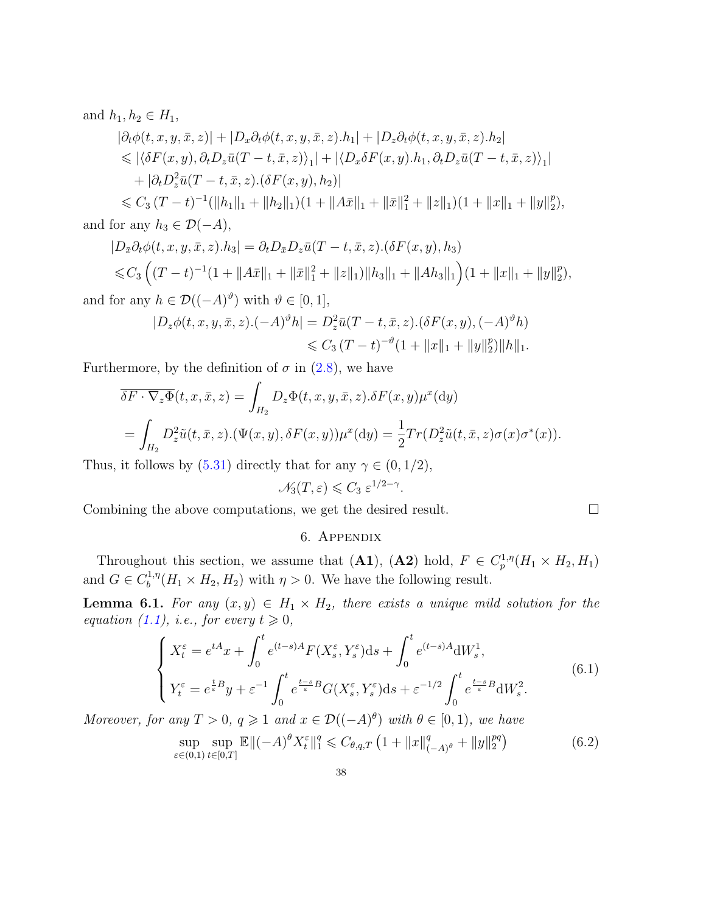and  $h_1, h_2 \in H_1$ ,

$$
|\partial_t \phi(t, x, y, \bar{x}, z)| + |D_x \partial_t \phi(t, x, y, \bar{x}, z).h_1| + |D_z \partial_t \phi(t, x, y, \bar{x}, z).h_2|
$$
  
\$\leqslant |\langle \delta F(x, y), \partial\_t D\_z \bar{u}(T - t, \bar{x}, z) \rangle\_1| + |\langle D\_x \delta F(x, y).h\_1, \partial\_t D\_z \bar{u}(T - t, \bar{x}, z) \rangle\_1|\$  
+ |\partial\_t D\_z^2 \bar{u}(T - t, \bar{x}, z).(\delta F(x, y), h\_2)|\$

 $\leqslant C_3 (T-t)^{-1} (\|h_1\|_1 + \|h_2\|_1)(1 + \|A\overline{x}\|_1 + \|\overline{x}\|_1^2 + \|z\|_1)(1 + \|x\|_1 + \|y\|_2^p)$  $_{2}^{p}),$ and for any  $h_3 \in \mathcal{D}(-A)$ ,

$$
|D_{\bar{x}}\partial_t \phi(t, x, y, \bar{x}, z).h_3| = \partial_t D_{\bar{x}}D_z \bar{u}(T - t, \bar{x}, z).(\delta F(x, y), h_3)
$$
  
\$\leq C\_3 \left( (T - t)^{-1} (1 + ||A\bar{x}||\_1 + ||\bar{x}||\_1^2 + ||z||\_1) ||h\_3||\_1 + ||Ah\_3||\_1 \right) (1 + ||x||\_1 + ||y||\_2^p),\$  
for any  $h \in \mathcal{D}((-A)^{\vartheta})$  with  $\vartheta \in [0, 1]$ 

and for any  $h \in \mathcal{D}((-A)^{\vartheta})$  with  $\vartheta \in [0,1],$ 

$$
|D_z \phi(t, x, y, \bar{x}, z) \cdot (-A)^\vartheta h| = D_z^2 \bar{u} (T - t, \bar{x}, z) \cdot (\delta F(x, y), (-A)^\vartheta h)
$$
  
\$\leqslant C\_3 (T - t)^{-\vartheta} (1 + ||x||\_1 + ||y||\_2^p) ||h||\_1\$.

Furthermore, by the definition of  $\sigma$  in [\(2.8\)](#page-10-2), we have

$$
\overline{\delta F \cdot \nabla_z \Phi}(t, x, \overline{x}, z) = \int_{H_2} D_z \Phi(t, x, y, \overline{x}, z) . \delta F(x, y) \mu^x(\mathrm{d}y)
$$
  
= 
$$
\int_{H_2} D_z^2 \tilde{u}(t, \overline{x}, z) . (\Psi(x, y), \delta F(x, y)) \mu^x(\mathrm{d}y) = \frac{1}{2} Tr(D_z^2 \tilde{u}(t, \overline{x}, z) \sigma(x) \sigma^*(x)).
$$

Thus, it follows by  $(5.31)$  directly that for any  $\gamma \in (0, 1/2)$ ,

$$
\mathscr{N}_3(T,\varepsilon) \leqslant C_3 \, \varepsilon^{1/2-\gamma}.
$$

<span id="page-37-0"></span>Combining the above computations, we get the desired result.

## <span id="page-37-3"></span>6. Appendix

Throughout this section, we assume that (A1), (A2) hold,  $F \in C_p^{1,\eta}(H_1 \times H_2, H_1)$ and  $G \in C_h^{1,\eta}$  $b^{(1,\eta)}(H_1 \times H_2, H_2)$  with  $\eta > 0$ . We have the following result.

<span id="page-37-1"></span>**Lemma 6.1.** For any  $(x, y) \in H_1 \times H_2$ , there exists a unique mild solution for the equation [\(1.1\)](#page-1-1), i.e., for every  $t \geq 0$ ,

<span id="page-37-2"></span>
$$
\begin{cases}\nX_t^{\varepsilon} = e^{tA}x + \int_0^t e^{(t-s)A} F(X_s^{\varepsilon}, Y_s^{\varepsilon}) ds + \int_0^t e^{(t-s)A} dW_s^1, \\
Y_t^{\varepsilon} = e^{\frac{t}{\varepsilon}B} y + \varepsilon^{-1} \int_0^t e^{\frac{t-s}{\varepsilon}B} G(X_s^{\varepsilon}, Y_s^{\varepsilon}) ds + \varepsilon^{-1/2} \int_0^t e^{\frac{t-s}{\varepsilon}B} dW_s^2.\n\end{cases} \tag{6.1}
$$

Moreover, for any  $T > 0$ ,  $q \geq 1$  and  $x \in \mathcal{D}((-A)^{\theta})$  with  $\theta \in [0,1)$ , we have

$$
\sup_{\varepsilon \in (0,1)} \sup_{t \in [0,T]} \mathbb{E} \| (-A)^\theta X_t^\varepsilon \|_1^q \leq C_{\theta,q,T} \left( 1 + \|x\|_{(-A)^\theta}^q + \|y\|_2^{pq} \right) \tag{6.2}
$$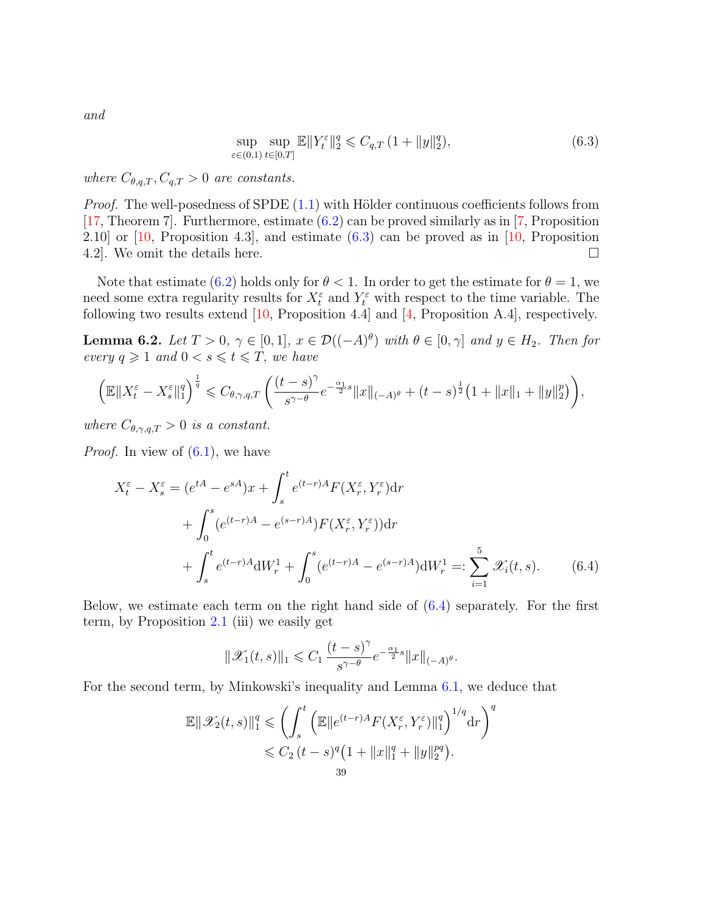and

<span id="page-38-1"></span>
$$
\sup_{\varepsilon \in (0,1)} \sup_{t \in [0,T]} \mathbb{E} \|Y_t^{\varepsilon}\|_2^q \leq C_{q,T} \left(1 + \|y\|_2^q\right),\tag{6.3}
$$

where  $C_{\theta,q,T}, C_{q,T} > 0$  are constants.

*Proof.* The well-posedness of SPDE  $(1.1)$  with Hölder continuous coefficients follows from [\[17,](#page-42-16) Theorem 7]. Furthermore, estimate [\(6.2\)](#page-37-3) can be proved similarly as in [\[7,](#page-42-12) Proposition 2.10] or  $[10,$  Proposition 4.3], and estimate  $(6.3)$  can be proved as in  $[10,$  Proposition 4.2. We omit the details here.  $\Box$ 

Note that estimate [\(6.2\)](#page-37-3) holds only for  $\theta < 1$ . In order to get the estimate for  $\theta = 1$ , we need some extra regularity results for  $X_t^{\varepsilon}$  and  $Y_t^{\varepsilon}$  with respect to the time variable. The following two results extend [\[10,](#page-42-5) Proposition 4.4] and [\[4,](#page-42-11) Proposition A.4], respectively.

<span id="page-38-0"></span>**Lemma 6.2.** Let  $T > 0$ ,  $\gamma \in [0,1]$ ,  $x \in \mathcal{D}((-A)^{\theta})$  with  $\theta \in [0,\gamma]$  and  $y \in H_2$ . Then for every  $q \geq 1$  and  $0 < s \leq t \leq T$ , we have

$$
\left(\mathbb{E}\|X_t^{\varepsilon}-X_s^{\varepsilon}\|_1^q\right)^{\frac{1}{q}} \leqslant C_{\theta,\gamma,q,T}\left(\frac{(t-s)^{\gamma}}{s^{\gamma-\theta}}e^{-\frac{\alpha_1}{2}s}\|x\|_{(-A)^{\theta}}+(t-s)^{\frac{1}{2}}\left(1+\|x\|_1+\|y\|_2^p\right)\right),
$$

where  $C_{\theta,\gamma,q,T} > 0$  is a constant.

*Proof.* In view of  $(6.1)$ , we have

$$
X_t^{\varepsilon} - X_s^{\varepsilon} = (e^{tA} - e^{sA})x + \int_s^t e^{(t-r)A} F(X_r^{\varepsilon}, Y_r^{\varepsilon}) dr + \int_0^s (e^{(t-r)A} - e^{(s-r)A}) F(X_r^{\varepsilon}, Y_r^{\varepsilon}) dr + \int_s^t e^{(t-r)A} dW_r^1 + \int_0^s (e^{(t-r)A} - e^{(s-r)A}) dW_r^1 =: \sum_{i=1}^5 \mathcal{X}_i(t, s).
$$
 (6.4)

Below, we estimate each term on the right hand side of [\(6.4\)](#page-38-2) separately. For the first term, by Proposition [2.1](#page-7-3) (iii) we easily get

<span id="page-38-2"></span>
$$
\|\mathscr{X}_1(t,s)\|_1 \leqslant C_1\,\frac{(t-s)^{\gamma}}{s^{\gamma-\theta}}e^{-\frac{\alpha_1}{2}s}\|x\|_{(-A)^{\theta}}.
$$

For the second term, by Minkowski's inequality and Lemma [6.1,](#page-37-1) we deduce that

$$
\mathbb{E} \|\mathscr{X}_2(t,s)\|_1^q \leqslant \left(\int_s^t \left(\mathbb{E} \|e^{(t-r)A}F(X_r^{\varepsilon},Y_r^{\varepsilon})\|_1^q\right)^{1/q} \mathrm{d} r\right)^q
$$
  

$$
\leqslant C_2 \left(t-s\right)^q \left(1+\|x\|_1^q+\|y\|_2^{pq}\right).
$$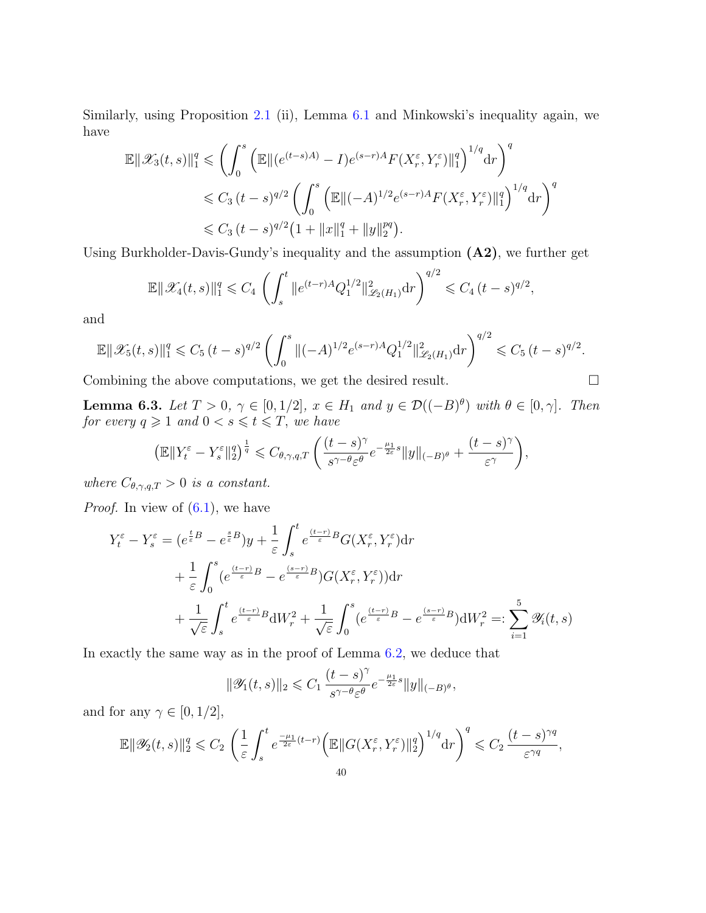Similarly, using Proposition [2.1](#page-7-3) (ii), Lemma [6.1](#page-37-1) and Minkowski's inequality again, we have

$$
\mathbb{E} \|\mathscr{X}_3(t,s)\|_1^q \leq \left( \int_0^s \left( \mathbb{E} \|(e^{(t-s)A)} - I)e^{(s-r)A} F(X_r^{\varepsilon}, Y_r^{\varepsilon})\|_1^q \right)^{1/q} dr \right)^q
$$
  

$$
\leq C_3 (t-s)^{q/2} \left( \int_0^s \left( \mathbb{E} \|( -A)^{1/2} e^{(s-r)A} F(X_r^{\varepsilon}, Y_r^{\varepsilon})\|_1^q \right)^{1/q} dr \right)^q
$$
  

$$
\leq C_3 (t-s)^{q/2} \left( 1 + \|x\|_1^q + \|y\|_2^{pq} \right).
$$

Using Burkholder-Davis-Gundy's inequality and the assumption (A2), we further get

$$
\mathbb{E} \|\mathscr{X}_4(t,s)\|_1^q \leq C_4 \left( \int_s^t \|e^{(t-r)A} Q_1^{1/2}\|_{\mathscr{L}_2(H_1)}^2 dr \right)^{q/2} \leq C_4 (t-s)^{q/2},
$$

and

$$
\mathbb{E} \|\mathscr{X}_5(t,s)\|_1^q \leq C_5 (t-s)^{q/2} \left( \int_0^s \|(-A)^{1/2} e^{(s-r)A} Q_1^{1/2} \|_{\mathscr{L}_2(H_1)}^2 \mathrm{d}r \right)^{q/2} \leq C_5 (t-s)^{q/2}.
$$

Combining the above computations, we get the desired result.

<span id="page-39-0"></span>**Lemma 6.3.** Let  $T > 0$ ,  $\gamma \in [0, 1/2]$ ,  $x \in H_1$  and  $y \in \mathcal{D}((-B)^{\theta})$  with  $\theta \in [0, \gamma]$ . Then for every  $q \geqslant 1$  and  $0 < s \leqslant t \leqslant T$ , we have

$$
\left(\mathbb{E}\|Y_t^{\varepsilon} - Y_s^{\varepsilon}\|_2^q\right)^{\frac{1}{q}} \leqslant C_{\theta,\gamma,q,T} \left(\frac{(t-s)^{\gamma}}{s^{\gamma-\theta}\varepsilon^{\theta}}e^{-\frac{\mu_1}{2\varepsilon}s}\|y\|_{(-B)^{\theta}} + \frac{(t-s)^{\gamma}}{\varepsilon^{\gamma}}\right),
$$

where  $C_{\theta,\gamma,q,T} > 0$  is a constant.

*Proof.* In view of  $(6.1)$ , we have

$$
Y_t^{\varepsilon} - Y_s^{\varepsilon} = (e^{\frac{t}{\varepsilon}B} - e^{\frac{s}{\varepsilon}B})y + \frac{1}{\varepsilon} \int_s^t e^{\frac{(t-r)}{\varepsilon}B} G(X_r^{\varepsilon}, Y_r^{\varepsilon}) dr + \frac{1}{\varepsilon} \int_0^s (e^{\frac{(t-r)}{\varepsilon}B} - e^{\frac{(s-r)}{\varepsilon}B}) G(X_r^{\varepsilon}, Y_r^{\varepsilon}) dr + \frac{1}{\sqrt{\varepsilon}} \int_s^t e^{\frac{(t-r)}{\varepsilon}B} dW_r^2 + \frac{1}{\sqrt{\varepsilon}} \int_0^s (e^{\frac{(t-r)}{\varepsilon}B} - e^{\frac{(s-r)}{\varepsilon}B}) dW_r^2 =: \sum_{i=1}^5 \mathcal{Y}_i(t, s)
$$

In exactly the same way as in the proof of Lemma [6.2,](#page-38-0) we deduce that

$$
\|\mathscr Y_1(t,s)\|_2\leqslant C_1\,\frac{(t-s)^{\gamma}}{s^{\gamma-\theta}\varepsilon^{\theta}}e^{-\frac{\mu_1}{2\varepsilon}s}\|y\|_{(-B)^{\theta}},
$$

and for any  $\gamma \in [0, 1/2]$ ,

$$
\mathbb{E} \|\mathscr{Y}_2(t,s)\|_2^q \leqslant C_2 \left( \frac{1}{\varepsilon} \int_s^t e^{\frac{-\mu_1}{2\varepsilon}(t-r)} \Big( \mathbb{E} \|G(X_r^{\varepsilon}, Y_r^{\varepsilon})\|_2^q \Big)^{1/q} \mathrm{d} r \right)^q \leqslant C_2 \frac{(t-s)^{\gamma q}}{\varepsilon^{\gamma q}},
$$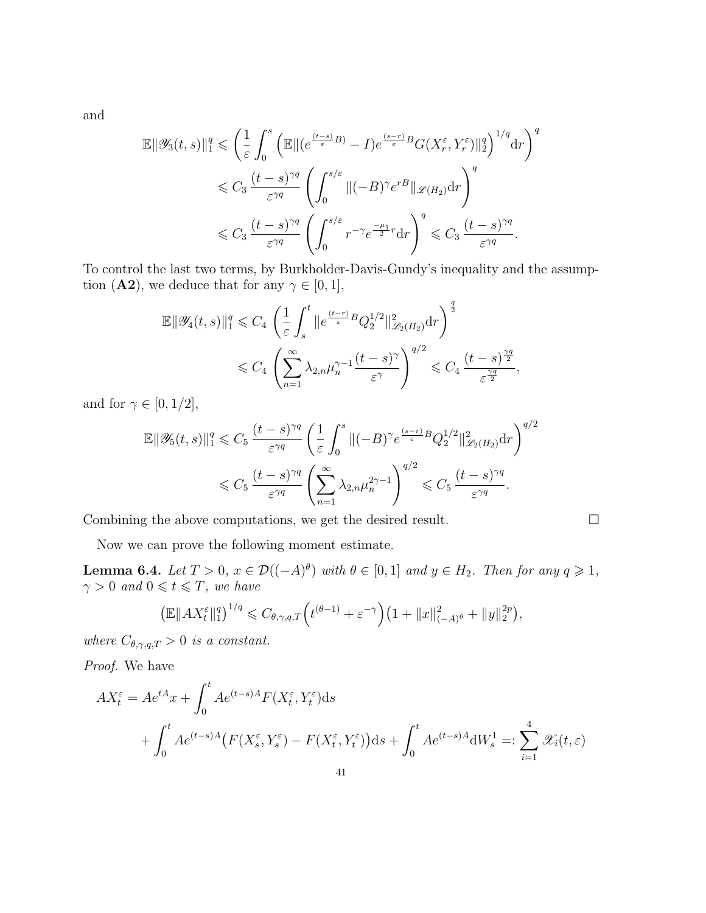and

$$
\mathbb{E} \|\mathscr{Y}_{3}(t,s)\|_{1}^{q} \leqslant \left(\frac{1}{\varepsilon} \int_{0}^{s} \left( \mathbb{E} \|(e^{\frac{(t-s)}{\varepsilon}B)} - I)e^{\frac{(s-r)}{\varepsilon}B}G(X_{r}^{\varepsilon},Y_{r}^{\varepsilon})\|_{2}^{q} \right)^{1/q} dr \right)^{q}
$$
  

$$
\leqslant C_{3} \frac{(t-s)^{\gamma q}}{\varepsilon^{\gamma q}} \left( \int_{0}^{s/\varepsilon} \|(-B)^{\gamma}e^{rB}\|_{\mathscr{L}(H_{2})} dr \right)^{q}
$$
  

$$
\leqslant C_{3} \frac{(t-s)^{\gamma q}}{\varepsilon^{\gamma q}} \left( \int_{0}^{s/\varepsilon} r^{-\gamma}e^{\frac{-\mu_{1}}{2}r} dr \right)^{q} \leqslant C_{3} \frac{(t-s)^{\gamma q}}{\varepsilon^{\gamma q}}.
$$

To control the last two terms, by Burkholder-Davis-Gundy's inequality and the assumption (**A2**), we deduce that for any  $\gamma \in [0, 1]$ ,

$$
\label{eq:bound_1} \begin{split} \mathbb{E} \| \mathscr{Y}_4(t,s) \|_1^q &\leqslant C_4 \, \left( \frac{1}{\varepsilon} \int_s^t \| e^{\frac{(t-r)}{\varepsilon} B} Q_2^{1/2} \|_{\mathscr{L}_2(H_2)}^2 \mathrm{d} r \right)^{\frac{q}{2}} \\ &\leqslant C_4 \, \left( \sum_{n=1}^\infty \lambda_{2,n} \mu_n^{\gamma-1} \frac{(t-s)^\gamma}{\varepsilon^\gamma} \right)^{q/2} \leqslant C_4 \, \frac{(t-s)^{\frac{\gamma q}{2}}}{\varepsilon^{\frac{\gamma q}{2}}}, \end{split}
$$

and for  $\gamma \in [0, 1/2]$ ,

$$
\mathbb{E} \|\mathscr{Y}_5(t,s)\|_1^q \leq C_5 \frac{(t-s)^{\gamma q}}{\varepsilon^{\gamma q}} \left(\frac{1}{\varepsilon} \int_0^s \|(-B)^\gamma e^{\frac{(s-r)}{\varepsilon}B} Q_2^{1/2} \|_{\mathscr{L}_2(H_2)}^2 \mathrm{d}r\right)^{q/2} \leq C_5 \frac{(t-s)^{\gamma q}}{\varepsilon^{\gamma q}} \left(\sum_{n=1}^\infty \lambda_{2,n} \mu_n^{2\gamma-1}\right)^{q/2} \leq C_5 \frac{(t-s)^{\gamma q}}{\varepsilon^{\gamma q}}.
$$

Combining the above computations, we get the desired result.

Now we can prove the following moment estimate.

<span id="page-40-0"></span>**Lemma 6.4.** Let  $T > 0$ ,  $x \in \mathcal{D}((-A)^{\theta})$  with  $\theta \in [0,1]$  and  $y \in H_2$ . Then for any  $q \geq 1$ ,  $\gamma > 0$  and  $0 \leqslant t \leqslant T$ , we have

$$
\left(\mathbb{E}||AX_t^{\varepsilon}||_1^q\right)^{1/q} \leq C_{\theta,\gamma,q,T}\left(t^{(\theta-1)}+\varepsilon^{-\gamma}\right)\left(1+\|x\|_{(-A)^{\theta}}^2+\|y\|_2^{2p}\right),
$$

where  $C_{\theta,\gamma,q,T} > 0$  is a constant.

Proof. We have

$$
AX_t^{\varepsilon} = Ae^{tA}x + \int_0^t Ae^{(t-s)A}F(X_t^{\varepsilon}, Y_t^{\varepsilon})ds
$$
  
+ 
$$
\int_0^t Ae^{(t-s)A}(F(X_s^{\varepsilon}, Y_s^{\varepsilon}) - F(X_t^{\varepsilon}, Y_t^{\varepsilon}))ds + \int_0^t Ae^{(t-s)A}dW_s^1 =: \sum_{i=1}^4 \mathcal{X}_i(t, \varepsilon)
$$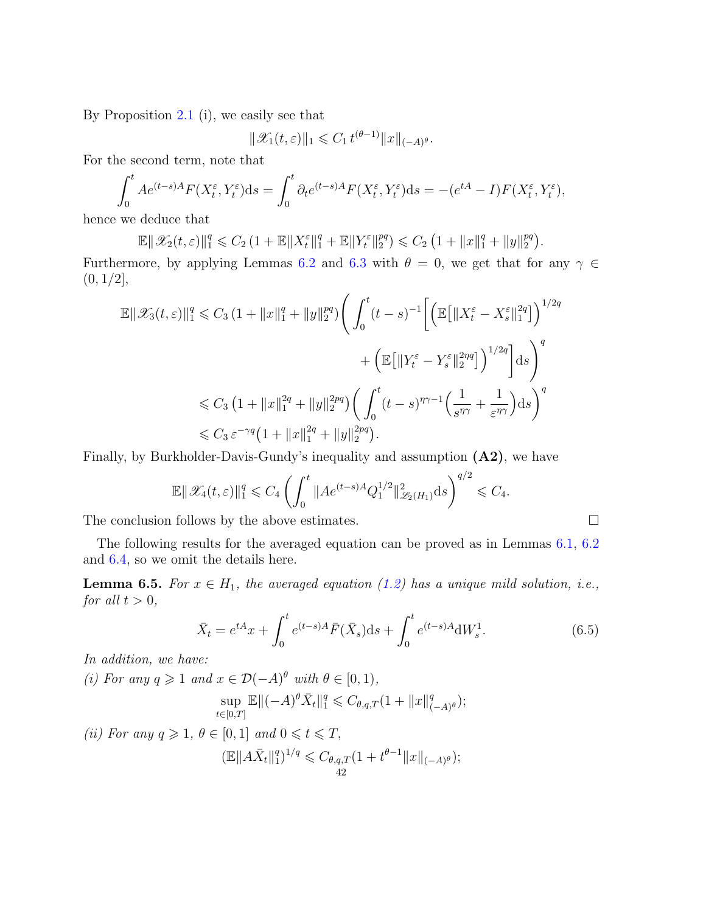By Proposition [2.1](#page-7-3) (i), we easily see that

$$
\|\mathscr{X}_1(t,\varepsilon)\|_1 \leqslant C_1 t^{(\theta-1)} \|x\|_{(-A)^{\theta}}.
$$

For the second term, note that

$$
\int_0^t Ae^{(t-s)A}F(X_t^{\varepsilon}, Y_t^{\varepsilon})ds = \int_0^t \partial_t e^{(t-s)A}F(X_t^{\varepsilon}, Y_t^{\varepsilon})ds = -(e^{tA} - I)F(X_t^{\varepsilon}, Y_t^{\varepsilon}),
$$

hence we deduce that

$$
\mathbb{E}\|\mathscr{X}_2(t,\varepsilon)\|_1^q\leqslant C_2\left(1+\mathbb{E}\|X_t^\varepsilon\|_1^q+\mathbb{E}\|Y_t^\varepsilon\|_2^{pq}\right)\leqslant C_2\left(1+\|x\|_1^q+\|y\|_2^{pq}\right).
$$

Furthermore, by applying Lemmas [6.2](#page-38-0) and [6.3](#page-39-0) with  $\theta = 0$ , we get that for any  $\gamma \in$  $(0, 1/2]$ ,

$$
\mathbb{E} \|\mathscr{X}_{3}(t,\varepsilon)\|_{1}^{q} \leq C_{3} (1 + \|x\|_{1}^{q} + \|y\|_{2}^{pq}) \Bigg( \int_{0}^{t} (t-s)^{-1} \Bigg[ \Big( \mathbb{E} \big[ \|X_{t}^{\varepsilon} - X_{s}^{\varepsilon}\|_{1}^{2q} \big] \Big)^{1/2q} + \Big( \mathbb{E} \big[ \|Y_{t}^{\varepsilon} - Y_{s}^{\varepsilon}\|_{2}^{2pq} \big] \Big)^{1/2q} \Bigg] ds \Bigg)^{q}
$$
  

$$
\leq C_{3} (1 + \|x\|_{1}^{2q} + \|y\|_{2}^{2pq}) \Bigg( \int_{0}^{t} (t-s)^{\eta \gamma - 1} \Big( \frac{1}{s^{\eta \gamma}} + \frac{1}{\varepsilon^{\eta \gamma}} \Big) ds \Bigg)^{q}
$$
  

$$
\leq C_{3} \varepsilon^{-\gamma q} (1 + \|x\|_{1}^{2q} + \|y\|_{2}^{2pq}).
$$

Finally, by Burkholder-Davis-Gundy's inequality and assumption (A2), we have

$$
\mathbb{E} \|\mathscr{X}_4(t,\varepsilon)\|_1^q \leqslant C_4 \left( \int_0^t \|Ae^{(t-s)A} Q_1^{1/2}\|_{\mathscr{L}_2(H_1)}^2 \mathrm{d} s \right)^{q/2} \leqslant C_4.
$$

The conclusion follows by the above estimates.  $\Box$ 

The following results for the averaged equation can be proved as in Lemmas [6.1,](#page-37-1) [6.2](#page-38-0) and [6.4,](#page-40-0) so we omit the details here.

<span id="page-41-0"></span>**Lemma 6.5.** For  $x \in H_1$ , the averaged equation [\(1.2\)](#page-1-2) has a unique mild solution, i.e., for all  $t > 0$ ,

$$
\bar{X}_t = e^{tA}x + \int_0^t e^{(t-s)A}\bar{F}(\bar{X}_s)ds + \int_0^t e^{(t-s)A}dW_s^1.
$$
\n(6.5)

In addition, we have:

(i) For any  $q \geq 1$  and  $x \in \mathcal{D}(-A)^{\theta}$  with  $\theta \in [0,1)$ ,

<span id="page-41-1"></span>
$$
\sup_{t \in [0,T]} \mathbb{E} \| (-A)^{\theta} \bar{X}_t \|_1^q \leq C_{\theta,q,T} (1 + \|x\|_{(-A)^{\theta}}^q);
$$

(ii) For any  $q \geq 1$ ,  $\theta \in [0,1]$  and  $0 \leq t \leq T$ ,

$$
(\mathbb{E}||A\bar{X}_t||_1^q)^{1/q} \leq C_{\theta,q,T}(1+t^{\theta-1}||x||_{(-A)^{\theta}});
$$
  
42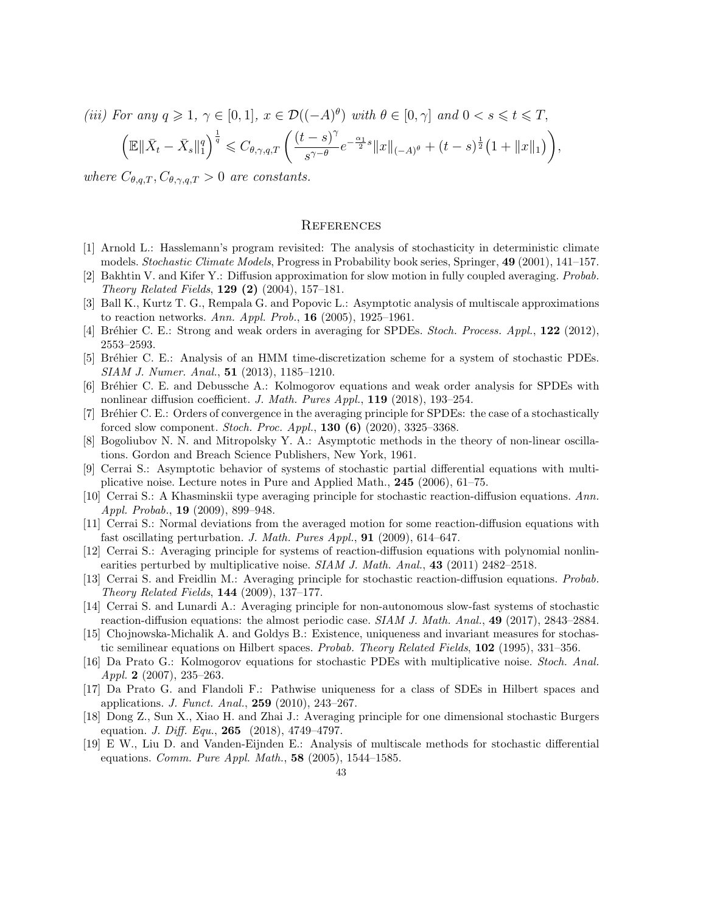(iii) For any  $q \geq 1$ ,  $\gamma \in [0,1]$ ,  $x \in \mathcal{D}((-A)^{\theta})$  with  $\theta \in [0,\gamma]$  and  $0 < s \leqslant t \leqslant T$ ,

$$
\left(\mathbb{E}\|\bar{X}_t - \bar{X}_s\|_1^q\right)^{\frac{1}{q}} \leq C_{\theta,\gamma,q,T} \left(\frac{(t-s)^{\gamma}}{s^{\gamma-\theta}}e^{-\frac{\alpha_1}{2}s}\|x\|_{(-A)^{\theta}} + (t-s)^{\frac{1}{2}}\left(1+\|x\|_1\right)\right),
$$

where  $C_{\theta,q,T}, C_{\theta,\gamma,q,T} > 0$  are constants.

#### <span id="page-42-0"></span>**REFERENCES**

- <span id="page-42-14"></span>[1] Arnold L.: Hasslemann's program revisited: The analysis of stochasticity in deterministic climate models. Stochastic Climate Models, Progress in Probability book series, Springer, 49 (2001), 141–157.
- <span id="page-42-3"></span>[2] Bakhtin V. and Kifer Y.: Diffusion approximation for slow motion in fully coupled averaging. Probab. Theory Related Fields, 129 (2) (2004), 157–181.
- <span id="page-42-1"></span>[3] Ball K., Kurtz T. G., Rempala G. and Popovic L.: Asymptotic analysis of multiscale approximations to reaction networks. Ann. Appl. Prob.,  $16$  (2005), 1925–1961.
- <span id="page-42-11"></span>[4] Bréhier C. E.: Strong and weak orders in averaging for SPDEs. Stoch. Process. Appl., 122 (2012), 2553–2593.
- <span id="page-42-9"></span>[5] Br´ehier C. E.: Analysis of an HMM time-discretization scheme for a system of stochastic PDEs. SIAM J. Numer. Anal., 51 (2013), 1185–1210.
- <span id="page-42-15"></span>[6] Br´ehier C. E. and Debussche A.: Kolmogorov equations and weak order analysis for SPDEs with nonlinear diffusion coefficient. J. Math. Pures Appl., 119 (2018), 193–254.
- <span id="page-42-12"></span>[7] Br´ehier C. E.: Orders of convergence in the averaging principle for SPDEs: the case of a stochastically forced slow component. *Stoch. Proc. Appl.*, **130 (6)** (2020), 3325–3368.
- <span id="page-42-2"></span>[8] Bogoliubov N. N. and Mitropolsky Y. A.: Asymptotic methods in the theory of non-linear oscillations. Gordon and Breach Science Publishers, New York, 1961.
- <span id="page-42-17"></span>[9] Cerrai S.: Asymptotic behavior of systems of stochastic partial differential equations with multiplicative noise. Lecture notes in Pure and Applied Math., 245 (2006), 61–75.
- <span id="page-42-5"></span>[10] Cerrai S.: A Khasminskii type averaging principle for stochastic reaction-diffusion equations. Ann. Appl. Probab., 19 (2009), 899–948.
- <span id="page-42-13"></span>[11] Cerrai S.: Normal deviations from the averaged motion for some reaction-diffusion equations with fast oscillating perturbation. J. Math. Pures Appl., **91** (2009), 614–647.
- <span id="page-42-6"></span>[12] Cerrai S.: Averaging principle for systems of reaction-diffusion equations with polynomial nonlinearities perturbed by multiplicative noise.  $SIAM J. Math. Anal., 43$  (2011) 2482–2518.
- <span id="page-42-4"></span>[13] Cerrai S. and Freidlin M.: Averaging principle for stochastic reaction-diffusion equations. Probab. Theory Related Fields, 144 (2009), 137–177.
- <span id="page-42-7"></span>[14] Cerrai S. and Lunardi A.: Averaging principle for non-autonomous slow-fast systems of stochastic reaction-diffusion equations: the almost periodic case. *SIAM J. Math. Anal.*, 49 (2017), 2843–2884.
- <span id="page-42-18"></span>[15] Chojnowska-Michalik A. and Goldys B.: Existence, uniqueness and invariant measures for stochastic semilinear equations on Hilbert spaces. Probab. Theory Related Fields, 102 (1995), 331–356.
- <span id="page-42-19"></span>[16] Da Prato G.: Kolmogorov equations for stochastic PDEs with multiplicative noise. Stoch. Anal. Appl. 2  $(2007)$ , 235-263.
- <span id="page-42-16"></span>[17] Da Prato G. and Flandoli F.: Pathwise uniqueness for a class of SDEs in Hilbert spaces and applications. *J. Funct. Anal.*, **259** (2010), 243-267.
- <span id="page-42-8"></span>[18] Dong Z., Sun X., Xiao H. and Zhai J.: Averaging principle for one dimensional stochastic Burgers equation. *J. Diff. Equ.*, **265** (2018), 4749-4797.
- <span id="page-42-10"></span>[19] E W., Liu D. and Vanden-Eijnden E.: Analysis of multiscale methods for stochastic differential equations. Comm. Pure Appl. Math., 58 (2005), 1544–1585.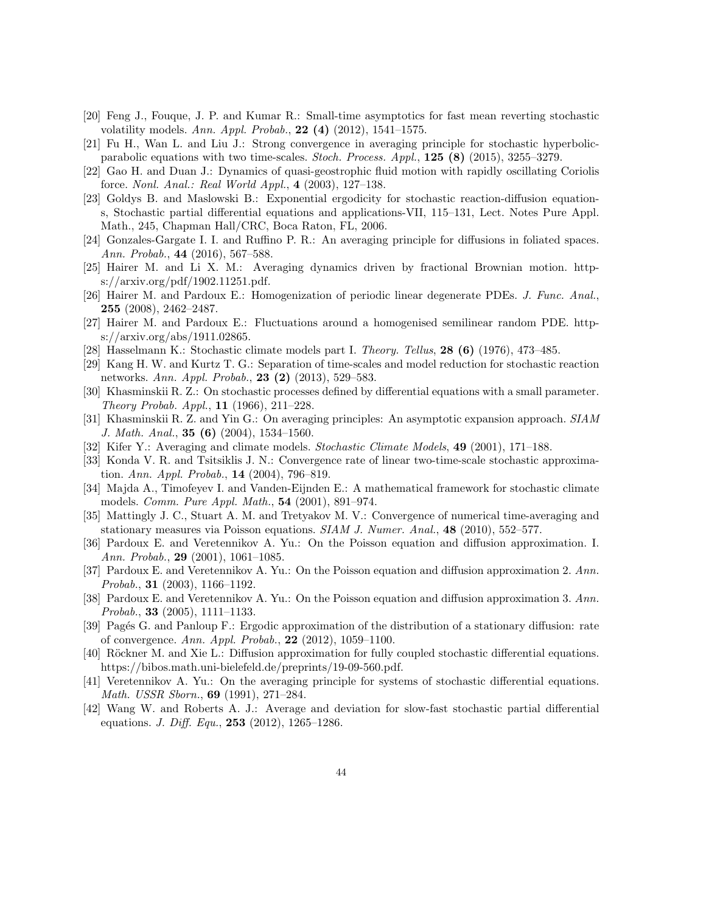- <span id="page-43-4"></span>[20] Feng J., Fouque, J. P. and Kumar R.: Small-time asymptotics for fast mean reverting stochastic volatility models. Ann. Appl. Probab., 22 (4)  $(2012)$ , 1541–1575.
- <span id="page-43-10"></span>[21] Fu H., Wan L. and Liu J.: Strong convergence in averaging principle for stochastic hyperbolicparabolic equations with two time-scales. Stoch. Process. Appl., 125 (8) (2015), 3255–3279.
- <span id="page-43-3"></span>[22] Gao H. and Duan J.: Dynamics of quasi-geostrophic fluid motion with rapidly oscillating Coriolis force. Nonl. Anal.: Real World Appl., 4 (2003), 127–138.
- <span id="page-43-22"></span>[23] Goldys B. and Maslowski B.: Exponential ergodicity for stochastic reaction-diffusion equations, Stochastic partial differential equations and applications-VII, 115–131, Lect. Notes Pure Appl. Math., 245, Chapman Hall/CRC, Boca Raton, FL, 2006.
- <span id="page-43-6"></span>[24] Gonzales-Gargate I. I. and Ruffino P. R.: An averaging principle for diffusions in foliated spaces. Ann. Probab., 44 (2016), 567–588.
- <span id="page-43-7"></span>[25] Hairer M. and Li X. M.: Averaging dynamics driven by fractional Brownian motion. https://arxiv.org/pdf/1902.11251.pdf.
- <span id="page-43-13"></span>[26] Hairer M. and Pardoux E.: Homogenization of periodic linear degenerate PDEs. J. Func. Anal., 255 (2008), 2462–2487.
- <span id="page-43-14"></span>[27] Hairer M. and Pardoux E.: Fluctuations around a homogenised semilinear random PDE. https://arxiv.org/abs/1911.02865.
- <span id="page-43-18"></span>[28] Hasselmann K.: Stochastic climate models part I. Theory. Tellus, 28 (6) (1976), 473–485.
- <span id="page-43-2"></span>[29] Kang H. W. and Kurtz T. G.: Separation of time-scales and model reduction for stochastic reaction networks. Ann. Appl. Probab., 23 (2) (2013), 529–583.
- <span id="page-43-5"></span>[30] Khasminskii R. Z.: On stochastic processes defined by differential equations with a small parameter. Theory Probab. Appl., 11 (1966), 211–228.
- <span id="page-43-8"></span>[31] Khasminskii R. Z. and Yin G.: On averaging principles: An asymptotic expansion approach. SIAM J. Math. Anal., 35 (6) (2004), 1534–1560.
- <span id="page-43-0"></span>[32] Kifer Y.: Averaging and climate models. *Stochastic Climate Models*, **49** (2001), 171–188.
- <span id="page-43-11"></span>[33] Konda V. R. and Tsitsiklis J. N.: Convergence rate of linear two-time-scale stochastic approximation. Ann. Appl. Probab.,  $14$  (2004), 796–819.
- <span id="page-43-1"></span>[34] Majda A., Timofeyev I. and Vanden-Eijnden E.: A mathematical framework for stochastic climate models. Comm. Pure Appl. Math., 54 (2001), 891–974.
- <span id="page-43-19"></span>[35] Mattingly J. C., Stuart A. M. and Tretyakov M. V.: Convergence of numerical time-averaging and stationary measures via Poisson equations. SIAM J. Numer. Anal., 48 (2010), 552–577.
- <span id="page-43-15"></span>[36] Pardoux E. and Veretennikov A. Yu.: On the Poisson equation and diffusion approximation. I. Ann. Probab., 29 (2001), 1061–1085.
- <span id="page-43-16"></span>[37] Pardoux E. and Veretennikov A. Yu.: On the Poisson equation and diffusion approximation 2. Ann. Probab., 31 (2003), 1166–1192.
- <span id="page-43-21"></span>[38] Pardoux E. and Veretennikov A. Yu.: On the Poisson equation and diffusion approximation 3. Ann. Probab., 33 (2005), 1111–1133.
- <span id="page-43-20"></span>[39] Pagés G. and Panloup F.: Ergodic approximation of the distribution of a stationary diffusion: rate of convergence. Ann. Appl. Probab., 22 (2012), 1059–1100.
- <span id="page-43-17"></span>[40] Röckner M. and Xie L.: Diffusion approximation for fully coupled stochastic differential equations. https://bibos.math.uni-bielefeld.de/preprints/19-09-560.pdf.
- <span id="page-43-9"></span>[41] Veretennikov A. Yu.: On the averaging principle for systems of stochastic differential equations. Math. USSR Sborn., 69 (1991), 271–284.
- <span id="page-43-12"></span>[42] Wang W. and Roberts A. J.: Average and deviation for slow-fast stochastic partial differential equations. *J. Diff. Equ.*, **253** (2012), 1265-1286.